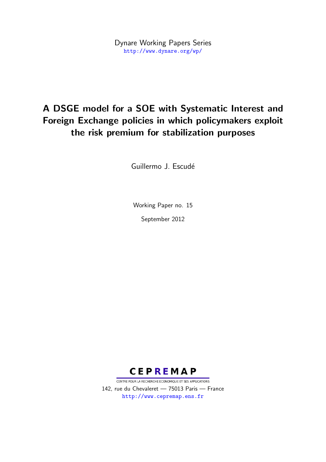Dynare Working Papers Series <http://www.dynare.org/wp/>

# A DSGE model for a SOE with Systematic Interest and Foreign Exchange policies in which policymakers exploit the risk premium for stabilization purposes

Guillermo J. Escudé

Working Paper no. 15 September 2012



CENTRE POUR LA RECHERCHE ECONOMIQUE ET SES APPLICATIONS 142, rue du Chevaleret — 75013 Paris — France <http://www.cepremap.ens.fr>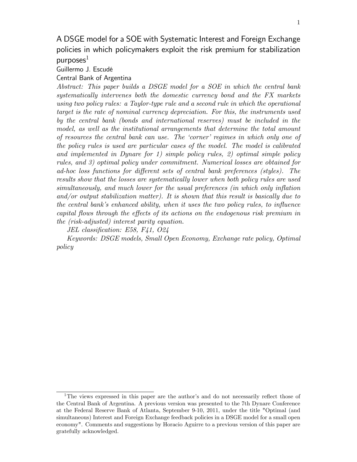## A DSGE model for a SOE with Systematic Interest and Foreign Exchange policies in which policymakers exploit the risk premium for stabilization  $p$ urposes $<sup>1</sup>$ </sup>

Guillermo J. Escudé

#### Central Bank of Argentina

Abstract: This paper builds a DSGE model for a SOE in which the central bank systematically intervenes both the domestic currency bond and the FX markets using two policy rules: a Taylor-type rule and a second rule in which the operational target is the rate of nominal currency depreciation. For this, the instruments used by the central bank (bonds and international reserves) must be included in the model, as well as the institutional arrangements that determine the total amount of resources the central bank can use. The ëcornerí regimes in which only one of the policy rules is used are particular cases of the model. The model is calibrated and implemented in Dynare for 1) simple policy rules, 2) optimal simple policy rules, and 3) optimal policy under commitment. Numerical losses are obtained for ad-hoc loss functions for different sets of central bank preferences (styles). The results show that the losses are systematically lower when both policy rules are used simultaneously, and much lower for the usual preferences (in which only inflation and/or output stabilization matter). It is shown that this result is basically due to the central bank's enhanced ability, when it uses the two policy rules, to influence capital flows through the effects of its actions on the endogenous risk premium in the (risk-adjusted) interest parity equation.

JEL classification: E58, F41,  $O24$ 

Keywords: DSGE models, Small Open Economy, Exchange rate policy, Optimal policy

<sup>&</sup>lt;sup>1</sup>The views expressed in this paper are the author's and do not necessarily reflect those of the Central Bank of Argentina. A previous version was presented to the 7th Dynare Conference at the Federal Reserve Bank of Atlanta, September 9-10, 2011, under the title "Optimal (and simultaneous) Interest and Foreign Exchange feedback policies in a DSGE model for a small open economy". Comments and suggestions by Horacio Aguirre to a previous version of this paper are gratefully acknowledged.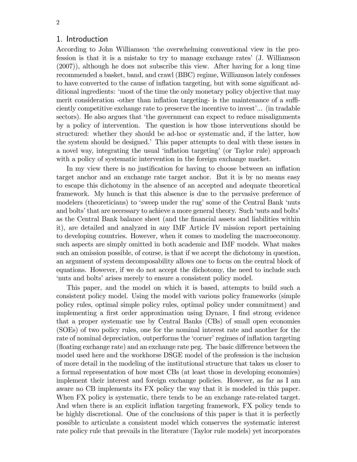#### 1. Introduction

According to John Williamson ëthe overwhelming conventional view in the profession is that it is a mistake to try to manage exchange ratesí (J. Williamson (2007)), although he does not subscribe this view. After having for a long time recommended a basket, band, and crawl (BBC) regime, Williamson lately confesses to have converted to the cause of inflation targeting, but with some significant additional ingredients: ëmost of the time the only monetary policy objective that may merit consideration -other than inflation targeting- is the maintenance of a sufficiently competitive exchange rate to preserve the incentive to invest'... (in tradable sectors). He also argues that 'the government can expect to reduce misalignments by a policy of intervention. The question is how those interventions should be structured: whether they should be ad-hoc or systematic and, if the latter, how the system should be designed.<sup>†</sup> This paper attempts to deal with these issues in a novel way, integrating the usual 'inflation targeting' (or Taylor rule) approach with a policy of systematic intervention in the foreign exchange market.

In my view there is no justification for having to choose between an inflation target anchor and an exchange rate target anchor. But it is by no means easy to escape this dichotomy in the absence of an accepted and adequate theoretical framework. My hunch is that this absence is due to the pervasive preference of modelers (theoreticians) to 'sweep under the rug' some of the Central Bank 'nuts and bolts' that are necessary to achieve a more general theory. Such 'nuts and bolts' as the Central Bank balance sheet (and the Önancial assets and liabilities within it), are detailed and analyzed in any IMF Article IV mission report pertaining to developing countries. However, when it comes to modeling the macroeconomy. such aspects are simply omitted in both academic and IMF models. What makes such an omission possible, of course, is that if we accept the dichotomy in question, an argument of system decomposability allows one to focus on the central block of equations. However, if we do not accept the dichotomy, the need to include such 'nuts and bolts' arises merely to ensure a consistent policy model.

This paper, and the model on which it is based, attempts to build such a consistent policy model. Using the model with various policy frameworks (simple policy rules, optimal simple policy rules, optimal policy under commitment) and implementing a first order approximation using Dynare, I find strong evidence that a proper systematic use by Central Banks (CBs) of small open economies (SOEs) of two policy rules, one for the nominal interest rate and another for the rate of nominal depreciation, outperforms the 'corner' regimes of inflation targeting (floating exchange rate) and an exchange rate peg. The basic difference between the model used here and the workhorse DSGE model of the profession is the inclusion of more detail in the modeling of the institutional structure that takes us closer to a formal representation of how most CBs (at least those in developing economies) implement their interest and foreign exchange policies. However, as far as I am aware no CB implements its FX policy the way that it is modeled in this paper. When FX policy is systematic, there tends to be an exchange rate-related target. And when there is an explicit ináation targeting framework, FX policy tends to be highly discretional. One of the conclusions of this paper is that it is perfectly possible to articulate a consistent model which conserves the systematic interest rate policy rule that prevails in the literature (Taylor rule models) yet incorporates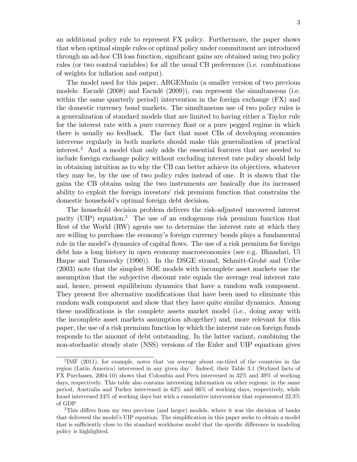an additional policy rule to represent FX policy. Furthermore, the paper shows that when optimal simple rules or optimal policy under commitment are introduced through an ad-hoc CB loss function, significant gains are obtained using two policy rules (or two control variables) for all the usual CB preferences (i.e. combinations of weights for inflation and output).

The model used for this paper, ARGEMmin (a smaller version of two previous models: Escudé  $(2008)$  and Escudé  $(2009)$ , can represent the simultaneous (i.e. within the same quarterly period) intervention in the foreign exchange (FX) and the domestic currency bond markets. The simultaneous use of two policy rules is a generalization of standard models that are limited to having either a Taylor rule for the interest rate with a pure currency float or a pure pegged regime in which there is usually no feedback. The fact that most CBs of developing economies intervene regularly in both markets should make this generalization of practical interest.<sup>2</sup> And a model that only adds the essential features that are needed to include foreign exchange policy without excluding interest rate policy should help in obtaining intuition as to why the CB can better achieve its objectives, whatever they may be, by the use of two policy rules instead of one. It is shown that the gains the CB obtains using the two instruments are basically due its increased ability to exploit the foreign investors' risk premium function that constrains the domestic household's optimal foreign debt decision.

The household decision problem delivers the risk-adjusted uncovered interest parity (UIP) equation.<sup>3</sup> The use of an endogenous risk premium function that Rest of the World (RW) agents use to determine the interest rate at which they are willing to purchase the economy's foreign currency bonds plays a fundamental role in the model's dynamics of capital flows. The use of a risk premium for foreign debt has a long history in open economy macroeconomics (see e.g. Bhandari, Ul Haque and Turnovsky (1990)). In the DSGE strand, Schmitt-Grohé and Uribe (2003) note that the simplest SOE models with incomplete asset markets use the assumption that the subjective discount rate equals the average real interest rate and, hence, present equilibrium dynamics that have a random walk component. They present five alternative modifications that have been used to eliminate this random walk component and show that they have quite similar dynamics. Among these modifications is the complete assets market model (i.e., doing away with the incomplete asset markets assumption altogether) and, more relevant for this paper, the use of a risk premium function by which the interest rate on foreign funds responds to the amount of debt outstanding. In the latter variant, combining the non-stochastic steady state (NSS) versions of the Euler and UIP equations gives

<sup>&</sup>lt;sup>2</sup>IMF (2011), for example, notes that 'on average about on-third of the countries in the region (Latin America) intervened in any given dayí. Indeed, their Table 3.1 (Stylized facts of FX Purchases, 2004-10) shows that Colombia and Peru intervened in 32% and 39% of working days, respectively. This table also contains interesting information on other regions: in the same period, Australia and Turkey intervened in 62% and 66% of working days, respectively, while Israel intervened 24% of working days but with a cumulative intervention that represented 22.3% of GDP.

 $3$ This differs from my two previous (and larger) models, where it was the decision of banks that delivered the model's UIP equation. The simplification in this paper seeks to obtain a model that is sufficiently close to the standard workhorse model that the specific difference in modeling policy is highlighted.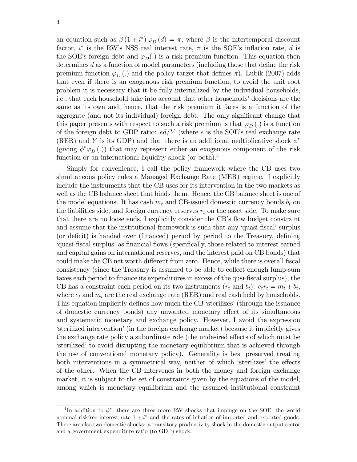an equation such as  $\beta(1+i^*)\varphi_D(d) = \pi$ , where  $\beta$  is the intertemporal discount factor,  $i^*$  is the RW's NSS real interest rate,  $\pi$  is the SOE's inflation rate, d is the SOE's foreign debt and  $\varphi_D(.)$  is a risk premium function. This equation then determines  $d$  as a function of model parameters (including those that define the risk premium function  $\varphi_D$  (.) and the policy target that defines  $\pi$ ). Lubik (2007) adds that even if there is an exogenous risk premium function, to avoid the unit root problem it is necessary that it be fully internalized by the individual households, i.e., that each household take into account that other households' decisions are the same as its own and, hence, that the risk premium it faces is a function of the aggregate (and not its individual) foreign debt. The only significant change that this paper presents with respect to such a risk premium is that  $\varphi_D(.)$  is a function of the foreign debt to GDP ratio:  $ed/Y$  (where e is the SOE's real exchange rate (RER) and Y is its GDP) and that there is an additional multiplicative shock  $\phi^*$ (giving  $\phi^* \varphi_D(.)$ ) that may represent either an exogenous component of the risk function or an international liquidity shock (or both).<sup>4</sup>

Simply for convenience, I call the policy framework where the CB uses two simultaneous policy rules a Managed Exchange Rate (MER) regime. I explicitly include the instruments that the CB uses for its intervention in the two markets as well as the CB balance sheet that binds them. Hence, the CB balance sheet is one of the model equations. It has cash  $m_t$  and CB-issued domestic currency bonds  $b_t$  on the liabilities side, and foreign currency reserves  $r_t$  on the asset side. To make sure that there are no loose ends, I explicitly consider the CB's flow budget constraint and assume that the institutional framework is such that any 'quasi-fiscal' surplus (or deficit) is handed over (financed) period by period to the Treasury, defining ëquasi-Öscal surplusías Önancial áows (speciÖcally, those related to interest earned and capital gains on international reserves, and the interest paid on CB bonds) that could make the CB net worth different from zero. Hence, while there is overall fiscal consistency (since the Treasury is assumed to be able to collect enough lump-sum taxes each period to finance its expenditures in excess of the qusi-fiscal surplus), the CB has a constraint each period on its two instruments  $(r_t \text{ and } b_t): e_t r_t = m_t + b_t$ , where  $e_t$  and  $m_t$  are the real exchange rate (RER) and real cash held by households. This equation implicitly defines how much the CB 'sterilizes' (through the issuance of domestic currency bonds) any unwanted monetary e§ect of its simultaneous and systematic monetary and exchange policy. However, I avoid the expression ësterilized interventioní(in the foreign exchange market) because it implicitly gives the exchange rate policy a subordinate role (the undesired effects of which must be Exertifized to avoid disrupting the monetary equilibrium that is achieved through the use of conventional monetary policy). Generality is best preserved treating both interventions in a symmetrical way, neither of which 'sterilizes' the effects of the other. When the CB intervenes in both the money and foreign exchange market, it is subject to the set of constraints given by the equations of the model, among which is monetary equilibrium and the assumed institutional constraint

<sup>&</sup>lt;sup>4</sup>In addition to  $\phi^*$ , there are three more RW shocks that impinge on the SOE: the world nominal riskfree interest rate  $1 + i^*$  and the rates of inflation of imported and exported goods. There are also two domestic shocks: a transitory productivity shock in the domestic output sector and a government expenditure ratio (to GDP) shock.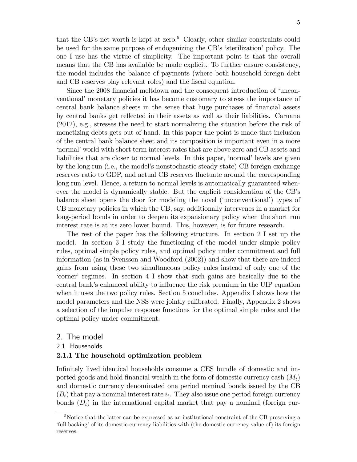that the CB's net worth is kept at zero.<sup>5</sup> Clearly, other similar constraints could be used for the same purpose of endogenizing the CB's 'sterilization' policy. The one I use has the virtue of simplicity. The important point is that the overall means that the CB has available be made explicit. To further ensure consistency, the model includes the balance of payments (where both household foreign debt and CB reserves play relevant roles) and the fiscal equation.

Since the 2008 financial meltdown and the consequent introduction of 'unconventional' monetary policies it has become customary to stress the importance of central bank balance sheets in the sense that huge purchases of financial assets by central banks get reáected in their assets as well as their liabilities. Caruana (2012), e.g., stresses the need to start normalizing the situation before the risk of monetizing debts gets out of hand. In this paper the point is made that inclusion of the central bank balance sheet and its composition is important even in a more ënormalíworld with short term interest rates that are above zero and CB assets and liabilities that are closer to normal levels. In this paper, 'normal' levels are given by the long run (i.e., the model's nonstochastic steady state) CB foreign exchange reserves ratio to GDP, and actual CB reserves fluctuate around the corresponding long run level. Hence, a return to normal levels is automatically guaranteed whenever the model is dynamically stable. But the explicit consideration of the CB's balance sheet opens the door for modeling the novel ('unconventional') types of CB monetary policies in which the CB, say, additionally intervenes in a market for long-period bonds in order to deepen its expansionary policy when the short run interest rate is at its zero lower bound. This, however, is for future research.

The rest of the paper has the following structure. In section 2 I set up the model. In section 3 I study the functioning of the model under simple policy rules, optimal simple policy rules, and optimal policy under commitment and full information (as in Svensson and Woodford (2002)) and show that there are indeed gains from using these two simultaneous policy rules instead of only one of the ëcornerí regimes. In section 4 I show that such gains are basically due to the central bankís enhanced ability to ináuence the risk premium in the UIP equation when it uses the two policy rules. Section 5 concludes. Appendix I shows how the model parameters and the NSS were jointly calibrated. Finally, Appendix 2 shows a selection of the impulse response functions for the optimal simple rules and the optimal policy under commitment.

#### 2. The model

2.1. Households

#### 2.1.1 The household optimization problem

Infinitely lived identical households consume a CES bundle of domestic and imported goods and hold financial wealth in the form of domestic currency cash  $(M_t)$ and domestic currency denominated one period nominal bonds issued by the CB  $(B_t)$  that pay a nominal interest rate  $i_t$ . They also issue one period foreign currency bonds  $(D_t)$  in the international capital market that pay a nominal (foreign cur-

<sup>&</sup>lt;sup>5</sup>Notice that the latter can be expressed as an institutional constraint of the CB preserving a full backing' of its domestic currency liabilities with (the domestic currency value of) its foreign reserves.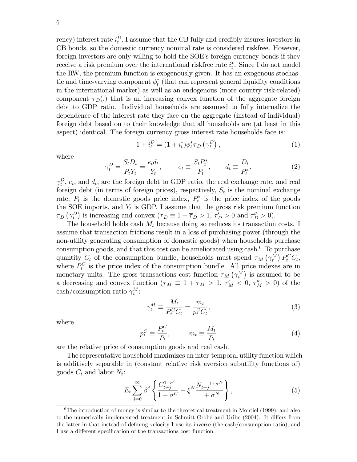rency) interest rate  $i_t^D$ . I assume that the CB fully and credibly insures investors in CB bonds, so the domestic currency nominal rate is considered riskfree. However, foreign investors are only willing to hold the SOE's foreign currency bonds if they receive a risk premium over the international riskfree rate  $i_t^*$ . Since I do not model the RW, the premium function is exogenously given. It has an exogenous stochastic and time-varying component  $\phi_t^*$  (that can represent general liquidity conditions in the international market) as well as an endogenous (more country risk-related) component  $\tau_D(.)$  that is an increasing convex function of the aggregate foreign debt to GDP ratio. Individual households are assumed to fully internalize the dependence of the interest rate they face on the aggregate (instead of individual) foreign debt based on to their knowledge that all households are (at least in this aspect) identical. The foreign currency gross interest rate households face is:

$$
1 + i_t^D = (1 + i_t^*)\phi_t^* \tau_D \left( \gamma_t^D \right), \tag{1}
$$

where

$$
\gamma_t^D = \frac{S_t D_t}{P_t Y_t} = \frac{e_t d_t}{Y_t}, \qquad e_t \equiv \frac{S_t P_t^*}{P_t}, \qquad d_t \equiv \frac{D_t}{P_t^*}.
$$
\n
$$
(2)
$$

 $\gamma_t^D$ ,  $e_t$ , and  $d_t$ , are the foreign debt to GDP ratio, the real exchange rate, and real foreign debt (in terms of foreign prices), respectively,  $S_t$  is the nominal exchange rate,  $P_t$  is the domestic goods price index,  $P_t^*$  is the price index of the goods the SOE imports, and  $Y_t$  is GDP. I assume that the gross risk premium function  $\tau_D(\gamma_t^D)$  is increasing and convex  $(\tau_D \equiv 1 + \overline{\tau}_D > 1, \tau_D' > 0$  and  $\tau_D'' > 0$ ).

The household holds cash  $M_t$  because doing so reduces its transaction costs. I assume that transaction frictions result in a loss of purchasing power (through the non-utility generating consumption of domestic goods) when households purchase consumption goods, and that this cost can be ameliorated using cash.<sup>6</sup> To purchase quantity  $C_t$  of the consumption bundle, households must spend  $\tau_M(\gamma_t^M) P_t^C C_t$ , where  $P_t^C$  is the price index of the consumption bundle. All price indexes are in monetary units. The gross transactions cost function  $\tau_M(\gamma_t^M)$  is assumed to be a decreasing and convex function  $(\tau_M \equiv 1 + \overline{\tau}_M > 1, \tau'_M < 0, \tau''_M > 0)$  of the cash/consumption ratio  $\gamma_t^M$ :

$$
\gamma_t^M \equiv \frac{M_t}{P_t^C C_t} = \frac{m_t}{p_t^C C_t},\tag{3}
$$

where

$$
p_t^C \equiv \frac{P_t^C}{P_t}, \qquad m_t \equiv \frac{M_t}{P_t} \tag{4}
$$

are the relative price of consumption goods and real cash.

The representative household maximizes an inter-temporal utility function which is additively separable in (constant relative risk aversion subutility functions of) goods  $C_t$  and labor  $N_t$ :

$$
E_t \sum_{j=0}^{\infty} \beta^j \left\{ \frac{C_{t+j}^{1-\sigma^C}}{1-\sigma^C} - \xi^N \frac{N_{t+j}^{1+\sigma^N}}{1+\sigma^N} \right\},
$$
 (5)

 $6$ The introduction of money is similar to the theoretical treatment in Montiel (1999), and also to the numerically implemented treatment in Schmitt-Grohé and Uribe (2004). It differs from the latter in that instead of defining velocity I use its inverse (the cash/consumption ratio), and I use a different specification of the transactions cost function.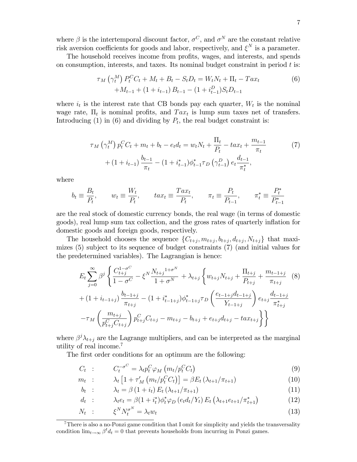where  $\beta$  is the intertemporal discount factor,  $\sigma^C$ , and  $\sigma^N$  are the constant relative risk aversion coefficients for goods and labor, respectively, and  $\xi^N$  is a parameter.

The household receives income from profits, wages, and interests, and spends on consumption, interests, and taxes. Its nominal budget constraint in period  $t$  is:

$$
\tau_M\left(\gamma_t^M\right)P_t^C C_t + M_t + B_t - S_t D_t = W_t N_t + \Pi_t - T a x_t
$$
  
+
$$
M_{t-1} + (1 + i_{t-1}) B_{t-1} - (1 + i_{t-1}) S_t D_{t-1}
$$
 (6)

where  $i_t$  is the interest rate that CB bonds pay each quarter,  $W_t$  is the nominal wage rate,  $\Pi_t$  is nominal profits, and  $Tax_t$  is lump sum taxes net of transfers. Introducing (1) in (6) and dividing by  $P_t$ , the real budget constraint is:

$$
\tau_M\left(\gamma_t^M\right)p_t^C C_t + m_t + b_t - e_t d_t = w_t N_t + \frac{\Pi_t}{P_t} - t a x_t + \frac{m_{t-1}}{\pi_t} \tag{7}
$$

$$
+ \left(1 + i_{t-1}\right) \frac{b_{t-1}}{\pi_t} - \left(1 + i_{t-1}^*\right) \phi_{t-1}^* \tau_D\left(\gamma_{t-1}^D\right) e_t \frac{d_{t-1}}{\pi_t^*},
$$

where

$$
b_t \equiv \frac{B_t}{P_t}
$$
,  $w_t \equiv \frac{W_t}{P_t}$ ,  $tax_t \equiv \frac{Tax_t}{P_t}$ ,  $\pi_t \equiv \frac{P_t}{P_{t-1}}$ ,  $\pi_t^* \equiv \frac{P_t^*}{P_{t-1}^*}$ 

are the real stock of domestic currency bonds, the real wage (in terms of domestic goods), real lump sum tax collection, and the gross rates of quarterly ináation for domestic goods and foreign goods, respectively.

The household chooses the sequence  $\{C_{t+j}, m_{t+j}, b_{t+j}, d_{t+j}, N_{t+j}\}\$  that maximizes (5) subject to its sequence of budget constraints (7) (and initial values for the predetermined variables). The Lagrangian is hence:

$$
E_{t} \sum_{j=0}^{\infty} \beta^{j} \left\{ \frac{C_{t+j}^{1-\sigma^{C}}}{1-\sigma^{C}} - \xi^{N} \frac{N_{t+j}^{1+\sigma^{N}}}{1+\sigma^{N}} + \lambda_{t+j} \left\{ w_{t+j} N_{t+j} + \frac{\Pi_{t+j}}{P_{t+j}} + \frac{m_{t-1+j}}{\pi_{t+j}} \right. (8) + (1+i_{t-1+j}) \frac{b_{t-1+j}}{\pi_{t+j}} - (1+i_{t-1+j}^{*}) \phi_{t-1+j}^{*} \tau_{D} \left( \frac{e_{t-1+j} d_{t-1+j}}{Y_{t-1+j}} \right) e_{t+j} \frac{d_{t-1+j}}{\pi_{t+j}^{*}} - \tau_{M} \left( \frac{m_{t+j}}{p_{t+j}^{C} C_{t+j}} \right) p_{t+j}^{C} C_{t+j} - m_{t+j} - b_{t+j} + e_{t+j} d_{t+j} - tax_{t+j} \right\} \right\}
$$

where  $\beta^j \lambda_{t+j}$  are the Lagrange multipliers, and can be interpreted as the marginal utility of real income.<sup>7</sup>

The first order conditions for an optimum are the following:

$$
C_t : C_t^{-\sigma^C} = \lambda_t p_t^C \varphi_M \left( m_t / p_t^C C_t \right)
$$
\n
$$
(9)
$$

$$
m_t : \qquad \lambda_t \left[ 1 + \tau_M' \left( m_t / p_t^C C_t \right) \right] = \beta E_t \left( \lambda_{t+1} / \pi_{t+1} \right) \tag{10}
$$

$$
b_t : \qquad \lambda_t = \beta \left( 1 + i_t \right) E_t \left( \lambda_{t+1} / \pi_{t+1} \right) \tag{11}
$$

$$
d_t : \qquad \lambda_t e_t = \beta (1 + i_t^*) \phi_t^* \varphi_D \left( e_t d_t / Y_t \right) E_t \left( \lambda_{t+1} e_{t+1} / \pi_{t+1}^* \right) \tag{12}
$$

$$
N_t : \qquad \xi^N N_t^{\sigma^N} = \lambda_t w_t \tag{13}
$$

<sup>7</sup>There is also a no-Ponzi game condition that I omit for simplicity and yields the transversality condition  $\lim_{t\to\infty} \beta^t d_t = 0$  that prevents households from incurring in Ponzi games.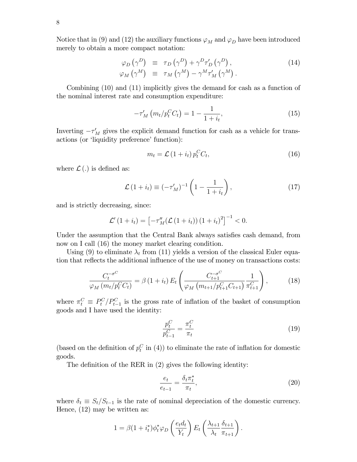Notice that in (9) and (12) the auxiliary functions  $\varphi_M$  and  $\varphi_D$  have been introduced merely to obtain a more compact notation:

$$
\varphi_D(\gamma^D) \equiv \tau_D(\gamma^D) + \gamma^D \tau'_D(\gamma^D), \n\varphi_M(\gamma^M) \equiv \tau_M(\gamma^M) - \gamma^M \tau'_M(\gamma^M).
$$
\n(14)

Combining (10) and (11) implicitly gives the demand for cash as a function of the nominal interest rate and consumption expenditure:

$$
-\tau'_{M} \left( m_{t}/p_{t}^{C} C_{t} \right) = 1 - \frac{1}{1 + i_{t}}, \qquad (15)
$$

Inverting  $-\tau_M'$  gives the explicit demand function for cash as a vehicle for transactions (or 'liquidity preference' function):

$$
m_t = \mathcal{L} \left( 1 + i_t \right) p_t^C C_t,\tag{16}
$$

where  $\mathcal{L}$  (.) is defined as:

$$
\mathcal{L}\left(1+i_{t}\right) \equiv \left(-\tau'_{M}\right)^{-1}\left(1-\frac{1}{1+i_{t}}\right),\tag{17}
$$

and is strictly decreasing, since:

$$
\mathcal{L}'(1+i_t) = \left[ -\tau_M''(\mathcal{L}(1+i_t)) (1+i_t)^2 \right]^{-1} < 0.
$$

Under the assumption that the Central Bank always satisfies cash demand, from now on I call (16) the money market clearing condition.

Using (9) to eliminate  $\lambda_t$  from (11) yields a version of the classical Euler equation that reflects the additional influence of the use of money on transactions costs:

$$
\frac{C_t^{-\sigma^C}}{\varphi_M(m_t/p_t^C C_t)} = \beta (1 + i_t) E_t \left( \frac{C_{t+1}^{-\sigma^C}}{\varphi_M(m_{t+1}/p_{t+1}^C C_{t+1})} \frac{1}{\pi_{t+1}^C} \right), \tag{18}
$$

where  $\pi_t^C \equiv P_t^C/P_{t-1}^C$  is the gross rate of inflation of the basket of consumption goods and I have used the identity:

$$
\frac{p_t^C}{p_{t-1}^C} = \frac{\pi_t^C}{\pi_t} \tag{19}
$$

(based on the definition of  $p_t^C$  in (4)) to eliminate the rate of inflation for domestic goods.

The definition of the RER in  $(2)$  gives the following identity:

$$
\frac{e_t}{e_{t-1}} = \frac{\delta_t \pi_t^*}{\pi_t},\tag{20}
$$

where  $\delta_t \equiv S_t/S_{t-1}$  is the rate of nominal depreciation of the domestic currency. Hence, (12) may be written as:

$$
1 = \beta (1 + i_t^*) \phi_t^* \varphi_D \left( \frac{e_t d_t}{Y_t} \right) E_t \left( \frac{\lambda_{t+1}}{\lambda_t} \frac{\delta_{t+1}}{\pi_{t+1}} \right).
$$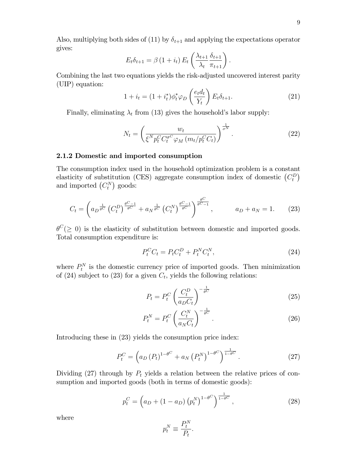$$
E_t \delta_{t+1} = \beta \left(1 + i_t\right) E_t \left(\frac{\lambda_{t+1}}{\lambda_t} \frac{\delta_{t+1}}{\pi_{t+1}}\right).
$$

Combining the last two equations yields the risk-adjusted uncovered interest parity (UIP) equation:

$$
1 + i_t = (1 + i_t^*)\phi_t^* \varphi_D \left(\frac{e_t d_t}{Y_t}\right) E_t \delta_{t+1}.
$$
\n(21)

Finally, eliminating  $\lambda_t$  from (13) gives the household's labor supply:

$$
N_t = \left(\frac{w_t}{\xi^N p_t^C C_t^{\sigma^C} \varphi_M \left(m_t / p_t^C C_t\right)}\right)^{\frac{1}{\sigma^N}}.
$$
\n(22)

#### 2.1.2 Domestic and imported consumption

The consumption index used in the household optimization problem is a constant elasticity of substitution (CES) aggregate consumption index of domestic  $(C_t^D)$ and imported  $(C_t^N)$  goods:

$$
C_t = \left( a_D^{\frac{1}{\theta^C}} \left( C_t^D \right)^{\frac{\theta^C - 1}{\theta^C}} + a_N^{\frac{1}{\theta^C}} \left( C_t^N \right)^{\frac{\theta^C - 1}{\theta^C}} \right)^{\frac{\theta^C}{\theta^C - 1}}, \qquad a_D + a_N = 1. \tag{23}
$$

 $\theta^C (\geq 0)$  is the elasticity of substitution between domestic and imported goods. Total consumption expenditure is:

$$
P_t^C C_t = P_t C_t^D + P_t^N C_t^N,
$$
\n(24)

where  $P_t^N$  is the domestic currency price of imported goods. Then minimization of (24) subject to (23) for a given  $C_t$ , yields the following relations:

$$
P_t = P_t^C \left(\frac{C_t^D}{a_D C_t}\right)^{-\frac{1}{\theta^C}}
$$
\n(25)

$$
P_t^N = P_t^C \left(\frac{C_t^N}{a_N C_t}\right)^{-\frac{1}{\theta^C}}.\tag{26}
$$

Introducing these in (23) yields the consumption price index:

$$
P_t^C = \left( a_D \left( P_t \right)^{1 - \theta^C} + a_N \left( P_t^N \right)^{1 - \theta^C} \right)^{\frac{1}{1 - \theta^C}}.
$$
 (27)

Dividing (27) through by  $P_t$  yields a relation between the relative prices of consumption and imported goods (both in terms of domestic goods):

$$
p_t^C = \left(a_D + (1 - a_D) \left(p_t^N\right)^{1 - \theta^C}\right)^{\frac{1}{1 - \theta^C}},\tag{28}
$$

where

$$
p_t^N \equiv \frac{P_t^N}{P_t}.
$$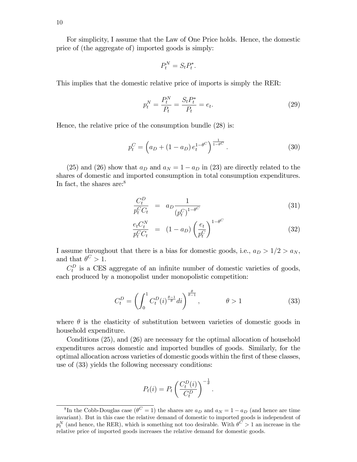For simplicity, I assume that the Law of One Price holds. Hence, the domestic price of (the aggregate of) imported goods is simply:

$$
P_t^N = S_t P_t^*.
$$

This implies that the domestic relative price of imports is simply the RER:

$$
p_t^N = \frac{P_t^N}{P_t} = \frac{S_t P_t^*}{P_t} = e_t.
$$
\n(29)

Hence, the relative price of the consumption bundle (28) is:

$$
p_t^C = \left(a_D + (1 - a_D)e_t^{1 - \theta^C}\right)^{\frac{1}{1 - \theta^C}}.
$$
\n(30)

(25) and (26) show that  $a_D$  and  $a_N = 1 - a_D$  in (23) are directly related to the shares of domestic and imported consumption in total consumption expenditures. In fact, the shares are: $8$ 

$$
\frac{C_t^D}{p_t^C C_t} = a_D \frac{1}{(p_t^C)^{1-\theta^C}}
$$
\n(31)

$$
\frac{e_t C_t^N}{p_t^C C_t} = (1 - a_D) \left(\frac{e_t}{p_t^C}\right)^{1 - \theta^C}
$$
\n(32)

I assume throughout that there is a bias for domestic goods, i.e.,  $a_D > 1/2 > a_N$ , and that  $\theta^C > 1$ .

 $C_t^D$  is a CES aggregate of an infinite number of domestic varieties of goods, each produced by a monopolist under monopolistic competition:

$$
C_t^D = \left(\int_0^1 C_t^D(i)^{\frac{\theta - 1}{\theta}} di\right)^{\frac{\theta}{\theta - 1}}, \qquad \theta > 1 \tag{33}
$$

where  $\theta$  is the elasticity of substitution between varieties of domestic goods in household expenditure.

Conditions (25), and (26) are necessary for the optimal allocation of household expenditures across domestic and imported bundles of goods. Similarly, for the optimal allocation across varieties of domestic goods within the Örst of these classes, use of (33) yields the following necessary conditions:

$$
P_t(i) = P_t \left( \frac{C_t^D(i)}{C_t^D} \right)^{-\frac{1}{\theta}}.
$$

<sup>&</sup>lt;sup>8</sup>In the Cobb-Douglas case ( $\theta^C = 1$ ) the shares are  $a_D$  and  $a_N = 1 - a_D$  (and hence are time invariant). But in this case the relative demand of domestic to imported goods is independent of  $p_t^N$  (and hence, the RER), which is something not too desirable. With  $\theta^C > 1$  an increase in the relative price of imported goods increases the relative demand for domestic goods.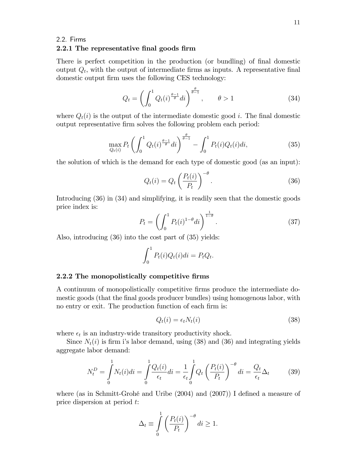### 2.2. Firms

#### 2.2.1 The representative final goods firm

There is perfect competition in the production (or bundling) of final domestic output  $Q_t$ , with the output of intermediate firms as inputs. A representative final domestic output firm uses the following CES technology:

$$
Q_t = \left(\int_0^1 Q_t(i)^{\frac{\theta-1}{\theta}} di\right)^{\frac{\theta}{\theta-1}}, \qquad \theta > 1 \tag{34}
$$

where  $Q_t(i)$  is the output of the intermediate domestic good *i*. The final domestic output representative firm solves the following problem each period:

$$
\max_{Q_t(i)} P_t \left( \int_0^1 Q_t(i)^{\frac{\theta - 1}{\theta}} di \right)^{\frac{\theta}{\theta - 1}} - \int_0^1 P_t(i) Q_t(i) di,\tag{35}
$$

the solution of which is the demand for each type of domestic good (as an input):

$$
Q_t(i) = Q_t \left(\frac{P_t(i)}{P_t}\right)^{-\theta}.
$$
\n(36)

Introducing (36) in (34) and simplifying, it is readily seen that the domestic goods price index is:

$$
P_t = \left(\int_0^1 P_t(i)^{1-\theta} di\right)^{\frac{1}{1-\theta}}.\tag{37}
$$

Also, introducing (36) into the cost part of (35) yields:

$$
\int_0^1 P_t(i)Q_t(i)di = P_tQ_t.
$$

#### 2.2.2 The monopolistically competitive firms

A continuum of monopolistically competitive Örms produce the intermediate domestic goods (that the final goods producer bundles) using homogenous labor, with no entry or exit. The production function of each firm is:

$$
Q_t(i) = \epsilon_t N_t(i) \tag{38}
$$

where  $\epsilon_t$  is an industry-wide transitory productivity shock.

Since  $N_t(i)$  is firm i's labor demand, using (38) and (36) and integrating yields aggregate labor demand:

$$
N_t^D = \int_0^1 N_t(i)di = \int_0^1 \frac{Q_t(i)}{\epsilon_t}di = \frac{1}{\epsilon_t} \int_0^1 Q_t \left(\frac{P_t(i)}{P_t}\right)^{-\theta} di = \frac{Q_t}{\epsilon_t} \Delta_t \tag{39}
$$

where (as in Schmitt-Grohé and Uribe  $(2004)$  and  $(2007)$ ) I defined a measure of price dispersion at period t:

$$
\Delta_t \equiv \int_0^1 \left( \frac{P_t(i)}{P_t} \right)^{-\theta} di \ge 1.
$$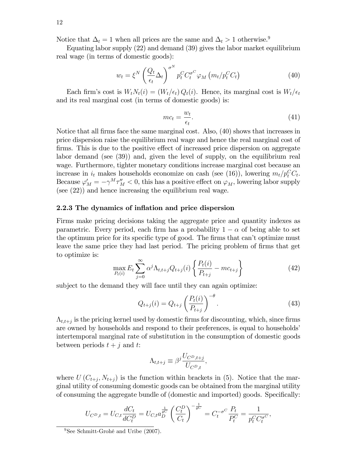Notice that  $\Delta_t = 1$  when all prices are the same and  $\Delta_t > 1$  otherwise.<sup>9</sup>

Equating labor supply (22) and demand (39) gives the labor market equilibrium real wage (in terms of domestic goods):

$$
w_t = \xi^N \left(\frac{Q_t}{\epsilon_t} \Delta_t\right)^{\sigma^N} p_t^C C_t^{\sigma^C} \varphi_M \left(m_t / p_t^C C_t\right)
$$
\n(40)

Each firm's cost is  $W_tN_t(i) = (W_t/\epsilon_t)Q_t(i)$ . Hence, its marginal cost is  $W_t/\epsilon_t$ and its real marginal cost (in terms of domestic goods) is:

$$
mc_t = \frac{w_t}{\epsilon_t}.\tag{41}
$$

Notice that all firms face the same marginal cost. Also, (40) shows that increases in price dispersion raise the equilibrium real wage and hence the real marginal cost of firms. This is due to the positive effect of increased price dispersion on aggregate labor demand (see (39)) and, given the level of supply, on the equilibrium real wage. Furthermore, tighter monetary conditions increase marginal cost because an increase in  $i_t$  makes households economize on cash (see (16)), lowering  $m_t/p_t^C C_t$ . Because  $\varphi'_M = -\gamma^M \tau''_M < 0$ , this has a positive effect on  $\varphi_M$ , lowering labor supply (see (22)) and hence increasing the equilibrium real wage.

#### 2.2.3 The dynamics of inflation and price dispersion

Firms make pricing decisions taking the aggregate price and quantity indexes as parametric. Every period, each firm has a probability  $1 - \alpha$  of being able to set the optimum price for its specific type of good. The firms that can't optimize must leave the same price they had last period. The pricing problem of firms that get to optimize is:

$$
\max_{P_t(i)} E_t \sum_{j=0}^{\infty} \alpha^j \Lambda_{t,t+j} Q_{t+j}(i) \left\{ \frac{P_t(i)}{P_{t+j}} - mc_{t+j} \right\} \tag{42}
$$

subject to the demand they will face until they can again optimize:

$$
Q_{t+j}(i) = Q_{t+j} \left(\frac{P_t(i)}{P_{t+j}}\right)^{-\theta}.
$$
\n(43)

 $\Lambda_{t,t+j}$  is the pricing kernel used by domestic firms for discounting, which, since firms are owned by households and respond to their preferences, is equal to households<sup>'</sup> intertemporal marginal rate of substitution in the consumption of domestic goods between periods  $t + j$  and t:

$$
\Lambda_{t,t+j} \equiv \beta^j \frac{U_{C^D,t+j}}{U_{C^D,t}},
$$

where  $U(C_{t+j}, N_{t+j})$  is the function within brackets in (5). Notice that the marginal utility of consuming domestic goods can be obtained from the marginal utility of consuming the aggregate bundle of (domestic and imported) goods. Specifically:

$$
U_{C^D,t} = U_{C,t} \frac{dC_t}{dC_t^D} = U_{C,t} a_D^{\frac{1}{\theta^C}} \left(\frac{C_t^D}{C_t}\right)^{-\frac{1}{\theta^C}} = C_t^{-\sigma^C} \frac{P_t}{P_t^C} = \frac{1}{p_t^C C_t^{\sigma^C}},
$$

 $9$ See Schmitt-Grohé and Uribe (2007).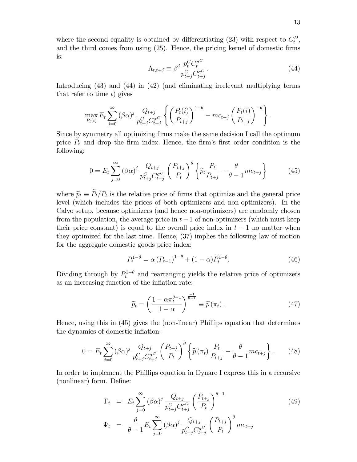where the second equality is obtained by differentiating (23) with respect to  $C_t^D$ , and the third comes from using  $(25)$ . Hence, the pricing kernel of domestic firms is:

$$
\Lambda_{t,t+j} \equiv \beta^j \frac{p_t^C C_t^{\sigma^C}}{p_{t+j}^C C_{t+j}^{\sigma^C}}.
$$
\n(44)

Introducing (43) and (44) in (42) (and eliminating irrelevant multiplying terms that refer to time  $t$ ) gives

$$
\max_{P_t(i)} E_t \sum_{j=0}^{\infty} (\beta \alpha)^j \frac{Q_{t+j}}{p_{t+j}^C C_{t+j}^{\sigma^C}} \left\{ \left( \frac{P_t(i)}{P_{t+j}} \right)^{1-\theta} - mc_{t+j} \left( \frac{P_t(i)}{P_{t+j}} \right)^{-\theta} \right\}.
$$

Since by symmetry all optimizing firms make the same decision I call the optimum price  $P_t$  and drop the firm index. Hence, the firm's first order condition is the following:

$$
0 = E_t \sum_{j=0}^{\infty} (\beta \alpha)^j \frac{Q_{t+j}}{p_{t+j}^C C_{t+j}^{\sigma^C}} \left(\frac{P_{t+j}}{P_t}\right)^{\theta} \left\{\tilde{p}_t \frac{P_t}{P_{t+j}} - \frac{\theta}{\theta - 1} mc_{t+j}\right\}
$$
(45)

where  $\widetilde{p}_t \equiv P_t/P_t$  is the relative price of firms that optimize and the general price level (which includes the prices of both optimizers and non-optimizers). In the Calvo setup, because optimizers (and hence non-optimizers) are randomly chosen from the population, the average price in  $t-1$  of non-optimizers (which must keep their price constant) is equal to the overall price index in  $t-1$  no matter when they optimized for the last time. Hence, (37) implies the following law of motion for the aggregate domestic goods price index:

$$
P_t^{1-\theta} = \alpha (P_{t-1})^{1-\theta} + (1-\alpha) \widetilde{P}_t^{1-\theta}.
$$
 (46)

Dividing through by  $P_t^{1-\theta}$  and rearranging yields the relative price of optimizers as an increasing function of the inflation rate:

$$
\widetilde{p}_t = \left(\frac{1 - \alpha \pi_t^{\theta - 1}}{1 - \alpha}\right)^{\frac{-1}{\theta - 1}} \equiv \widetilde{p}(\pi_t).
$$
\n(47)

Hence, using this in (45) gives the (non-linear) Phillips equation that determines the dynamics of domestic inflation:

$$
0 = E_t \sum_{j=0}^{\infty} (\beta \alpha)^j \frac{Q_{t+j}}{p_{t+j}^C C_{t+j}^{\sigma C}} \left(\frac{P_{t+j}}{P_t}\right)^{\theta} \left\{\tilde{p}(\pi_t) \frac{P_t}{P_{t+j}} - \frac{\theta}{\theta - 1} mc_{t+j}\right\}.
$$
 (48)

In order to implement the Phillips equation in Dynare I express this in a recursive (nonlinear) form. Define:

$$
\Gamma_t = E_t \sum_{j=0}^{\infty} (\beta \alpha)^j \frac{Q_{t+j}}{p_{t+j}^C C_{t+j}^{\sigma^C}} \left(\frac{P_{t+j}}{P_t}\right)^{\theta-1}
$$
\n
$$
\Psi_t = \frac{\theta}{\theta-1} E_t \sum_{j=0}^{\infty} (\beta \alpha)^j \frac{Q_{t+j}}{p_{t+j}^C C_{t+j}^{\sigma^C}} \left(\frac{P_{t+j}}{P_t}\right)^{\theta} mc_{t+j}
$$
\n(49)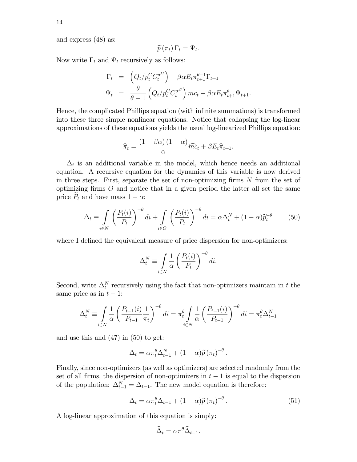and express (48) as:

$$
\widetilde{p}(\pi_t)\,\Gamma_t=\Psi_t.
$$

Now write  $\Gamma_t$  and  $\Psi_t$  recursively as follows:

$$
\Gamma_t = \left(Q_t/p_t^C C_t^{\sigma^C}\right) + \beta \alpha E_t \pi_{t+1}^{\theta-1} \Gamma_{t+1}
$$
\n
$$
\Psi_t = \frac{\theta}{\theta-1} \left(Q_t/p_t^C C_t^{\sigma^C}\right) m c_t + \beta \alpha E_t \pi_{t+1}^{\theta} \Psi_{t+1}.
$$

Hence, the complicated Phillips equation (with infinite summations) is transformed into these three simple nonlinear equations. Notice that collapsing the log-linear approximations of these equations yields the usual log-linearized Phillips equation:

$$
\widehat{\pi}_t = \frac{(1 - \beta \alpha)(1 - \alpha)}{\alpha} \widehat{mc}_t + \beta E_t \widehat{\pi}_{t+1}.
$$

 $\Delta_t$  is an additional variable in the model, which hence needs an additional equation. A recursive equation for the dynamics of this variable is now derived in three steps. First, separate the set of non-optimizing firms  $N$  from the set of optimizing firms  $O$  and notice that in a given period the latter all set the same price  $\tilde{P}_t$  and have mass  $1 - \alpha$ :

$$
\Delta_t \equiv \int\limits_{i \in N} \left( \frac{P_t(i)}{P_t} \right)^{-\theta} di + \int\limits_{i \in O} \left( \frac{P_t(i)}{P_t} \right)^{-\theta} di = \alpha \Delta_t^N + (1 - \alpha) \widetilde{p}_t^{-\theta} \tag{50}
$$

where I defined the equivalent measure of price dispersion for non-optimizers:

$$
\Delta_t^N \equiv \int\limits_{i \in N} \frac{1}{\alpha} \left( \frac{P_t(i)}{P_t} \right)^{-\theta} di.
$$

Second, write  $\Delta_t^N$  recursively using the fact that non-optimizers maintain in t the same price as in  $t - 1$ :

$$
\Delta_t^N \equiv \int\limits_{i \in N} \frac{1}{\alpha} \left( \frac{P_{t-1}(i)}{P_{t-1}} \frac{1}{\pi_t} \right)^{-\theta} di = \pi_t^{\theta} \int\limits_{i \in N} \frac{1}{\alpha} \left( \frac{P_{t-1}(i)}{P_{t-1}} \right)^{-\theta} di = \pi_t^{\theta} \Delta_{t-1}^N
$$

and use this and (47) in (50) to get:

$$
\Delta_t = \alpha \pi_t^{\theta} \Delta_{t-1}^N + (1 - \alpha) \widetilde{p} (\pi_t)^{-\theta}.
$$

Finally, since non-optimizers (as well as optimizers) are selected randomly from the set of all firms, the dispersion of non-optimizers in  $t - 1$  is equal to the dispersion of the population:  $\Delta_{t-1}^N = \Delta_{t-1}$ . The new model equation is therefore:

$$
\Delta_t = \alpha \pi_t^{\theta} \Delta_{t-1} + (1 - \alpha) \widetilde{p} (\pi_t)^{-\theta} . \tag{51}
$$

A log-linear approximation of this equation is simply:

$$
\widehat{\Delta}_t = \alpha \pi^\theta \widehat{\Delta}_{t-1}.
$$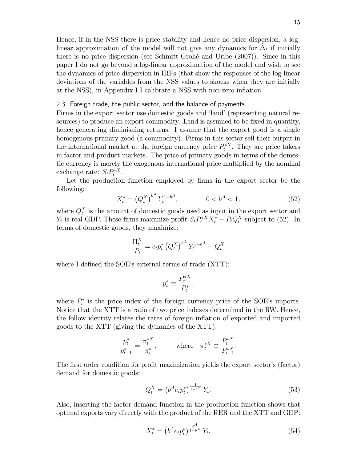Hence, if in the NSS there is price stability and hence no price dispersion, a loglinear approximation of the model will not give any dynamics for  $\Delta_t$  if initially there is no price dispersion (see Schmitt-GrohÈ and Uribe (2007)). Since in this paper I do not go beyond a log-linear approximation of the model and wish to see the dynamics of price dispersion in IRFs (that show the responses of the log-linear deviations of the variables from the NSS values to shocks when they are initially at the NSS), in Appendix I I calibrate a NSS with non-zero inflation.

#### 2.3. Foreign trade, the public sector, and the balance of payments

Firms in the export sector use domestic goods and 'land' (representing natural resources) to produce an export commodity. Land is assumed to be fixed in quantity, hence generating diminishing returns. I assume that the export good is a single homogenous primary good (a commodity). Firms in this sector sell their output in the international market at the foreign currency price  $P_t^{*X}$ . They are price takers in factor and product markets. The price of primary goods in terms of the domestic currency is merely the exogenous international price multiplied by the nominal exchange rate:  $S_t P_t^{*X}$ .

Let the production function employed by firms in the export sector be the following:

$$
X_t^* = (Q_t^X)^{b^A} Y_t^{1-b^A}, \qquad 0 < b^A < 1,\tag{52}
$$

where  $Q_t^X$  is the amount of domestic goods used as input in the export sector and  $Y_t$  is real GDP. These firms maximize profit  $S_t P_t^{*X} X_t^* - P_t Q_t^X$  subject to (52). In terms of domestic goods, they maximize:

$$
\frac{\Pi_t^X}{P_t} = e_t p_t^* \left( Q_t^X \right)^{b^A} Y_t^{1-b^A} - Q_t^X
$$

where I defined the SOE's external terms of trade (XTT):

$$
p_t^* \equiv \frac{P_t^{*X}}{P_t^*},
$$

where  $P_t^*$  is the price index of the foreign currency price of the SOE's imports. Notice that the XTT is a ratio of two price indexes determined in the RW. Hence, the follow identity relates the rates of foreign ináation of exported and imported goods to the XTT (giving the dynamics of the XTT):

$$
\frac{p_t^*}{p_{t-1}^*} = \frac{\pi_t^{*X}}{\pi_t^*}, \quad \text{where} \quad \pi_t^{*X} \equiv \frac{P_t^{*X}}{P_{t-1}^{*X}}.
$$

The first order condition for profit maximization yields the export sector's (factor) demand for domestic goods:

$$
Q_t^X = \left(b^A e_t p_t^*\right)^{\frac{1}{1-b^A}} Y_t.
$$
\n(53)

Also, inserting the factor demand function in the production function shows that optimal exports vary directly with the product of the RER and the XTT and GDP:

$$
X_t^* = \left(b^A e_t p_t^*\right)^{\frac{b^A}{1 - b^A}} Y_t. \tag{54}
$$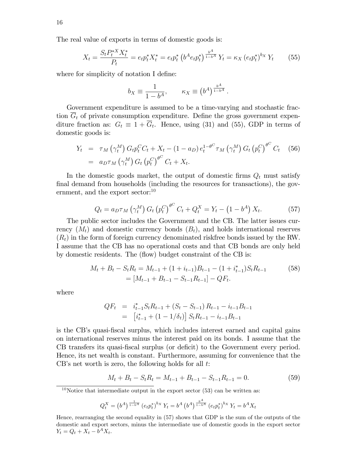The real value of exports in terms of domestic goods is:

$$
X_t = \frac{S_t P_t^{*X} X_t^*}{P_t} = e_t p_t^* X_t^* = e_t p_t^* \left( b^A e_t p_t^* \right)^{\frac{b^A}{1 - b^A}} Y_t = \kappa_X \left( e_t p_t^* \right)^{b_X} Y_t \tag{55}
$$

where for simplicity of notation I define:

$$
b_X \equiv \frac{1}{1 - b^A}, \qquad \kappa_X \equiv \left(b^A\right)^{\frac{b^A}{1 - b^A}}.
$$

Government expenditure is assumed to be a time-varying and stochastic fraction  $\overline{G}_t$  of private consumption expenditure. Define the gross government expenditure fraction as:  $G_t \equiv 1 + G_t$ . Hence, using (31) and (55), GDP in terms of domestic goods is:

$$
Y_t = \tau_M \left( \gamma_t^M \right) G_t p_t^C C_t + X_t - (1 - a_D) e_t^{1 - \theta^C} \tau_M \left( \gamma_t^M \right) G_t \left( p_t^C \right)^{\theta^C} C_t \tag{56}
$$
  
=  $a_D \tau_M \left( \gamma_t^M \right) G_t \left( p_t^C \right)^{\theta^C} C_t + X_t.$ 

In the domestic goods market, the output of domestic firms  $Q_t$  must satisfy final demand from households (including the resources for transactions), the government, and the export sector:<sup>10</sup>

$$
Q_t = a_D \tau_M \left( \gamma_t^M \right) G_t \left( p_t^C \right)^{\theta^C} C_t + Q_t^X = Y_t - \left( 1 - b^A \right) X_t. \tag{57}
$$

The public sector includes the Government and the CB. The latter issues currency  $(M_t)$  and domestic currency bonds  $(B_t)$ , and holds international reserves  $(R_t)$  in the form of foreign currency denominated riskfree bonds issued by the RW. I assume that the CB has no operational costs and that CB bonds are only held by domestic residents. The (flow) budget constraint of the CB is:

$$
M_t + B_t - S_t R_t = M_{t-1} + (1 + i_{t-1})B_{t-1} - (1 + i_{t-1}^*)S_t R_{t-1}
$$
\n
$$
= [M_{t-1} + B_{t-1} - S_{t-1} R_{t-1}] - QF_t.
$$
\n(58)

where

$$
QF_t = i_{t-1}^* S_t R_{t-1} + (S_t - S_{t-1}) R_{t-1} - i_{t-1} B_{t-1}
$$
  
= 
$$
[i_{t-1}^* + (1 - 1/\delta_t)] S_t R_{t-1} - i_{t-1} B_{t-1}
$$

is the CBís quasi-Öscal surplus, which includes interest earned and capital gains on international reserves minus the interest paid on its bonds. I assume that the CB transfers its quasi-fiscal surplus (or deficit) to the Government every period. Hence, its net wealth is constant. Furthermore, assuming for convenience that the  $CB$ 's net worth is zero, the following holds for all  $t$ :

$$
M_t + B_t - S_t R_t = M_{t-1} + B_{t-1} - S_{t-1} R_{t-1} = 0.
$$
\n
$$
(59)
$$

<sup>10</sup>Notice that intermediate output in the export sector  $(53)$  can be written as:

$$
Q_t^X = (b^A)^{\frac{1}{1-b^A}} (e_t p_t^*)^{b_X} Y_t = b^A (b^A)^{\frac{b^A}{1-b^A}} (e_t p_t^*)^{b_X} Y_t = b^A X_t
$$

Hence, rearranging the second equality in (57) shows that GDP is the sum of the outputs of the domestic and export sectors, minus the intermediate use of domestic goods in the export sector  $Y_t = Q_t + X_t - b^A X_t.$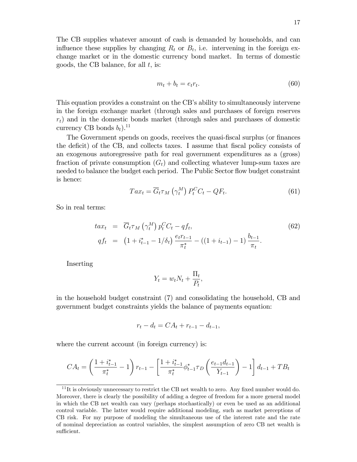The CB supplies whatever amount of cash is demanded by households, and can influence these supplies by changing  $R_t$  or  $B_t$ , i.e. intervening in the foreign exchange market or in the domestic currency bond market. In terms of domestic goods, the CB balance, for all  $t$ , is:

$$
m_t + b_t = e_t r_t. \tag{60}
$$

This equation provides a constraint on the CB's ability to simultaneously intervene in the foreign exchange market (through sales and purchases of foreign reserves  $r_t$ ) and in the domestic bonds market (through sales and purchases of domestic currency CB bonds  $b_t$ ).<sup>11</sup>

The Government spends on goods, receives the quasi-fiscal surplus (or finances the deficit) of the CB, and collects taxes. I assume that fiscal policy consists of an exogenous autoregressive path for real government expenditures as a (gross) fraction of private consumption  $(G_t)$  and collecting whatever lump-sum taxes are needed to balance the budget each period. The Public Sector flow budget constraint is hence:

$$
Tax_t = \overline{G}_t \tau_M \left(\gamma_t^M\right) P_t^C C_t - QF_t. \tag{61}
$$

So in real terms:

$$
tax_{t} = \overline{G}_{t}\tau_{M}\left(\gamma_{t}^{M}\right)p_{t}^{C}C_{t} - qf_{t},
$$
\n
$$
qf_{t} = \left(1 + i_{t-1}^{*} - 1/\delta_{t}\right)\frac{e_{t}r_{t-1}}{\pi_{t}^{*}} - \left(\left(1 + i_{t-1}\right) - 1\right)\frac{b_{t-1}}{\pi_{t}}.
$$
\n(62)

Inserting

$$
Y_t = w_t N_t + \frac{\Pi_t}{P_t},
$$

in the household budget constraint (7) and consolidating the household, CB and government budget constraints yields the balance of payments equation:

$$
r_t - d_t = CA_t + r_{t-1} - d_{t-1},
$$

where the current account (in foreign currency) is:

$$
CA_{t} = \left(\frac{1+i_{t-1}^{*}}{\pi_{t}^{*}} - 1\right) r_{t-1} - \left[\frac{1+i_{t-1}^{*}}{\pi_{t}^{*}} \phi_{t-1}^{*} \tau_{D} \left(\frac{e_{t-1}d_{t-1}}{Y_{t-1}}\right) - 1\right] d_{t-1} + TB_{t}
$$

 $11$ It is obviously unnecessary to restrict the CB net wealth to zero. Any fixed number would do. Moreover, there is clearly the possibility of adding a degree of freedom for a more general model in which the CB net wealth can vary (perhaps stochastically) or even be used as an additional control variable. The latter would require additional modeling, such as market perceptions of CB risk. For my purpose of modeling the simultaneous use of the interest rate and the rate of nominal depreciation as control variables, the simplest assumption of zero CB net wealth is sufficient.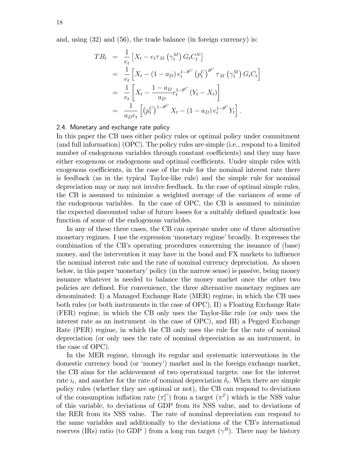and, using (32) and (56), the trade balance (in foreign currency) is:

$$
TB_{t} = \frac{1}{e_{t}} \left[ X_{t} - e_{t} \tau_{M} \left( \gamma_{t}^{M} \right) G_{t} C_{t}^{N} \right]
$$
  
\n
$$
= \frac{1}{e_{t}} \left[ X_{t} - (1 - a_{D}) e_{t}^{1 - \theta^{C}} \left( p_{t}^{C} \right)^{\theta^{C}} \tau_{M} \left( \gamma_{t}^{M} \right) G_{t} C_{t} \right]
$$
  
\n
$$
= \frac{1}{e_{t}} \left[ X_{t} - \frac{1 - a_{D}}{a_{D}} e_{t}^{1 - \theta^{C}} \left( Y_{t} - X_{t} \right) \right]
$$
  
\n
$$
= \frac{1}{a_{D} e_{t}} \left[ \left( p_{t}^{C} \right)^{1 - \theta^{C}} X_{t} - (1 - a_{D}) e_{t}^{1 - \theta^{C}} Y_{t} \right].
$$

#### 2.4. Monetary and exchange rate policy

In this paper the CB uses either policy rules or optimal policy under commitment (and full information) (OPC). The policy rules are simple (i.e., respond to a limited number of endogenous variables through constant coefficients) and they may have either exogenous or endogenous and optimal coefficients. Under simple rules with exogenous coefficients, in the case of the rule for the nominal interest rate there is feedback (as in the typical Taylor-like rule) and the simple rule for nominal depreciation may or may not involve feedback. In the case of optimal simple rules, the CB is assumed to minimize a weighted average of the variances of some of the endogenous variables. In the case of OPC, the CB is assumed to minimize the expected discounted value of future losses for a suitably defined quadratic loss function of some of the endogenous variables.

In any of these three cases, the CB can operate under one of three alternative monetary regimes. I use the expression 'monetary regime' broadly. It expresses the combination of the CB's operating procedures concerning the issuance of (base) money, and the intervention it may have in the bond and FX markets to influence the nominal interest rate and the rate of nominal currency depreciation. As shown below, in this paper ëmonetaryípolicy (in the narrow sense) is passive, being money issuance whatever is needed to balance the money market once the other two policies are defined. For convenience, the three alternative monetary regimes are denominated: I) a Managed Exchange Rate (MER) regime, in which the CB uses both rules (or both instruments in the case of OPC), II) a Floating Exchange Rate (FER) regime, in which the CB only uses the Taylor-like rule (or only uses the interest rate as an instrument -in the case of OPC), and III) a Pegged Exchange Rate (PER) regime, in which the CB only uses the rule for the rate of nominal depreciation (or only uses the rate of nominal depreciation as an instrument, in the case of OPC).

In the MER regime, through its regular and systematic interventions in the domestic currency bond (or 'money') market and in the foreign exchange market, the CB aims for the achievement of two operational targets: one for the interest rate  $i_t$ , and another for the rate of nominal depreciation  $\delta_t$ . When there are simple policy rules (whether they are optimal or not), the CB can respond to deviations of the consumption inflation rate  $(\pi_t^C)$  from a target  $(\pi^T)$  which is the NSS value of this variable, to deviations of GDP from its NSS value, and to deviations of the RER from its NSS value. The rate of nominal depreciation can respond to the same variables and additionally to the deviations of the CB's international reserves (IRs) ratio (to GDP) from a long run target  $(\gamma^R)$ . There may be history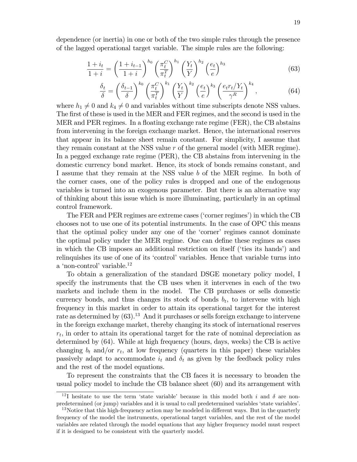dependence (or inertia) in one or both of the two simple rules through the presence of the lagged operational target variable. The simple rules are the following:

$$
\frac{1+i_t}{1+i} = \left(\frac{1+i_{t-1}}{1+i}\right)^{h_0} \left(\frac{\pi_t^C}{\pi_t^T}\right)^{h_1} \left(\frac{Y_t}{Y}\right)^{h_2} \left(\frac{e_t}{e}\right)^{h_3} \tag{63}
$$

$$
\frac{\delta_t}{\delta} = \left(\frac{\delta_{t-1}}{\delta}\right)^{k_0} \left(\frac{\pi_t^C}{\pi_t^T}\right)^{k_1} \left(\frac{Y_t}{Y}\right)^{k_2} \left(\frac{e_t}{e}\right)^{k_3} \left(\frac{e_t r_t/Y_t}{\gamma^R}\right)^{k_4},\tag{64}
$$

where  $h_1 \neq 0$  and  $k_4 \neq 0$  and variables without time subscripts denote NSS values. The first of these is used in the MER and FER regimes, and the second is used in the MER and PER regimes. In a floating exchange rate regime (FER), the CB abstains from intervening in the foreign exchange market. Hence, the international reserves that appear in its balance sheet remain constant. For simplicity, I assume that they remain constant at the NSS value r of the general model (with MER regime). In a pegged exchange rate regime (PER), the CB abstains from intervening in the domestic currency bond market. Hence, its stock of bonds remains constant, and I assume that they remain at the NSS value b of the MER regime. In both of the corner cases, one of the policy rules is dropped and one of the endogenous variables is turned into an exogenous parameter. But there is an alternative way of thinking about this issue which is more illuminating, particularly in an optimal control framework.

The FER and PER regimes are extreme cases ('corner regimes') in which the CB chooses not to use one of its potential instruments. In the case of OPC this means that the optimal policy under any one of the 'corner' regimes cannot dominate the optimal policy under the MER regime. One can define these regimes as cases in which the CB imposes an additional restriction on itself ('ties its hands') and relinquishes its use of one of its 'control' variables. Hence that variable turns into a 'non-control' variable.<sup>12</sup>

To obtain a generalization of the standard DSGE monetary policy model, I specify the instruments that the CB uses when it intervenes in each of the two markets and include them in the model. The CB purchases or sells domestic currency bonds, and thus changes its stock of bonds  $b_t$ , to intervene with high frequency in this market in order to attain its operational target for the interest rate as determined by  $(63)$ .<sup>13</sup> And it purchases or sells foreign exchange to intervene in the foreign exchange market, thereby changing its stock of international reserves  $r_t$ , in order to attain its operational target for the rate of nominal depreciation as determined by (64). While at high frequency (hours, days, weeks) the CB is active changing  $b_t$  and/or  $r_t$ , at low frequency (quarters in this paper) these variables passively adapt to accommodate  $i_t$  and  $\delta_t$  as given by the feedback policy rules and the rest of the model equations.

To represent the constraints that the CB faces it is necessary to broaden the usual policy model to include the CB balance sheet (60) and its arrangement with

<sup>&</sup>lt;sup>12</sup>I hesitate to use the term 'state variable' because in this model both i and  $\delta$  are nonpredetermined (or jump) variables and it is usual to call predetermined variables 'state variables'.

 $13$ Notice that this high-frequency action may be modeled in different ways. But in the quarterly frequency of the model the instruments, operational target variables, and the rest of the model variables are related through the model equations that any higher frequency model must respect if it is designed to be consistent with the quarterly model.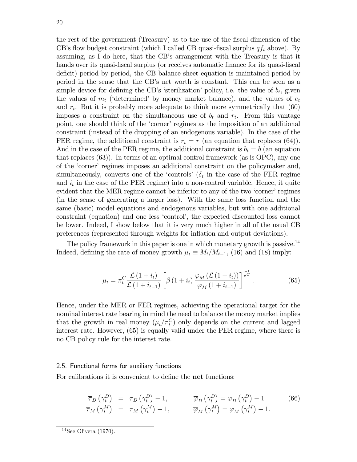the rest of the government (Treasury) as to the use of the Öscal dimension of the CB's flow budget constraint (which I called CB quasi-fiscal surplus  $qf_t$  above). By assuming, as I do here, that the CB's arrangement with the Treasury is that it hands over its quasi-fiscal surplus (or receives automatic finance for its quasi-fiscal deficit) period by period, the CB balance sheet equation is maintained period by period in the sense that the CBís net worth is constant. This can be seen as a simple device for defining the CB's 'sterilization' policy, i.e. the value of  $b_t$ , given the values of  $m_t$  ('determined' by money market balance), and the values of  $e_t$ and  $r_t$ . But it is probably more adequate to think more symmetrically that  $(60)$ imposes a constraint on the simultaneous use of  $b_t$  and  $r_t$ . From this vantage point, one should think of the 'corner' regimes as the imposition of an additional constraint (instead of the dropping of an endogenous variable). In the case of the FER regime, the additional constraint is  $r_t = r$  (an equation that replaces (64)). And in the case of the PER regime, the additional constraint is  $b_t = b$  (an equation that replaces (63)). In terms of an optimal control framework (as is OPC), any one of the 'corner' regimes imposes an additional constraint on the policymaker and, simultaneously, converts one of the 'controls' ( $\delta_t$  in the case of the FER regime and  $i_t$  in the case of the PER regime) into a non-control variable. Hence, it quite evident that the MER regime cannot be inferior to any of the two 'corner' regimes (in the sense of generating a larger loss). With the same loss function and the same (basic) model equations and endogenous variables, but with one additional constraint (equation) and one less 'control', the expected discounted loss cannot be lower. Indeed, I show below that it is very much higher in all of the usual CB preferences (represented through weights for ináation and output deviations).

The policy framework in this paper is one in which monetary growth is passive.<sup>14</sup> Indeed, defining the rate of money growth  $\mu_t \equiv M_t/M_{t-1}$ , (16) and (18) imply:

$$
\mu_t = \pi_t^C \frac{\mathcal{L}(1+i_t)}{\mathcal{L}(1+i_{t-1})} \left[ \beta \left(1+i_t\right) \frac{\varphi_M \left(\mathcal{L}(1+i_t)\right)}{\varphi_M \left(1+i_{t-1}\right)} \right]^{\frac{-1}{\sigma^C}}.
$$
\n(65)

Hence, under the MER or FER regimes, achieving the operational target for the nominal interest rate bearing in mind the need to balance the money market implies that the growth in real money  $(\mu_t/\pi_t^C)$  only depends on the current and lagged interest rate. However, (65) is equally valid under the PER regime, where there is no CB policy rule for the interest rate.

#### 2.5. Functional forms for auxiliary functions

For calibrations it is convenient to define the **net** functions:

$$
\overline{\tau}_D(\gamma_t^D) = \tau_D(\gamma_t^D) - 1, \qquad \overline{\varphi}_D(\gamma_t^D) = \varphi_D(\gamma_t^D) - 1 \qquad (66)
$$
  

$$
\overline{\tau}_M(\gamma_t^M) = \tau_M(\gamma_t^M) - 1, \qquad \overline{\varphi}_M(\gamma_t^M) = \varphi_M(\gamma_t^M) - 1.
$$

 $14$ See Olivera (1970).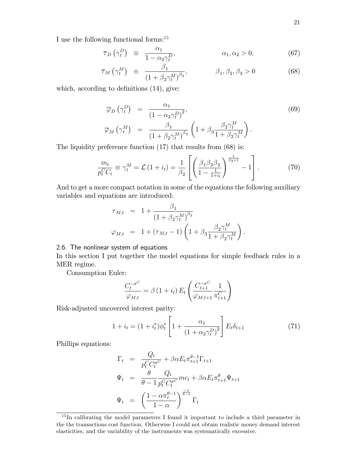I use the following functional forms:<sup>15</sup>

$$
\overline{\tau}_D(\gamma_t^D) \equiv \frac{\alpha_1}{1 - \alpha_2 \gamma_t^D}, \qquad \alpha_1, \alpha_2 > 0, \qquad (67)
$$

$$
\overline{\tau}_M\left(\gamma_t^M\right) \equiv \frac{\beta_1}{\left(1+\beta_2\gamma_t^M\right)^{\beta_3}}, \qquad \beta_1, \beta_2, \beta_3 > 0 \qquad (68)
$$

which, according to definitions  $(14)$ , give:

$$
\overline{\varphi}_D(\gamma_t^D) = \frac{\alpha_1}{(1 - \alpha_2 \gamma_t^D)^2},
$$
\n
$$
\overline{\varphi}_M(\gamma_t^M) = \frac{\beta_1}{(1 + \beta_2 \gamma_t^M)^{\beta_3}} \left(1 + \beta_3 \frac{\beta_2 \gamma_t^M}{1 + \beta_2 \gamma_t^M}\right).
$$
\n(69)

The liquidity preference function  $(17)$  that results from  $(68)$  is:

$$
\frac{m_t}{p_t^C C_t} \equiv \gamma_t^M = \mathcal{L} \left( 1 + i_t \right) = \frac{1}{\beta_2} \left[ \left( \frac{\beta_1 \beta_2 \beta_3}{1 - \frac{1}{1 + i_t}} \right)^{\frac{1}{\beta_3 + 1}} - 1 \right]. \tag{70}
$$

And to get a more compact notation in some of the equations the following auxiliary variables and equations are introduced:

$$
\tau_{M,t} = 1 + \frac{\beta_1}{(1 + \beta_2 \gamma_t^M)^{\beta_3}} \n\varphi_{M,t} = 1 + (\tau_{M,t} - 1) \left( 1 + \beta_3 \frac{\beta_2 \gamma_t^M}{1 + \beta_2 \gamma_t^M} \right).
$$

### 2.6. The nonlinear system of equations

In this section I put together the model equations for simple feedback rules in a MER regime.

Consumption Euler:

$$
\frac{C_t^{-\sigma^C}}{\varphi_{M,t}} = \beta \left( 1 + i_t \right) E_t \left( \frac{C_{t+1}^{-\sigma^C}}{\varphi_{M,t+1}} \frac{1}{\pi_{t+1}^C} \right)
$$

Risk-adjusted uncovered interest parity:

$$
1 + i_t = (1 + i_t^*)\phi_t^* \left[ 1 + \frac{\alpha_1}{(1 + \alpha_2 \gamma_t^D)^2} \right] E_t \delta_{t+1}
$$
 (71)

Phillips equations:

$$
\Gamma_t = \frac{Q_t}{p_t^C C_t^{\sigma^C}} + \beta \alpha E_t \pi_{t+1}^{\theta-1} \Gamma_{t+1}
$$
\n
$$
\Psi_t = \frac{\theta}{\theta-1} \frac{Q_t}{p_t^C C_t^{\sigma^C}} m c_t + \beta \alpha E_t \pi_{t+1}^{\theta} \Psi_{t+1}
$$
\n
$$
\Psi_t = \left(\frac{1-\alpha \pi_t^{\theta-1}}{1-\alpha}\right)^{\frac{-1}{\theta-1}} \Gamma_t
$$

<sup>&</sup>lt;sup>15</sup>In calibrating the model parameters I found it important to include a third parameter in the the transactions cost function. Otherwise I could not obtain realistic money demand interest elasticities, and the variability of the instruments was systematically excessive.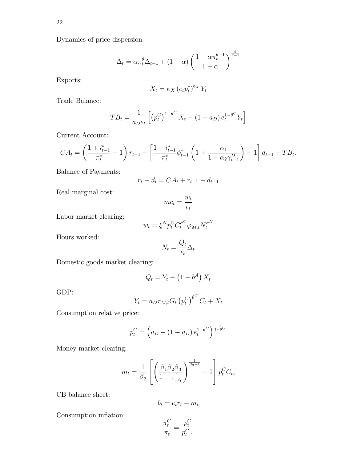Dynamics of price dispersion:

$$
\Delta_t = \alpha \pi_t^{\theta} \Delta_{t-1} + (1 - \alpha) \left( \frac{1 - \alpha \pi_t^{\theta - 1}}{1 - \alpha} \right)^{\frac{\theta}{\theta - 1}}
$$

Exports:

$$
X_t = \kappa_X \left( e_t p_t^* \right)^{b_X} Y_t
$$

Trade Balance:

$$
TB_t = \frac{1}{a_D e_t} \left[ \left( p_t^C \right)^{1 - \theta^C} X_t - (1 - a_D) e_t^{1 - \theta^C} Y_t \right]
$$

Current Account:

$$
CA_t = \left(\frac{1+i_{t-1}^*}{\pi_t^*} - 1\right) r_{t-1} - \left[\frac{1+i_{t-1}^*}{\pi_t^*} \phi_{t-1}^* \left(1 + \frac{\alpha_1}{1 - \alpha_2 \gamma_{t-1}^D}\right) - 1\right] d_{t-1} + T B_t.
$$

Balance of Payments:

$$
r_t - d_t = CA_t + r_{t-1} - d_{t-1}
$$

Real marginal cost:

$$
mc_t = \frac{w_t}{\epsilon_t}
$$

Labor market clearing:

$$
w_t = \xi^N p_t^C C_t^{\sigma^C} \varphi_{M,t} N_t^{\sigma^N}
$$

Hours worked:

$$
N_t = \frac{Q_t}{\epsilon_t} \Delta_t
$$

Domestic goods market clearing:

$$
Q_t = Y_t - \left(1 - b^A\right) X_t
$$

GDP:

$$
Y_t = a_D \tau_{M,t} G_t \left( p_t^C \right)^{\theta^C} C_t + X_t
$$

Consumption relative price:

$$
p_t^C = \left( a_D + (1 - a_D) e_t^{1 - \theta^C} \right)^{\frac{1}{1 - \theta^C}}
$$

Money market clearing:

$$
m_{t} = \frac{1}{\beta_{2}} \left[ \left( \frac{\beta_{1} \beta_{2} \beta_{3}}{1 - \frac{1}{1 + i_{t}}} \right)^{\frac{1}{\beta_{3} + 1}} - 1 \right] p_{t}^{C} C_{t},
$$

CB balance sheet:

$$
b_t = e_t r_t - m_t
$$

Consumption inflation:

$$
\frac{\pi_t^C}{\pi_t} = \frac{p_t^C}{p_{t-1}^C}
$$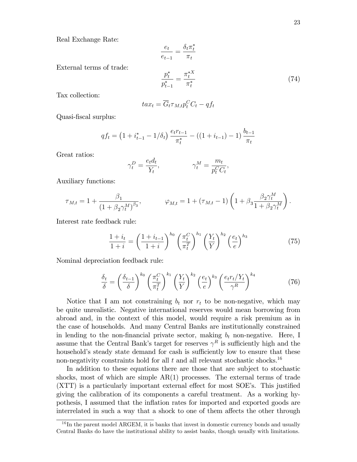Real Exchange Rate:

$$
\frac{e_t}{e_{t-1}} = \frac{\delta_t \pi_t^*}{\pi_t}
$$

External terms of trade:

$$
\frac{p_t^*}{p_{t-1}^*} = \frac{\pi_t^{*X}}{\pi_t^*} \tag{74}
$$

Tax collection:

$$
tax_t = \overline{G}_t \tau_{M,t} p_t^C C_t - qf_t
$$

Quasi-fiscal surplus:

$$
qf_t = \left(1 + i_{t-1}^* - 1/\delta_t\right) \frac{e_t r_{t-1}}{\pi_t^*} - \left(\left(1 + i_{t-1}\right) - 1\right) \frac{b_{t-1}}{\pi_t}
$$

Great ratios:

$$
\gamma_t^D = \frac{e_t d_t}{Y_t}, \qquad \gamma_t^M = \frac{m_t}{p_t^C C_t},
$$

Auxiliary functions:

$$
\tau_{M,t} = 1 + \frac{\beta_1}{\left(1 + \beta_2 \gamma_t^M\right)^{\beta_3}}, \qquad \varphi_{M,t} = 1 + (\tau_{M,t} - 1) \left(1 + \beta_3 \frac{\beta_2 \gamma_t^M}{1 + \beta_2 \gamma_t^M}\right).
$$

Interest rate feedback rule:

$$
\frac{1+i_t}{1+i} = \left(\frac{1+i_{t-1}}{1+i}\right)^{h_0} \left(\frac{\pi_t^C}{\pi_t^T}\right)^{h_1} \left(\frac{Y_t}{Y}\right)^{h_2} \left(\frac{e_t}{e}\right)^{h_3} \tag{75}
$$

Nominal depreciation feedback rule:

$$
\frac{\delta_t}{\delta} = \left(\frac{\delta_{t-1}}{\delta}\right)^{k_0} \left(\frac{\pi_t^C}{\pi_t^T}\right)^{k_1} \left(\frac{Y_t}{Y}\right)^{k_2} \left(\frac{e_t}{e}\right)^{k_3} \left(\frac{e_t r_t/Y_t}{\gamma^R}\right)^{k_4} \tag{76}
$$

Notice that I am not constraining  $b_t$  nor  $r_t$  to be non-negative, which may be quite unrealistic. Negative international reserves would mean borrowing from abroad and, in the context of this model, would require a risk premium as in the case of households. And many Central Banks are institutionally constrained in lending to the non-financial private sector, making  $b_t$  non-negative. Here, I assume that the Central Bank's target for reserves  $\gamma^R$  is sufficiently high and the household's steady state demand for cash is sufficiently low to ensure that these non-negativity constraints hold for all  $t$  and all relevant stochastic shocks.<sup>16</sup>

In addition to these equations there are those that are subject to stochastic shocks, most of which are simple  $AR(1)$  processes. The external terms of trade  $(XTT)$  is a particularly important external effect for most SOE's. This justified giving the calibration of its components a careful treatment. As a working hypothesis, I assumed that the ináation rates for imported and exported goods are interrelated in such a way that a shock to one of them affects the other through

 $16$  In the parent model ARGEM, it is banks that invest in domestic currency bonds and usually Central Banks do have the institutional ability to assist banks, though usually with limitations.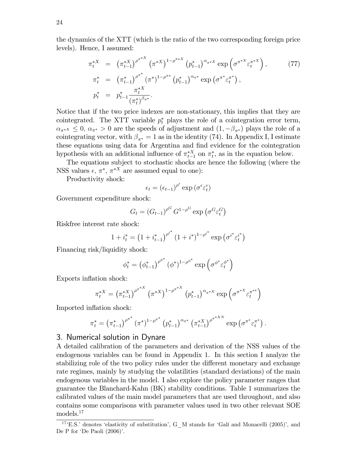the dynamics of the XTT (which is the ratio of the two corresponding foreign price levels). Hence, I assumed:

$$
\pi_t^{*X} = (\pi_{t-1}^{*X})^{\rho^{\pi^{*X}}} (\pi^{*X})^{1-\rho^{\pi^{*X}}} (p_{t-1}^*)^{\alpha_{\pi^{*X}}} \exp\left(\sigma^{\pi^{*X}} \varepsilon_t^{\pi^{*X}}\right),
$$
\n
$$
\pi_t^* = (\pi_{t-1}^*)^{\rho^{\pi^*}} (\pi^*)^{1-\rho^{\pi^*}} (p_{t-1}^*)^{\alpha_{\pi^*}} \exp\left(\sigma^{\pi^*} \varepsilon_t^{\pi^*}\right),
$$
\n
$$
p_t^* = p_{t-1}^* \frac{\pi_t^{*X}}{(\pi_t^*)^{\beta_{\pi^*}}}.
$$
\n(77)

Notice that if the two price indexes are non-stationary, this implies that they are cointegrated. The XTT variable  $p_t^*$  plays the role of a cointegration error term,  $\alpha_{\pi^{*X}} \leq 0$ ,  $\alpha_{\pi^{*}} > 0$  are the speeds of adjustment and  $(1, -\beta_{\pi^{*}})$  plays the role of a cointegrating vector, with  $\beta_{\pi^*} = 1$  as in the identity (74). In Appendix I, I estimate these equations using data for Argentina and find evidence for the cointegration hypothesis with an additional influence of  $\pi_{t-1}^{*X}$  on  $\pi_t^*$ , as in the equation below.

The equations subject to stochastic shocks are hence the following (where the NSS values  $\epsilon, \pi^*, \pi^{*X}$  are assumed equal to one):

Productivity shock:

$$
\epsilon_t = (\epsilon_{t-1})^{\rho^\epsilon} \exp{(\sigma^\epsilon \varepsilon^\epsilon_t)}
$$

Government expenditure shock:

$$
G_t = (G_{t-1})^{\rho^G} G^{1-\rho^G} \exp\left(\sigma^G \varepsilon_t^G\right)
$$

Riskfree interest rate shock:

$$
1 + i_t^* = \left(1 + i_{t-1}^*\right)^{\rho^{i^*}} \left(1 + i^*\right)^{1 - \rho^{i^*}} \exp\left(\sigma^{i^*} \varepsilon_t^{i^*}\right)
$$

Financing risk/liquidity shock:

$$
\phi_t^* = \left(\phi_{t-1}^*\right)^{\rho^{\phi^*}} \left(\phi^*\right)^{1-\rho^{\phi^*}} \exp\left(\sigma^{\phi^*}\varepsilon_t^{\phi^*}\right)
$$

Exports inflation shock:

$$
\pi_t^{*X} = \left(\pi_{t-1}^{*X}\right)^{\rho^{\pi^{*X}}} \left(\pi^{*X}\right)^{1-\rho^{\pi^{*X}}}\left(p_{t-1}^*\right)^{\alpha_{\pi^{*X}}}\exp\left(\sigma^{\pi^{*X}}\varepsilon_t^{\pi^{**}}\right)
$$

Imported inflation shock:

$$
\pi_t^* = (\pi_{t-1}^*)^{\rho^{\pi^*}} (\pi^*)^{1-\rho^{\pi^*}} (p_{t-1}^*)^{\alpha_{\pi^*}} (\pi_{t-1}^{*X})^{\rho^{\pi^{*XN}}}\exp (\sigma^{\pi^* \varepsilon_t^{\pi^*}}).
$$

#### 3. Numerical solution in Dynare

A detailed calibration of the parameters and derivation of the NSS values of the endogenous variables can be found in Appendix 1. In this section I analyze the stabilizing role of the two policy rules under the different monetary and exchange rate regimes, mainly by studying the volatilities (standard deviations) of the main endogenous variables in the model. I also explore the policy parameter ranges that guarantee the Blanchard-Kahn (BK) stability conditions. Table 1 summarizes the calibrated values of the main model parameters that are used throughout, and also contains some comparisons with parameter values used in two other relevant SOE models.<sup>17</sup>

 $17 \text{ }^{\circ}$ E.S.<sup>†</sup> denotes 'elasticity of substitution', G\_M stands for 'Galí and Monacelli (2005)', and De P for 'De Paoli  $(2006)$ '.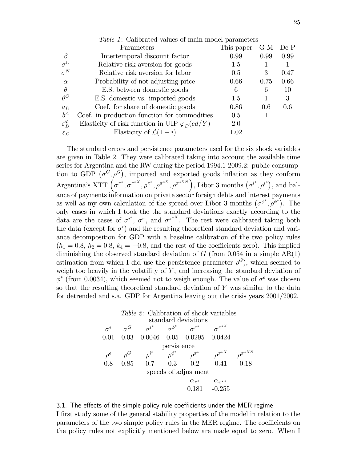|                             | <i>Table 1:</i> Calibrated values of main model parameters |            |      |      |
|-----------------------------|------------------------------------------------------------|------------|------|------|
|                             | Parameters                                                 | This paper | G-M  | De P |
| $\beta$                     | Intertemporal discount factor                              | 0.99       | 0.99 | 0.99 |
| $\sigma^C$                  | Relative risk aversion for goods                           | 1.5        |      | 1    |
| $\sigma^N$                  | Relative risk aversion for labor                           | 0.5        | 3    | 0.47 |
| $\alpha$                    | Probability of not adjusting price                         | 0.66       | 0.75 | 0.66 |
| $\theta$                    | E.S. between domestic goods                                | 6          | 6    | 10   |
| $\theta^C$                  | E.S. domestic vs. imported goods                           | 1.5        |      | 3    |
| $a_D$                       | Coef. for share of domestic goods                          | 0.86       | 0.6  | 0.6  |
| $b^A$                       | Coef. in production function for commodities               | 0.5        |      |      |
| $\varepsilon_D^{\varphi}$   | Elasticity of risk function in UIP $\varphi_D(ed/Y)$       | 2.0        |      |      |
| $\varepsilon_{\mathcal{L}}$ | Elasticity of $\mathcal{L}(1+i)$                           | 1.02       |      |      |
|                             |                                                            |            |      |      |

The standard errors and persistence parameters used for the six shock variables are given in Table 2. They were calibrated taking into account the available time series for Argentina and the RW during the period 1994.1-2009.2: public consumption to GDP  $(\sigma^G, \rho^G)$ , imported and exported goods inflation as they conform Argentina's XTT  $(\sigma^{\pi^*}, \sigma^{\pi^{*X}}, \rho^{\pi^*}, \rho^{\pi^{*X}}, \rho^{\pi^{*X N}})$ , Libor 3 months  $(\sigma^{i^*}, \rho^{i^*})$ , and balance of payments information on private sector foreign debts and interest payments as well as my own calculation of the spread over Libor 3 months  $(\sigma^{\phi^*}, \rho^{\phi^*})$ . The only cases in which I took the the standard deviations exactly according to the data are the cases of  $\sigma^{i^*}, \sigma^{\pi}$ , and  $\sigma^{\pi^{*X}}$ . The rest were calibrated taking both the data (except for  $\sigma^{\epsilon}$ ) and the resulting theoretical standard deviation and variance decomposition for GDP with a baseline calibration of the two policy rules  $(h_1 = 0.8, h_2 = 0.8, k_4 = -0.8,$  and the rest of the coefficients zero). This implied diminishing the observed standard deviation of  $G$  (from 0.054 in a simple  $AR(1)$ ) estimation from which I did use the persistence parameter  $\rho^G$ , which seemed to weigh too heavily in the volatility of  $Y$ , and increasing the standard deviation of  $\phi^*$  (from 0.0034), which seemed not to weigh enough. The value of  $\sigma^{\epsilon}$  was chosen so that the resulting theoretical standard deviation of Y was similar to the data for detrended and s.a. GDP for Argentina leaving out the crisis years 2001/2002.

#### Table 2: Calibration of shock variables standard deviations  $\sigma^\epsilon$  $\epsilon \qquad \sigma ^{G}\qquad \sigma$  $i^*$  $\sigma^{\phi^*}$  $\sigma^{\pi^*}$  $\sigma^{\pi^{*X}}$ 0.01 0.03 0.0046 0.05 0.0295 0.0424 persistence  $\rho^{\epsilon}$  $\rho^G$  $\begin{matrix} G & \quad & \rho^{i^*} \end{matrix}$  $\rho^{\phi^*}$  $\rho^{\pi^*}$  $\rho^{\pi^{*X}}$  $\rho^{\pi^{*XN}}$ 0.8 0.85 0.7 0.3 0.2 0.41 0.18 speeds of adjustment  $\alpha_{\pi^*}$   $\alpha_{\pi^{*X}}$ 0.181 -0.255

#### 3.1. The effects of the simple policy rule coefficients under the MER regime

I first study some of the general stability properties of the model in relation to the parameters of the two simple policy rules in the MER regime. The coefficients on the policy rules not explicitly mentioned below are made equal to zero. When I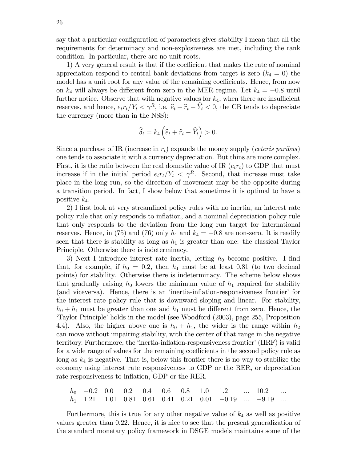say that a particular configuration of parameters gives stability I mean that all the requirements for determinacy and non-explosiveness are met, including the rank condition. In particular, there are no unit roots.

1) A very general result is that if the coefficient that makes the rate of nominal appreciation respond to central bank deviations from target is zero  $(k_4 = 0)$  the model has a unit root for any value of the remaining coefficients. Hence, from now on  $k_4$  will always be different from zero in the MER regime. Let  $k_4 = -0.8$  until further notice. Observe that with negative values for  $k_4$ , when there are insufficient reserves, and hence,  $e_t r_t / Y_t < \gamma^R$ , i.e.  $\hat{e}_t + \hat{r}_t - \hat{Y}_t < 0$ , the CB tends to depreciate the currency (more than in the NSS):

$$
\widehat{\delta}_t = k_4 \left( \widehat{e}_t + \widehat{r}_t - \widehat{Y}_t \right) > 0.
$$

Since a purchase of IR (increase in  $r_t$ ) expands the money supply (*ceteris paribus*) one tends to associate it with a currency depreciation. But thins are more complex. First, it is the ratio between the real domestic value of IR  $(e_t r_t)$  to GDP that must increase if in the initial period  $e_t r_t/Y_t < \gamma^R$ . Second, that increase must take place in the long run, so the direction of movement may be the opposite during a transition period. In fact, I show below that sometimes it is optimal to have a positive  $k_4$ .

2) I first look at very streamlined policy rules with no inertia, an interest rate policy rule that only responds to ináation, and a nominal depreciation policy rule that only responds to the deviation from the long run target for international reserves. Hence, in (75) and (76) only  $h_1$  and  $k_4 = -0.8$  are non-zero. It is readily seen that there is stability as long as  $h_1$  is greater than one: the classical Taylor Principle. Otherwise there is indeterminacy.

3) Next I introduce interest rate inertia, letting  $h_0$  become positive. I find that, for example, if  $h_0 = 0.2$ , then  $h_1$  must be at least 0.81 (to two decimal points) for stability. Otherwise there is indeterminacy. The scheme below shows that gradually raising  $h_0$  lowers the minimum value of  $h_1$  required for stability (and viceversa). Hence, there is an 'inertia-inflation-responsiveness frontier' for the interest rate policy rule that is downward sloping and linear. For stability,  $h_0 + h_1$  must be greater than one and  $h_1$  must be different from zero. Hence, the 'Taylor Principle' holds in the model (see Woodford (2003), page 255, Proposition 4.4). Also, the higher above one is  $h_0 + h_1$ , the wider is the range within  $h_2$ can move without impairing stability, with the center of that range in the negative territory. Furthermore, the 'inertia-inflation-responsiveness frontier' (IIRF) is valid for a wide range of values for the remaining coefficients in the second policy rule as long as  $k_4$  is negative. That is, below this frontier there is no way to stabilize the economy using interest rate responsiveness to GDP or the RER, or depreciation rate responsiveness to inflation, GDP or the RER.

 $h_0$  -0.2 0.0 0.2 0.4 0.6 0.8 1.0 1.2 ... 10.2 ...  $h_1$  1.21 1.01 0.81 0.61 0.41 0.21 0.01 -0.19  $\ldots$  -9.19  $\ldots$ 

Furthermore, this is true for any other negative value of  $k_4$  as well as positive values greater than 0.22. Hence, it is nice to see that the present generalization of the standard monetary policy framework in DSGE models maintains some of the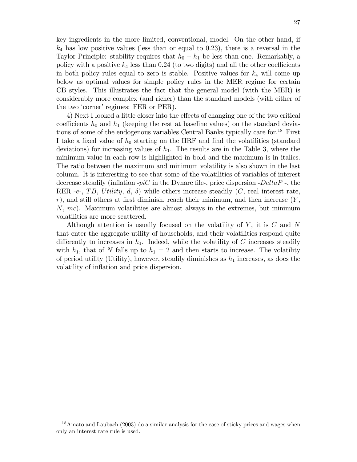key ingredients in the more limited, conventional, model. On the other hand, if  $k_4$  has low positive values (less than or equal to 0.23), there is a reversal in the Taylor Principle: stability requires that  $h_0 + h_1$  be less than one. Remarkably, a policy with a positive  $k_4$  less than 0.24 (to two digits) and all the other coefficients in both policy rules equal to zero is stable. Positive values for  $k_4$  will come up below as optimal values for simple policy rules in the MER regime for certain CB styles. This illustrates the fact that the general model (with the MER) is considerably more complex (and richer) than the standard models (with either of the two 'corner' regimes: FER or PER).

4) Next I looked a little closer into the effects of changing one of the two critical coefficients  $h_0$  and  $h_1$  (keeping the rest at baseline values) on the standard deviations of some of the endogenous variables Central Banks typically care for.<sup>18</sup> First I take a fixed value of  $h_0$  starting on the IIRF and find the volatilities (standard deviations) for increasing values of  $h_1$ . The results are in the Table 3, where the minimum value in each row is highlighted in bold and the maximum is in italics. The ratio between the maximum and minimum volatility is also shown in the last column. It is interesting to see that some of the volatilities of variables of interest decrease steadily (inflation  $-piC$  in the Dynare file-, price dispersion -DeltaP -, the RER -e-, TB, Utility, d,  $\delta$ ) while others increase steadily (C, real interest rate, r), and still others at first diminish, reach their minimum, and then increase  $(Y,$  $N, mc$ ). Maximum volatilities are almost always in the extremes, but minimum volatilities are more scattered.

Although attention is usually focused on the volatility of  $Y$ , it is  $C$  and  $N$ that enter the aggregate utility of households, and their volatilities respond quite differently to increases in  $h_1$ . Indeed, while the volatility of C increases steadily with  $h_1$ , that of N falls up to  $h_1 = 2$  and then starts to increase. The volatility of period utility (Utility), however, steadily diminishes as  $h_1$  increases, as does the volatility of inflation and price dispersion.

<sup>&</sup>lt;sup>18</sup>Amato and Laubach (2003) do a similar analysis for the case of sticky prices and wages when only an interest rate rule is used.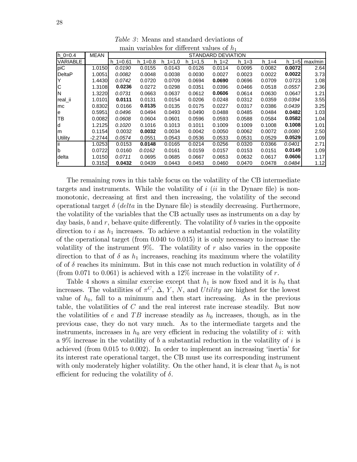| $h$ 0=0.4       | <b>MEAN</b> |             |            |                 |           | STANDARD DEVIATION |             |             |              |         |
|-----------------|-------------|-------------|------------|-----------------|-----------|--------------------|-------------|-------------|--------------|---------|
| <b>VARIABLE</b> |             | $h = 10.61$ | $h = 10.8$ | $1 = 1.0$<br>h. | $h = 1.5$ | $h = 1 = 2$        | $h = 1 = 3$ | $h = 1 = 4$ | $h \, 1 = 5$ | max/min |
| piC             | 1.0150      | 0.0190      | 0.0155     | 0.0143          | 0.0126    | 0.0114             | 0.0095      | 0.0082      | 0.0072       | 2.64    |
| <b>DeltaP</b>   | 1.0051      | 0.0082      | 0.0048     | 0.0038          | 0.0030    | 0.0027             | 0.0023      | 0.0022      | 0.0022       | 3.73    |
|                 | 1.4430      | 0.0742      | 0.0720     | 0.0709          | 0.0694    | 0.0690             | 0.0696      | 0.0709      | 0.0723       | 1.08    |
| C               | 1.3108      | 0.0236      | 0.0272     | 0.0298          | 0.0351    | 0.0396             | 0.0466      | 0.0518      | 0.0557       | 2.36    |
| IN              | 1.3220      | 0.0731      | 0.0663     | 0.0637          | 0.0612    | 0.0606             | 0.0614      | 0.0630      | 0.0647       | 1.21    |
| real_ii         | 1.0101      | 0.0111      | 0.0131     | 0.0154          | 0.0206    | 0.0248             | 0.0312      | 0.0359      | 0.0394       | 3.55    |
| mc              | 0.8302      | 0.0166      | 0.0135     | 0.0135          | 0.0175    | 0.0227             | 0.0317      | 0.0386      | 0.0439       | 3.25    |
| e               | 0.5951      | 0.0496      | 0.0494     | 0.0493          | 0.0490    | 0.0488             | 0.0485      | 0.0484      | 0.0482       | 1.03    |
| TВ              | 0.0082      | 0.0608      | 0.0604     | 0.0601          | 0.0596    | 0.0593             | 0.0588      | 0.0584      | 0.0582       | 1.04    |
| d               | 1.2125      | 0.1020      | 0.1016     | 0.1013          | 0.1011    | 0.1009             | 0.1009      | 0.1008      | 0.1008       | 1.01    |
| m               | 0.1154      | 0.0032      | 0.0032     | 0.0034          | 0.0042    | 0.0050             | 0.0062      | 0.0072      | 0.0080       | 2.50    |
| <b>Utility</b>  | $-2.2744$   | 0.0574      | 0.0551     | 0.0543          | 0.0536    | 0.0533             | 0.0531      | 0.0529      | 0.0529       | 1.09    |
| ΪÏ              | 1.0253      | 0.0153      | 0.0148     | 0.0165          | 0.0214    | 0.0256             | 0.0320      | 0.0366      | 0.0401       | 2.71    |
| b               | 0.0722      | 0.0160      | 0.0162     | 0.0161          | 0.0159    | 0.0157             | 0.0153      | 0.0151      | 0.0149       | 1.09    |
| delta           | 1.0150      | 0.0711      | 0.0695     | 0.0685          | 0.0667    | 0.0653             | 0.0632      | 0.0617      | 0.0606       | 1.17    |
| ١r              | 0.3152      | 0.0432      | 0.0439     | 0.0443          | 0.0453    | 0.0460             | 0.0470      | 0.0478      | 0.0484       | 1.12    |

Table 3: Means and standard deviations of main variables for different values of  $h_1$ 

The remaining rows in this table focus on the volatility of the CB intermediate targets and instruments. While the volatility of  $i$  (ii in the Dynare file) is nonmonotonic, decreasing at first and then increasing, the volatility of the second operational target  $\delta$  (*delta* in the Dynare file) is steadily decreasing. Furthermore, the volatility of the variables that the CB actually uses as instruments on a day by day basis,  $b$  and  $r$ , behave quite differently. The volatility of  $b$  varies in the opposite direction to i as  $h_1$  increases. To achieve a substantial reduction in the volatility of the operational target (from 0.040 to 0.015) it is only necessary to increase the volatility of the instrument 9%. The volatility of r also varies in the opposite direction to that of  $\delta$  as  $h_1$  increases, reaching its maximum where the volatility of of  $\delta$  reaches its minimum. But in this case not much reduction in volatility of  $\delta$ (from 0.071 to 0.061) is achieved with a 12% increase in the volatility of r.

Table 4 shows a similar exercise except that  $h_1$  is now fixed and it is  $h_0$  that increases. The volatilities of  $\pi^C$ ,  $\Delta$ , Y, N, and Utility are highest for the lowest value of  $h_0$ , fall to a minimum and then start increasing. As in the previous table, the volatilities of C and the real interest rate increase steadily. But now the volatilities of e and TB increase steadily as  $h_0$  increases, though, as in the previous case, they do not vary much. As to the intermediate targets and the instruments, increases in  $h_0$  are very efficient in reducing the volatility of i: with a 9% increase in the volatility of b a substantial reduction in the volatility of i is achieved (from 0.015 to 0.002). In order to implement an increasing ëinertiaí for its interest rate operational target, the CB must use its corresponding instrument with only moderately higher volatility. On the other hand, it is clear that  $h_0$  is not efficient for reducing the volatility of  $\delta$ .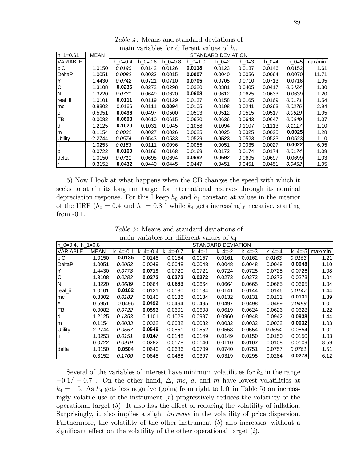| $h = 10.61$     | <b>MEAN</b> |           |           |           |           | STANDARD DEVIATION |         |          |         |         |
|-----------------|-------------|-----------|-----------|-----------|-----------|--------------------|---------|----------|---------|---------|
| <b>VARIABLE</b> |             | $h$ 0=0.4 | $h = 0.6$ | $h$ 0=0.8 | $h = 1.0$ | $h = 2$            | $h = 3$ | $h = -4$ | $h = 5$ | max/min |
| piC             | 1.0150      | 0.0190    | 0.0142    | 0.0126    | 0.0118    | 0.0123             | 0.0137  | 0.0146   | 0.0152  | 1.61    |
| <b>DeltaP</b>   | 1.0051      | 0.0082    | 0.0033    | 0.0015    | 0.0007    | 0.0040             | 0.0056  | 0.0064   | 0.0070  | 11.71   |
|                 | 1.4430      | 0.0742    | 0.0721    | 0.0710    | 0.0705    | 0.0705             | 0.0710  | 0.0713   | 0.0716  | 1.05    |
| С               | 1.3108      | 0.0236    | 0.0272    | 0.0298    | 0.0320    | 0.0381             | 0.0405  | 0.0417   | 0.0424  | 1.80    |
| N               | 1.3220      | 0.0731    | 0.0649    | 0.0620    | 0.0608    | 0.0612             | 0.0625  | 0.0633   | 0.0639  | 1.20    |
| real_ii         | 1.0101      | 0.0111    | 0.0119    | 0.0129    | 0.0137    | 0.0158             | 0.0165  | 0.0169   | 0.0171  | 1.54    |
| mc              | 0.8302      | 0.0166    | 0.0111    | 0.0094    | 0.0105    | 0.0198             | 0.0241  | 0.0263   | 0.0276  | 2.94    |
| e               | 0.5951      | 0.0496    | 0.0497    | 0.0500    | 0.0503    | 0.0512             | 0.0515  | 0.0517   | 0.0519  | 1.05    |
| TВ              | 0.0082      | 0.0608    | 0.0610    | 0.0615    | 0.0620    | 0.0636             | 0.0643  | 0.0647   | 0.0649  | 1.07    |
| d               | 1.2125      | 0.1020    | 0.1031    | 0.1045    | 0.1058    | 0.1094             | 0.1107  | 0.1113   | 0.1117  | 1.10    |
| m               | 0.1154      | 0.0032    | 0.0027    | 0.0026    | 0.0025    | 0.0025             | 0.0025  | 0.0025   | 0.0025  | 1.28    |
| Utility         | $-2.2744$   | 0.0574    | 0.0543    | 0.0533    | 0.0529    | 0.0523             | 0.0523  | 0.0523   | 0.0523  | 1.10    |
| ïï              | 1.0253      | 0.0153    | 0.0111    | 0.0096    | 0.0085    | 0.0051             | 0.0035  | 0.0027   | 0.0022  | 6.95    |
| b               | 0.0722      | 0.0160    | 0.0166    | 0.0168    | 0.0169    | 0.0172             | 0.0174  | 0.0174   | 0.0174  | 1.09    |
| delta           | 1.0150      | 0.0711    | 0.0698    | 0.0694    | 0.0692    | 0.0692             | 0.0695  | 0.0697   | 0.0699  | 1.03    |
|                 | 0.3152      | 0.0432    | 0.0440    | 0.0445    | 0.0447    | 0.0451             | 0.0451  | 0.0451   | 0.0452  | 1.05    |

Table 4: Means and standard deviations of main variables for different values of  $h_0$ 

5) Now I look at what happens when the CB changes the speed with which it seeks to attain its long run target for international reserves through its nominal depreciation response. For this I keep  $h_0$  and  $h_1$  constant at values in the interior of the IIRF ( $h_0 = 0.4$  and  $h_1 = 0.8$ ) while  $k_4$  gets increasingly negative, starting from -0.1.

| lh 0=0.4. h 1=0.8 |             |            | STANDARD DEVIATION |              |        |          |        |        |               |         |  |  |  |  |
|-------------------|-------------|------------|--------------------|--------------|--------|----------|--------|--------|---------------|---------|--|--|--|--|
| <b>VARIABLE</b>   | <b>MEAN</b> | k $4=-0.1$ | k $4=-0.4$         | k $4 = -0.7$ | k 4=-1 | $k = -2$ | k 4=-3 | k 4=-4 | $k \, 4 = -5$ | max/min |  |  |  |  |
| piC               | 1.0150      | 0.0135     | 0.0148             | 0.0154       | 0.0157 | 0.0161   | 0.0162 | 0.0163 | 0.0163        | 1.21    |  |  |  |  |
| DeltaP            | 1.0051      | 0.0053     | 0.0049             | 0.0048       | 0.0048 | 0.0048   | 0.0048 | 0.0048 | 0.0048        | 1.10    |  |  |  |  |
|                   | 1.4430      | 0.0778     | 0.0719             | 0.0720       | 0.0721 | 0.0724   | 0.0725 | 0.0725 | 0.0726        | 1.08    |  |  |  |  |
| С                 | 1.3108      | 0.0282     | 0.0272             | 0.0272       | 0.0272 | 0.0273   | 0.0273 | 0.0273 | 0.0273        | 1.04    |  |  |  |  |
| N                 | 1.3220      | 0.0689     | 0.0664             | 0.0663       | 0.0664 | 0.0664   | 0.0665 | 0.0665 | 0.0665        | 1.04    |  |  |  |  |
| real_ii           | 1.0101      | 0.0102     | 0.0121             | 0.0130       | 0.0134 | 0.0141   | 0.0144 | 0.0146 | 0.0147        | 1.44    |  |  |  |  |
| mc                | 0.8302      | 0.0182     | 0.0140             | 0.0136       | 0.0134 | 0.0132   | 0.0131 | 0.0131 | 0.0131        | 1.39    |  |  |  |  |
| e                 | 0.5951      | 0.0496     | 0.0492             | 0.0494       | 0.0495 | 0.0497   | 0.0498 | 0.0499 | 0.0499        | 1.01    |  |  |  |  |
| TВ                | 0.0082      | 0.0722     | 0.0593             | 0.0601       | 0.0608 | 0.0619   | 0.0624 | 0.0626 | 0.0628        | 1.22    |  |  |  |  |
| d                 | 1.2125      | 0.1353     | 0.1101             | 0.1029       | 0.0997 | 0.0960   | 0.0948 | 0.0942 | 0.0938        | 1.44    |  |  |  |  |
| m                 | 0.1154      | 0.0033     | 0.0032             | 0.0032       | 0.0032 | 0.0032   | 0.0032 | 0.0032 | 0.0032        | 1.03    |  |  |  |  |
| Utility           | -2.2744     | 0.0557     | 0.0549             | 0.0551       | 0.0552 | 0.0553   | 0.0554 | 0.0554 | 0.0554        | 1.01    |  |  |  |  |
| Ϊi                | 1.0253      | 0.0151     | 0.0147             | 0.0148       | 0.0149 | 0.0149   | 0.0150 | 0.0150 | 0.0150        | 1.03    |  |  |  |  |
| lb                | 0.0722      | 0.0919     | 0.0282             | 0.0178       | 0.0140 | 0.0110   | 0.0107 | 0.0108 | 0.0109        | 8.59    |  |  |  |  |
| delta             | 1.0150      | 0.0504     | 0.0640             | 0.0686       | 0.0709 | 0.0740   | 0.0751 | 0.0757 | 0.0761        | 1.51    |  |  |  |  |
|                   | 0.3152      | 0.1700     | 0.0645             | 0.0468       | 0.0397 | 0.0319   | 0.0295 | 0.0284 | 0.0278        | 6.12    |  |  |  |  |

Table 5: Means and standard deviations of main variables for different values of  $k_4$ 

Several of the variables of interest have minimum volatilities for  $k_4$  in the range  $-0.1/- 0.7$ . On the other hand,  $\Delta$ , mc, d, and m have lowest volatilities at  $k_4 = -5$ . As  $k_4$  gets less negative (going from right to left in Table 5) an increasingly volatile use of the instrument  $(r)$  progressively reduces the volatility of the operational target  $(\delta)$ . It also has the effect of reducing the volatility of inflation. Surprisingly, it also implies a slight increase in the volatility of price dispersion. Furthermore, the volatility of the other instrument  $(b)$  also increases, without a significant effect on the volatility of the other operational target  $(i)$ .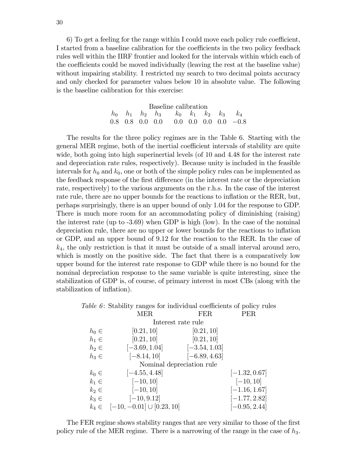6) To get a feeling for the range within I could move each policy rule coefficient, I started from a baseline calibration for the coefficients in the two policy feedback rules well within the IIRF frontier and looked for the intervals within which each of the coefficients could be moved individually (leaving the rest at the baseline value) without impairing stability. I restricted my search to two decimal points accuracy and only checked for parameter values below 10 in absolute value. The following is the baseline calibration for this exercise:

| Baseline calibration |  |  |  |                                                       |  |  |  |  |  |  |  |  |  |
|----------------------|--|--|--|-------------------------------------------------------|--|--|--|--|--|--|--|--|--|
|                      |  |  |  | $h_0$ $h_1$ $h_2$ $h_3$ $k_0$ $k_1$ $k_2$ $k_3$ $k_4$ |  |  |  |  |  |  |  |  |  |
|                      |  |  |  | $0.8$ 0.8 0.0 0.0 0.0 0.0 0.0 0.0 -0.8                |  |  |  |  |  |  |  |  |  |

The results for the three policy regimes are in the Table 6. Starting with the general MER regime, both of the inertial coefficient intervals of stability are quite wide, both going into high superinertial levels (of 10 and 4.48 for the interest rate and depreciation rate rules, respectively). Because unity is included in the feasible intervals for  $h_0$  and  $k_0$ , one or both of the simple policy rules can be implemented as the feedback response of the first difference (in the interest rate or the depreciation rate, respectively) to the various arguments on the r.h.s. In the case of the interest rate rule, there are no upper bounds for the reactions to inflation or the RER, but, perhaps surprisingly, there is an upper bound of only 1.04 for the response to GDP. There is much more room for an accommodating policy of diminishing (raising) the interest rate (up to -3.69) when GDP is high (low). In the case of the nominal depreciation rule, there are no upper or lower bounds for the reactions to ináation or GDP, and an upper bound of 9.12 for the reaction to the RER. In the case of  $k_4$ , the only restriction is that it must be outside of a small interval around zero, which is mostly on the positive side. The fact that there is a comparatively low upper bound for the interest rate response to GDP while there is no bound for the nominal depreciation response to the same variable is quite interesting, since the stabilization of GDP is, of course, of primary interest in most CBs (along with the stabilization of inflation).

|           | <i>Table 6:</i> Stability ranges for individual coefficients of policy rules |                 |                 |
|-----------|------------------------------------------------------------------------------|-----------------|-----------------|
|           | <b>MER</b>                                                                   | <b>FER</b>      | <b>PER</b>      |
|           | Interest rate rule                                                           |                 |                 |
| $h_0 \in$ | [0.21, 10]                                                                   | [0.21, 10]      |                 |
| $h_1 \in$ | [0.21, 10]                                                                   | [0.21, 10]      |                 |
| $h_2 \in$ | $[-3.69, 1.04]$                                                              | $[-3.54, 1.03]$ |                 |
| $h_3 \in$ | $[-8.14, 10]$                                                                | $[-6.89, 4.63]$ |                 |
|           | Nominal depreciation rule                                                    |                 |                 |
| $k_0 \in$ | $[-4.55, 4.48]$                                                              |                 | $[-1.32, 0.67]$ |
| $k_1 \in$ | $[-10, 10]$                                                                  |                 | $[-10, 10]$     |
| $k_2 \in$ | $[-10, 10]$                                                                  |                 | $[-1.16, 1.67]$ |
| $k_3 \in$ | $[-10, 9.12]$                                                                |                 | $[-1.77, 2.82]$ |
|           | $k_4 \in [-10, -0.01] \cup [0.23, 10]$                                       |                 | $[-0.95, 2.44]$ |

The FER regime shows stability ranges that are very similar to those of the first policy rule of the MER regime. There is a narrowing of the range in the case of  $h_3$ .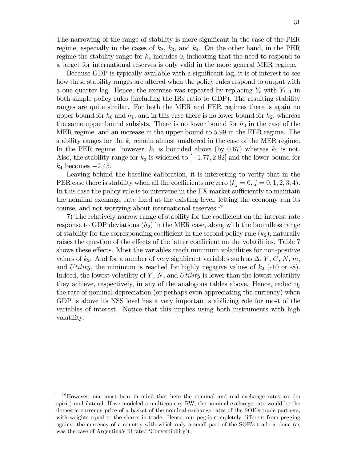The narrowing of the range of stability is more significant in the case of the PER regime, especially in the cases of  $k_2$ ,  $k_3$ , and  $k_4$ . On the other hand, in the PER regime the stability range for  $k_4$  includes 0, indicating that the need to respond to a target for international reserves is only valid in the more general MER regime.

Because GDP is typically available with a significant lag, it is of interest to see how these stability ranges are altered when the policy rules respond to output with a one quarter lag. Hence, the exercise was repeated by replacing  $Y_t$  with  $Y_{t-1}$  in both simple policy rules (including the IRs ratio to GDP). The resulting stability ranges are quite similar. For both the MER and FER regimes there is again no upper bound for  $h_0$  and  $h_1$ , and in this case there is no lower bound for  $h_2$ , whereas the same upper bound subsists. There is no lower bound for  $h_3$  in the case of the MER regime, and an increase in the upper bound to 5:99 in the FER regime. The stability ranges for the  $k_i$  remain almost unaltered in the case of the MER regime. In the PER regime, however,  $k_1$  is bounded above (by 0.67) whereas  $k_2$  is not. Also, the stability range for  $k_3$  is widened to  $[-1.77, 2.82]$  and the lower bound for  $k_4$  becomes  $-2.45$ .

Leaving behind the baseline calibration, it is interesting to verify that in the PER case there is stability when all the coefficients are zero  $(k_j = 0, j = 0, 1, 2, 3, 4)$ . In this case the policy rule is to intervene in the FX market sufficiently to maintain the nominal exchange rate Öxed at the existing level, letting the economy run its course, and not worrying about international reserves.<sup>19</sup>

7) The relatively narrow range of stability for the coefficient on the interest rate response to GDP deviations  $(h_2)$  in the MER case, along with the boundless range of stability for the corresponding coefficient in the second policy rule  $(k_2)$ , naturally raises the question of the effects of the latter coefficient on the volatilities. Table 7 shows these effects. Most the variables reach minimum volatilities for non-positive values of  $k_2$ . And for a number of very significant variables such as  $\Delta$ , Y, C, N, m, and Utility, the minimum is reached for highly negative values of  $k_2$  (-10 or -8). Indeed, the lowest volatility of  $Y$ ,  $N$ , and Utility is lower than the lowest volatility they achieve, respectively, in any of the analogous tables above. Hence, reducing the rate of nominal depreciation (or perhaps even appreciating the currency) when GDP is above its NSS level has a very important stabilizing role for most of the variables of interest. Notice that this implies using both instruments with high volatility.

<sup>19</sup>However, one must bear in mind that here the nominal and real exchange rates are (in spirit) multilateral. If we modeled a multicountry RW, the nominal exchange rate would be the domestic currency price of a basket of the nominal exchange rates of the SOE's trade partners, with weights equal to the shares in trade. Hence, our peg is completely different from pegging against the currency of a country with which only a small part of the SOE's trade is done (as was the case of Argentina's ill fated 'Convertibility').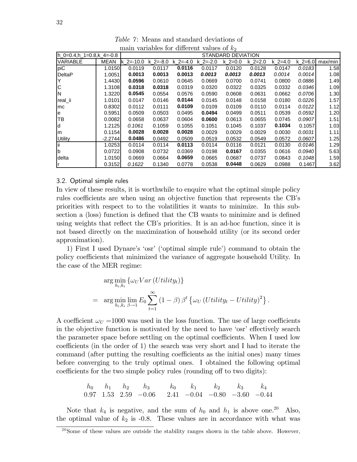| 1110111 TOITOUTOU 101<br><b>GITTOT OTTA</b><br>$\mathcal{L}$ 107 |           |                    |            |              |            |           |           |           |                |         |  |  |  |  |  |
|------------------------------------------------------------------|-----------|--------------------|------------|--------------|------------|-----------|-----------|-----------|----------------|---------|--|--|--|--|--|
| Ih 0=0.4.h 1=0.8.k 4=-0.8                                        |           | STANDARD DEVIATION |            |              |            |           |           |           |                |         |  |  |  |  |  |
| <b>VARIABLE</b>                                                  | MEAN      | $k$ 2=-10.0        | $k = -8.0$ | k $2 = -4.0$ | $k$ 2=-2.0 | k $2=0.0$ | k $2=2.0$ | k $2=4.0$ | $k \, 2 = 6.0$ | max/min |  |  |  |  |  |
| piC                                                              | 1.0150    | 0.0119             | 0.0117     | 0.0116       | 0.0117     | 0.0120    | 0.0128    | 0.0147    | 0.0183         | 1.58    |  |  |  |  |  |
| <b>DeltaP</b>                                                    | 1.0051    | 0.0013             | 0.0013     | 0.0013       | 0.0013     | 0.0013    | 0.0013    | 0.0014    | 0.0014         | 1.08    |  |  |  |  |  |
|                                                                  | 1.4430    | 0.0596             | 0.0610     | 0.0645       | 0.0669     | 0.0700    | 0.0741    | 0.0800    | 0.0886         | 1.49    |  |  |  |  |  |
| C                                                                | 1.3108    | 0.0318             | 0.0318     | 0.0319       | 0.0320     | 0.0322    | 0.0325    | 0.0332    | 0.0346         | 1.09    |  |  |  |  |  |
| ΙN                                                               | 1.3220    | 0.0545             | 0.0554     | 0.0576       | 0.0590     | 0.0608    | 0.0631    | 0.0662    | 0.0706         | 1.30    |  |  |  |  |  |
| real_ii                                                          | 1.0101    | 0.0147             | 0.0146     | 0.0144       | 0.0145     | 0.0148    | 0.0158    | 0.0180    | 0.0226         | 1.57    |  |  |  |  |  |
| mc                                                               | 0.8302    | 0.0112             | 0.0111     | 0.0109       | 0.0109     | 0.0109    | 0.0110    | 0.0114    | 0.0122         | 1.12    |  |  |  |  |  |
| e                                                                | 0.5951    | 0.0509             | 0.0503     | 0.0495       | 0.0494     | 0.0499    | 0.0511    | 0.0539    | 0.0592         | 1.20    |  |  |  |  |  |
| TB                                                               | 0.0082    | 0.0658             | 0.0637     | 0.0604       | 0.0600     | 0.0613    | 0.0655    | 0.0745    | 0.0907         | 1.51    |  |  |  |  |  |
| ld                                                               | 1.2125    | 0.1061             | 0.1059     | 0.1055       | 0.1051     | 0.1045    | 0.1037    | 0.1034    | 0.1057         | 1.03    |  |  |  |  |  |
| m                                                                | 0.1154    | 0.0028             | 0.0028     | 0.0028       | 0.0029     | 0.0029    | 0.0029    | 0.0030    | 0.0031         | 1.11    |  |  |  |  |  |
| <b>Utility</b>                                                   | $-2.2744$ | 0.0486             | 0.0492     | 0.0509       | 0.0519     | 0.0532    | 0.0549    | 0.0572    | 0.0607         | 1.25    |  |  |  |  |  |
| Ϊİ                                                               | 1.0253    | 0.0114             | 0.0114     | 0.0113       | 0.0114     | 0.0116    | 0.0121    | 0.0130    | 0.0146         | 1.29    |  |  |  |  |  |
| <b>b</b>                                                         | 0.0722    | 0.0908             | 0.0732     | 0.0369       | 0.0198     | 0.0167    | 0.0355    | 0.0616    | 0.0940         | 5.63    |  |  |  |  |  |
| delta                                                            | 1.0150    | 0.0669             | 0.0664     | 0.0659       | 0.0665     | 0.0687    | 0.0737    | 0.0843    | 0.1048         | 1.59    |  |  |  |  |  |
| ۱r                                                               | 0.3152    | 0.1622             | 0.1340     | 0.0778       | 0.0538     | 0.0448    | 0.0629    | 0.0988    | 0.1467         | 3.62    |  |  |  |  |  |

Table 7: Means and standard deviations of main variables for different values of  $k_2$ 

#### 3.2. Optimal simple rules

In view of these results, it is worthwhile to enquire what the optimal simple policy rules coefficients are when using an objective function that represents the CB's priorities with respect to to the volatilities it wants to minimize. In this subsection a (loss) function is defined that the CB wants to minimize and is defined using weights that reflect the CB's priorities. It is an ad-hoc function, since it is not based directly on the maximization of household utility (or its second order approximation).

1) First I used Dynareís ëosrí (ëoptimal simple ruleí) command to obtain the policy coefficients that minimized the variance of aggregate household Utility. In the case of the MER regime:

$$
\arg\min_{h_i, k_i} \{ \omega_U Var(Utility_t) \}
$$
\n
$$
= \arg\min_{h_i, k_i} \lim_{\beta \to 1} E_0 \sum_{t=1}^{\infty} (1 - \beta) \beta^t \{ \omega_U(Utility_t - Utility)^2 \}.
$$

A coefficient  $\omega_U = 1000$  was used in the loss function. The use of large coefficients in the objective function is motivated by the need to have 'osr' effectively search the parameter space before settling on the optimal coefficients. When I used low coefficients (in the order of 1) the search was very short and I had to iterate the command (after putting the resulting coefficients as the initial ones) many times before converging to the truly optimal ones. I obtained the following optimal coefficients for the two simple policy rules (rounding off to two digits):

$$
\begin{array}{ccccccccc}\nh_0 & h_1 & h_2 & h_3 & k_0 & k_1 & k_2 & k_3 & k_4 \\
0.97 & 1.53 & 2.59 & -0.06 & 2.41 & -0.04 & -0.80 & -3.60 & -0.44\n\end{array}
$$

Note that  $k_4$  is negative, and the sum of  $h_0$  and  $h_1$  is above one.<sup>20</sup> Also, the optimal value of  $k_2$  is -0.8. These values are in accordance with what was

 $20$  Some of these values are outside the stability ranges shown in the table above. However,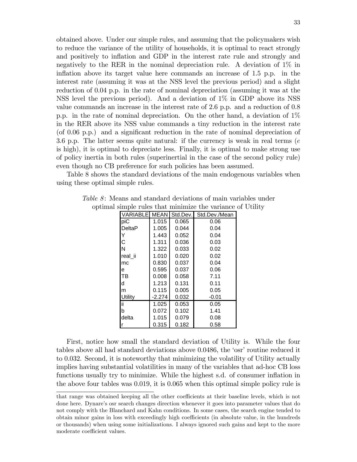obtained above. Under our simple rules, and assuming that the policymakers wish to reduce the variance of the utility of households, it is optimal to react strongly and positively to inflation and GDP in the interest rate rule and strongly and negatively to the RER in the nominal depreciation rule. A deviation of 1% in inflation above its target value here commands an increase of  $1.5$  p.p. in the interest rate (assuming it was at the NSS level the previous period) and a slight reduction of 0.04 p.p. in the rate of nominal depreciation (assuming it was at the NSS level the previous period). And a deviation of 1% in GDP above its NSS value commands an increase in the interest rate of 2.6 p.p. and a reduction of 0.8 p.p. in the rate of nominal depreciation. On the other hand, a deviation of 1% in the RER above its NSS value commands a tiny reduction in the interest rate (of 0.06 p.p.) and a significant reduction in the rate of nominal depreciation of 3.6 p.p. The latter seems quite natural: if the currency is weak in real terms (e is high), it is optimal to depreciate less. Finally, it is optimal to make strong use of policy inertia in both rules (superinertial in the case of the second policy rule) even though no CB preference for such policies has been assumed.

Table 8 shows the standard deviations of the main endogenous variables when using these optimal simple rules.

| VARIABLEI | <b>MEAN</b> | Std.Dev. | Std.Dev./Mean |
|-----------|-------------|----------|---------------|
| piC       | 1.015       | 0.065    | 0.06          |
| DeltaP    | 1.005       | 0.044    | 0.04          |
| Y         | 1.443       | 0.052    | 0.04          |
| С         | 1.311       | 0.036    | 0.03          |
| N         | 1.322       | 0.033    | 0.02          |
| real ii   | 1.010       | 0.020    | 0.02          |
| mc        | 0.830       | 0.037    | 0.04          |
| е         | 0.595       | 0.037    | 0.06          |
| TB        | 0.008       | 0.058    | 7.11          |
| d         | 1.213       | 0.131    | 0.11          |
| m         | 0.115       | 0.005    | 0.05          |
| Utility   | $-2.274$    | 0.032    | $-0.01$       |
| ïi        | 1.025       | 0.053    | 0.05          |
| b         | 0.072       | 0.102    | 1.41          |
| delta     | 1.015       | 0.079    | 0.08          |
|           | 0.315       | 0.182    | 0.58          |

Table 8: Means and standard deviations of main variables under optimal simple rules that minimize the variance of Utility

First, notice how small the standard deviation of Utility is. While the four tables above all had standard deviations above 0.0486, the 'osr' routine reduced it to 0.032. Second, it is noteworthy that minimizing the volatility of Utility actually implies having substantial volatilities in many of the variables that ad-hoc CB loss functions usually try to minimize. While the highest s.d. of consumer inflation in the above four tables was 0.019, it is 0.065 when this optimal simple policy rule is

that range was obtained keeping all the other coefficients at their baseline levels, which is not done here. Dynare's osr search changes direction whenever it goes into parameter values that do not comply with the Blanchard and Kahn conditions. In some cases, the search engine tended to obtain minor gains in loss with exceedingly high coefficients (in absolute value, in the hundreds or thousands) when using some initializations. I always ignored such gains and kept to the more moderate coefficient values.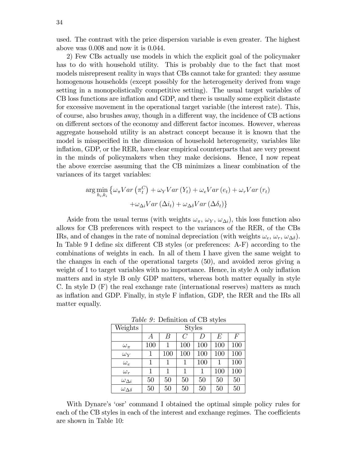used. The contrast with the price dispersion variable is even greater. The highest above was 0.008 and now it is 0.044.

2) Few CBs actually use models in which the explicit goal of the policymaker has to do with household utility. This is probably due to the fact that most models misrepresent reality in ways that CBs cannot take for granted: they assume homogenous households (except possibly for the heterogeneity derived from wage setting in a monopolistically competitive setting). The usual target variables of CB loss functions are ináation and GDP, and there is usually some explicit distaste for excessive movement in the operational target variable (the interest rate). This, of course, also brushes away, though in a different way, the incidence of CB actions on different sectors of the economy and different factor incomes. However, whereas aggregate household utility is an abstract concept because it is known that the model is misspecified in the dimension of household heterogeneity, variables like inflation, GDP, or the RER, have clear empirical counterparts that are very present in the minds of policymakers when they make decisions. Hence, I now repeat the above exercise assuming that the CB minimizes a linear combination of the variances of its target variables:

$$
\arg\min_{h_i, k_i} \left\{ \omega_{\pi} Var\left(\pi_t^C\right) + \omega_Y Var\left(Y_t\right) + \omega_e Var\left(e_t\right) + \omega_r Var\left(r_t\right) \right.\left. + \omega_{\Delta_i} Var\left(\Delta i_t\right) + \omega_{\Delta \delta} Var\left(\Delta \delta_t\right) \right\}
$$

Aside from the usual terms (with weights  $\omega_{\pi}$ ,  $\omega_{Y}$ ,  $\omega_{\Delta i}$ ), this loss function also allows for CB preferences with respect to the variances of the RER, of the CBs IRs, and of changes in the rate of nominal depreciation (with weights  $\omega_e$ ,  $\omega_r$ ,  $\omega_{\Delta\delta}$ ). In Table 9 I define six different CB styles (or preferences:  $A-F$ ) according to the combinations of weights in each. In all of them I have given the same weight to the changes in each of the operational targets (50), and avoided zeros giving a weight of 1 to target variables with no importance. Hence, in style A only inflation matters and in style B only GDP matters, whereas both matter equally in style C. In style D (F) the real exchange rate (international reserves) matters as much as inflation and GDP. Finally, in style F inflation, GDP, the RER and the IRs all matter equally.

Table 9: Definition of CB styles

| Weights                 |     |        |     | <b>Styles</b> |     |                |
|-------------------------|-----|--------|-----|---------------|-----|----------------|
|                         | А   | Β      | C   | D             | E   | $\overline{F}$ |
| $\omega_{\pi}$          | 100 | 1      | 100 | 100           | 100 | 100            |
| $\omega_Y$              | 1   | 100    | 100 | 100           | 100 | 100            |
| $\omega_{e}$            | 1   | 1      |     | 100           | 1   | 100            |
| $\omega_r$              | 1   | 1      | 1   | 1             | 100 | 100            |
| $\omega_{\Delta i}$     | 50  | 50     | 50  | 50            | 50  | 50             |
| $\omega_{\Delta\delta}$ | 50  | $50\,$ | 50  | 50            | 50  | 50             |

With Dynare's 'osr' command I obtained the optimal simple policy rules for each of the CB styles in each of the interest and exchange regimes. The coefficients are shown in Table 10: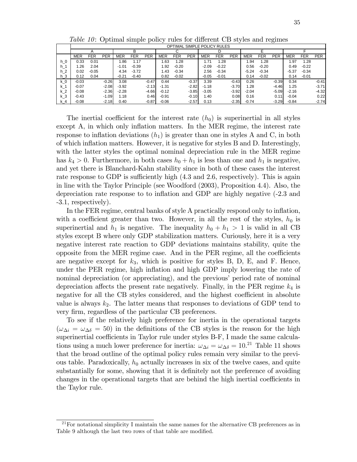Table  $10$ : Optimal simple policy rules for different CB styles and regimes

|                |            | OPTIMAL SIMPLE POLICY RULES |            |            |         |            |         |         |            |            |         |            |            |            |            |            |            |            |
|----------------|------------|-----------------------------|------------|------------|---------|------------|---------|---------|------------|------------|---------|------------|------------|------------|------------|------------|------------|------------|
|                | B          |                             |            |            |         |            |         |         |            |            |         |            |            |            |            |            |            |            |
|                | <b>MER</b> | <b>FER</b>                  | <b>PER</b> | <b>MER</b> | FER     | <b>PER</b> | MER     | FER     | <b>PER</b> | <b>MER</b> | FER     | <b>PER</b> | <b>MER</b> | <b>FER</b> | <b>PER</b> | <b>MER</b> | <b>FER</b> | <b>PER</b> |
| h O            | 0.33       | 0.01                        |            | .86        | 1.17    |            | .63     | 1.28    |            | 1.71       | 1.28    |            | 1.94       | 1.28       |            | .97        | 1.28       |            |
| $h_1$          | 1.26       | 2.04                        |            | $-1.01$    | $-0.39$ |            | .92     | $-0.20$ |            | $-2.09$    | $-0.22$ |            | 0.56       | $-0.20$    |            | 0.49       | $-0.22$    |            |
| h <sub>2</sub> | 0.02       | $-0.05$                     |            | 4.34       | $-3.72$ |            | .43     | $-0.34$ |            | 2.56       | $-0.34$ |            | $-5.24$    | $-0.34$    |            | $-5.37$    | $-0.34$    |            |
| $h_3$          | 0.12       | 0.04                        |            | $-0.21$    | $-0.40$ |            | 0.82    | $-0.02$ |            | $-0.05$    | $-0.01$ |            | 0.14       | $-0.02$    |            | 0.14       | $-0.01$    |            |
| k <sub>0</sub> | $-0.03$    |                             | $-0.26$    | 3.08       |         | $-0.47$    | 0.44    |         | $-0.37$    | 3.39       |         | $-0.43$    | 0.26       |            | $-0.39$    | 0.34       |            | $-0.41$    |
| $k_1$          | $-0.07$    |                             | $-2.08$    | $-3.92$    |         | $-2.13$    | $-1.31$ |         | $-2.82$    | $-1.18$    |         | $-3.70$    | 1.28       |            | $-4.46$    | 1.25       |            | $-3.71$    |
| k 2            | $-0.08$    |                             | $-2.36$    | $-2.28$    |         | $-4.66$    | $-0.12$ |         | $-3.85$    | $-3.05$    |         | $-3.92$    | $-2.04$    |            | $-5.09$    | $-2.16$    |            | $-4.32$    |
| k <sub>3</sub> | $-0.43$    |                             | $-1.09$    | 1.18       |         | 0.46       | $-0.91$ |         | $-0.10$    | 1.40       |         | 0.08       | 0.16       |            | 0.11       | $-0.04$    |            | 0.22       |
| k 4            | $-0.08$    |                             | $-2.18$    | 0.40       |         | $-0.87$    | $-0.06$ |         | $-2.57$    | 0.13       |         | $-2.35$    | $-0.74$    |            | $-3.29$    | $-0.84$    |            | $-2.74$    |

The inertial coefficient for the interest rate  $(h_0)$  is superinertial in all styles except A, in which only inflation matters. In the MER regime, the interest rate response to inflation deviations  $(h_1)$  is greater than one in styles A and C, in both of which ináation matters. However, it is negative for styles B and D. Interestingly, with the latter styles the optimal nominal depreciation rule in the MER regime has  $k_4 > 0$ . Furthermore, in both cases  $h_0 + h_1$  is less than one and  $h_1$  is negative, and yet there is Blanchard-Kahn stability since in both of these cases the interest rate response to GDP is sufficiently high  $(4.3 \text{ and } 2.6, \text{ respectively})$ . This is again in line with the Taylor Principle (see Woodford (2003), Proposition 4.4). Also, the depreciation rate response to to inflation and GDP are highly negative  $(-2.3 \text{ and } -1.5 \text{)}$ -3.1, respectively).

In the FER regime, central banks of style A practically respond only to inflation, with a coefficient greater than two. However, in all the rest of the styles,  $h_0$  is superinertial and  $h_1$  is negative. The inequality  $h_0 + h_1 > 1$  is valid in all CB styles except B where only GDP stabilization matters. Curiously, here it is a very negative interest rate reaction to GDP deviations maintains stability, quite the opposite from the MER regime case. And in the PER regime, all the coefficients are negative except for  $k_3$ , which is positive for styles B, D, E, and F. Hence, under the PER regime, high inflation and high GDP imply lowering the rate of nominal depreciation (or appreciating), and the previous' period rate of nominal depreciation affects the present rate negatively. Finally, in the PER regime  $k_4$  is negative for all the CB styles considered, and the highest coefficient in absolute value is always  $k_2$ . The latter means that responses to deviations of GDP tend to very firm, regardless of the particular CB preferences.

To see if the relatively high preference for inertia in the operational targets  $(\omega_{\Delta i} = \omega_{\Delta \delta} = 50)$  in the definitions of the CB styles is the reason for the high superinertial coefficients in Taylor rule under styles B-F, I made the same calculations using a much lower preference for inertia:  $\omega_{\Delta i} = \omega_{\Delta \delta} = 10^{21}$  Table 11 shows that the broad outline of the optimal policy rules remain very similar to the previous table. Paradoxically,  $h_0$  actually increases in six of the twelve cases, and quite substantially for some, showing that it is definitely not the preference of avoiding changes in the operational targets that are behind the high inertial coefficients in the Taylor rule.

<sup>&</sup>lt;sup>21</sup>For notational simplicity I maintain the same names for the alternative CB preferences as in Table 9 although the last two rows of that table are modified.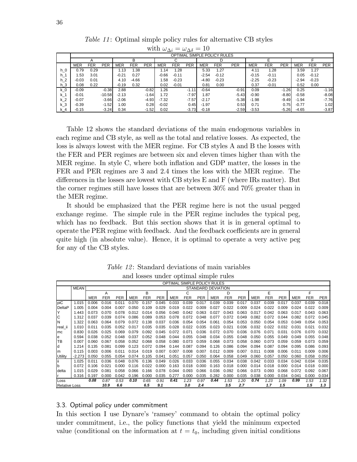|                |            |      |            |            |            |            |            | $\rightarrow$ | ച്      |            |                             |            |            |            |            |         |            |            |
|----------------|------------|------|------------|------------|------------|------------|------------|---------------|---------|------------|-----------------------------|------------|------------|------------|------------|---------|------------|------------|
|                |            |      |            |            |            |            |            |               |         |            | OPTIMAL SIMPLE POLICY RULES |            |            |            |            |         |            |            |
|                |            |      |            |            | в          |            |            | C             |         |            | D                           |            |            |            |            |         |            |            |
|                | <b>MER</b> | FER  | <b>PER</b> | <b>MER</b> | <b>FER</b> | <b>PER</b> | <b>MER</b> | <b>FER</b>    | PER     | <b>MER</b> | <b>FER</b>                  | <b>PER</b> | <b>MER</b> | <b>FER</b> | <b>PER</b> | MER     | <b>FER</b> | <b>PER</b> |
| $h_0$          | 0.79       | 0.29 |            | 1.13       | 1.38       |            | .14        | 1.28          |         | 5.33       | 1.27                        |            | 4.11       | 1.28       |            | 3.59    | 1.27       |            |
| h 1            | 1.53       | 3.01 |            | $-0.21$    | 0.27       |            | $-0.66$    | $-0.11$       |         | $-2.54$    | $-0.12$                     |            | $-0.15$    | $-0.11$    |            | 0.05    | $-0.12$    |            |
| $h_2$          | $-0.03$    | 0.01 |            | 4.10       | $-4.66$    |            | .58        | $-0.23$       |         | $-4.80$    | $-0.23$                     |            | $-2.25$    | $-0.23$    |            | $-2.94$ | $-0.23$    |            |
| $h_3$          | 0.08       | 0.22 |            | $-0.19$    | 0.32       |            | 0.02       | $-0.01$       |         | 0.81       | 0.00                        |            | 0.37       | $-0.01$    |            | 0.52    | 0.00       |            |
| k 0            | $-0.09$    |      | $-0.38$    | 2.88       |            | $-0.82$    | .26        |               | $-1.11$ | $-0.64$    |                             | $-0.91$    | 0.09       |            | $-1.26$    | 0.25    |            | $-1.16$    |
| $k_1$          | $-0.01$    |      | $-10.58$   | $-2.13$    |            | $-1.64$    | 1.72       |               | $-7.97$ | 1.87       |                             | $-5.43$    | $-0.90$    |            | $-8.80$    | $-0.58$ |            | $-8.08$    |
| k <sub>2</sub> | $-0.07$    |      | $-3.66$    | $-2.06$    |            | $-4.93$    | $-7.32$    |               | $-7.57$ | $-2.17$    |                             | $-5.38$    | $-1.98$    |            | $-9.49$    | $-1.94$ |            | $-7.76$    |
| $k_3$          | $-0.39$    |      | $-1.52$    | 1.00       |            | 0.28       | $-0.02$    |               | 0.45    | $-1.97$    |                             | 0.53       | 0.71       |            | 0.75       | $-0.77$ |            | 1.02       |
| $k_4$          | $-0.15$    |      | $-3.24$    | 0.34       |            | $-1.52$    | 0.02       |               | $-3.73$ | $-0.18$    |                             | $-2.59$    | $-3.53$    |            | $-5.26$    | $-4.65$ |            | $-3.87$    |

Table 11: Optimal simple policy rules for alternative CB styles with  $\omega_{\Delta i} = \omega_{\Delta \delta} = 10$ 

Table 12 shows the standard deviations of the main endogenous variables in each regime and CB style, as well as the total and relative losses. As expected, the loss is always lowest with the MER regime. For CB styles A and B the losses with the FER and PER regimes are between six and eleven times higher than with the MER regime. In style C, where both inflation and GDP matter, the losses in the FER and PER regimes are 3 and 2.4 times the loss with the MER regime. The differences in the losses are lowest with CB styles E and F (where IRs matter). But the corner regimes still have losses that are between 30% and 70% greater than in the MER regime.

It should be emphasized that the PER regime here is not the usual pegged exchange regime. The simple rule in the PER regime includes the typical peg, which has no feedback. But this section shows that it is in general optimal to operate the PER regime with feedback. And the feedback coefficients are in general quite high (in absolute value). Hence, it is optimal to operate a very active peg for any of the CB styles.

|                      |             |            |              |            |               |            |            | OPTIMAL SIMPLE POLICY RULES |            |                           |       |            |            |            |            |            |            |            |            |
|----------------------|-------------|------------|--------------|------------|---------------|------------|------------|-----------------------------|------------|---------------------------|-------|------------|------------|------------|------------|------------|------------|------------|------------|
|                      | <b>MEAN</b> |            |              |            |               |            |            |                             |            | <b>STANDARD DEVIATION</b> |       |            |            |            |            |            |            |            |            |
|                      |             |            | A            |            |               | B          |            |                             |            |                           |       | D          |            |            | F          |            |            |            |            |
|                      |             | <b>MER</b> | <b>FER</b>   | <b>PER</b> | MER           | <b>FER</b> | <b>PER</b> | <b>MER</b>                  | <b>FER</b> | PER                       | MER   | <b>FER</b> | <b>PER</b> | <b>MER</b> | <b>FER</b> | <b>PER</b> | <b>MER</b> | <b>FER</b> | <b>PER</b> |
| piC                  | 1.015       | 0.006      | 0.016        | 0.011      | 0.070         | 0.157      | 0.045      | 0.033                       | 0.039      | 0.017                     | 0.039 | 0.039      | 0.017      | 0.037      | 0.039      | 0.017      | 0.037      | 0.039      | 0.018      |
| DeltaP               | 1.005       | 0.004      | 0.004        | 0.007      | <u>ი ი</u> ნი | 0.109      | 0.029      | 0.019                       | 0.022      | 0.009                     | 0.027 | 0.022      | 0.009      | 0.024      | 0.022      | 0.009      | 0.024      | 0.022      | 0.009      |
| Y                    | 1.443       | 0.073      | <u>በ በ7በ</u> | 0.078      | በ በ12         | 0.014      | 0.056      | 0.040                       | 0.042      | 0.063                     | 0.027 | 0.043      | 0.063      | 0.017      | 0.042      | 0 063      | 0.017      | 0.043      | 0.063      |
| C                    | 1.312       | 0.037      | 0.039        | 0.074      | 0.086         | 0.089      | 0.053      | 0.078                       | 0.072      | 0.048                     | 0.077 | 0.072      | 0.049      | 0.082      | 0.072      | 0.044      | 0.082      | 0.072      | 0.045      |
| N                    | 1.322       | 0.063      | 0.064        | 0.079      | 0.072         | 0.138      | 0.037      | 0.036                       | 0.054      | 0.054                     | 0.061 | 0.054      | 0.053      | 0.050      | 0.054      | 0.053      | 0.049      | 0.054      | 0.053      |
| real ii              | 1.010       | 0.011      | 0.035        | 0.052      | 0 017         | 0.035      | 0.035      | 0.028                       | 0.022      | 0.035                     | 0.023 | 0.021      | 0.036      | 0.032      | 0.022      | 0.032      | 0.031      | 0.021      | 0.032      |
| lmc.                 | 0.830       | 0.026      | 0.025        | 0 069      | በ በ79         | 0.092      | 0 045      | 0.072                       | 0.071      | 0.036                     | 0.072 | 0.070      | 0.036      | 0.076      | 0.071      | 0.031      | 0.076      | 0.070      | 0.032      |
| e                    | 0.594       | 0.038      | 0.052        | 0.048      | 0.037         | 0.052      | 0.048      | 0.044                       | 0.055      | 0.048                     | 0.034 | 0.055      | 0.048      | 0.050      | 0.055      | 0.049      | 0.049      | 0.055      | 0.048      |
| lтв                  | 0.007       | 0.060      | 0.067        | 0.058      | 0.052         | 0.068      | 0.058      | 0.080                       | 0.073      | 0.059                     | 0.068 | 0.073      | 0.058      | 0.060      | 0.073      | 0.059      | 0.059      | 0.073      | 0.059      |
| d                    | 1.214       | 0.135      | 0.081        | 0.099      | በ 123         | 0.072      | በ በ94      | 0.144                       | 0.087      | 0.094                     | 0.126 | 0.086      | 0.094      | 0.094      | 0.087      | 0.094      | 0.095      | 0.086      | 0.093      |
| lm.                  | 0.115       | 0.003      | 0.006        | 0.011      | 0.014         | 0.019      | 0.007      | 0.007                       | 0.008      | 0.007                     | 0.012 | 0.009      | 0.007      | 0.011      | 0.008      | 0.006      | 0.011      | 0.009      | 0.006      |
| Utility              | $-2.273$    | 0.050      | 0.055        | 0.054      | 0.074         | 0.105      | 0.041      | 0.051                       | 0.057      | 0.050                     | 0.064 | 0.058      | 0.049      | 0.060      | 0.057      | 0.050      | 0.060      | 0.058      | 0.050      |
| lii                  | 1.025       | 0.011      | 0.036        | 0.048      | 0 076         | 0.136      | 0.049      | 0.026                       | 0.033      | 0.036                     | 0.055 | 0.034      | 0.038      | 0.042      | 0.033      | 0.034      | 0.042      | 0.034      | 0.035      |
| $\mathsf b$          | 0.072       | 0.106      | 0.021        | 0.000      | 0.116         | 0.022      | 0.000      | 0.163                       | 0.018      | 0.000                     | 0.163 | 0.018      | 0.000      | 0.014      | 0.018      | 0.000      | 0.014      | 0.018      | 0.000      |
| delta                | 1.015       | 0.029      | 0.081        | 0.058      | 0.066         | 0.166      | 0.078      | 0.044                       | 0.093      | 0.066                     | 0.036 | 0.092      | 0.066      | 0.073      | 0.093      | 0.068      | 0.072      | 0.092      | 0.067      |
| r                    | 0.316       | 0.197      | 0.000        | 0.042      | 0.196         | 0.000      | 0.035      | 0.277                       | 0.000      | 0.035                     | 0.282 | 0.000      | 0.035      | 0.038      | 0.000      | 0.034      | 0.041      | 0.000      | 0.034      |
| Loss                 |             | 0.08       | 0.87         | 0.53       | 0.10          | 0.65       | 0.91       | 0.41                        | 1.23       | 0.97                      | 0.44  | 1.53       | 1.20       | 0.74       | 1.23       | 1.09       | 0.99       | 1.53       | 1.32       |
| <b>Relative Loss</b> |             |            | 10.9         | 6.6        |               | 6.5        | 9.1        |                             | 3.0        | 2.4                       |       | 3.5        | 2.7        |            | 1.7        | 1.5        |            | 1.5        | 1.3        |

Table 12: Standard deviations of main variables and losses under optimal simple rules

#### 3.3. Optimal policy under commitment

In this section I use Dynare's 'ramsey' command to obtain the optimal policy under commitment, i.e., the policy functions that yield the minimum expected value (conditional on the information at  $t = t_0$ , including given initial conditions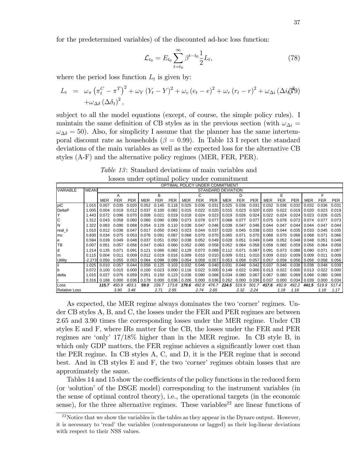for the predetermined variables) of the discounted ad-hoc loss function:

$$
\mathcal{L}_{t_0} = E_{t_0} \sum_{t=t_0}^{\infty} \beta^{t-t_0} \frac{1}{2} L_t,
$$
\n(78)

where the period loss function  $L_t$  is given by:

$$
L_t = \omega_{\pi} (\pi_t^C - \pi^T)^2 + \omega_Y (Y_t - Y)^2 + \omega_e (e_t - e)^2 + \omega_r (r_t - r)^2 + \omega_{\Delta i} (\Delta i / \beta^2)
$$
  
+  $\omega_{\Delta \delta} (\Delta \delta_t)^2$ ,

subject to all the model equations (except, of course, the simple policy rules). I maintain the same definition of CB styles as in the previous section (with  $\omega_{\Delta i} =$  $\omega_{\Delta\delta} = 50$ . Also, for simplicity I assume that the planner has the same intertemporal discount rate as households ( $\beta = 0.99$ ). In Table 13 I report the standard deviations of the main variables as well as the expected loss for the alternative CB styles (A-F) and the alternative policy regimes (MER, FER, PER).

Table 13: Standard deviations of main variables and losses under optimal policy under commitment

|                      |             |         |            |            |       |            |            |       |            |            | OPTIMAL POLICY UNDER COMMITMENT |            |            |       |            |            |       |              |            |
|----------------------|-------------|---------|------------|------------|-------|------------|------------|-------|------------|------------|---------------------------------|------------|------------|-------|------------|------------|-------|--------------|------------|
| <b>VARIABLE</b>      | <b>MEAN</b> |         |            |            |       |            |            |       |            |            | STANDARD DEVIATION              |            |            |       |            |            |       |              |            |
|                      |             |         | А          |            |       | R          |            |       |            |            |                                 | D          |            |       | F          |            |       |              |            |
|                      |             | MER     | <b>FER</b> | <b>PER</b> | MER   | <b>FER</b> | <b>PER</b> | MER   | <b>FER</b> | <b>PER</b> | <b>MER</b>                      | <b>FER</b> | <b>PER</b> | MER   | <b>FER</b> | <b>PER</b> | MER   | FER          | <b>PER</b> |
| piC                  | 1.015       | 0.007   | 0.035      | 0.020      | 0.052 | 0.145      | 0.118      | 0.025 | 0.036      | 0.031      | 0.025                           | 0.036      | 0.031      | 0.032 | 0.036      | 0.032      | 0.032 | 0.036        | 0.031      |
| <b>DeltaP</b>        | 1.005       | 0.004   | 0.019      | 0.012      | 0.037 | 0.100      | 0.082      | 0.015 | 0.022      | 0.020      | 0.015                           | 0.023      | 0.020      | 0.020 | 0 022      | 0.019      | 0.020 | 0.023        | 0.019      |
| Y                    | 1.443       | 0.072   | 0.096      | 0.070      | 0.008 | 0.021      | 0.019      | 0.018 | 0.024      | 0.023      | 0.019                           | 0.026      | 0.024      | 0.022 | 0.024      | 0.024      | 0.023 | 0.026        | 0.025      |
| C                    | 1.312       | 0.043   | 0.058      | 0.060      | 0.080 | 0.090      | 0.089      | 0.073 | 0.078      | 0.077      | 0.068                           | 0.077      | 0.077      | 0.075 | 0.078      | 0.072      | 0.074 | 0.077        | 0.073      |
| N                    | 1.322       | 0.063   | 0.090      | 0.068      | 0.054 | 0.129      | 0.110      | 0.038 | 0.047      | 0.046      | 0.038                           | 0.047      | 0.046      | 0.044 | 0.047      | 0.044      | 0.044 | 0.047        | 0.044      |
| real ii              | 1.010       | 0.012   | 0.036      | 0.047      | 0.017 | 0.050      | 0.043      | 0.023 | 0.044      | 0.037      | 0.020                           | 0.045      | 0.038      | 0.033 | 0.044      | 0.035      | 0.033 | 0.045        | 0.035      |
| Imc                  | 0.830       | 0.034   | 0.075      | 0.053      | 0.076 | 0.091      | 0.087      | 0.068 | 0.070      | 0.070      | 0.065                           | 0.071      | 0.070      | 0.068 | 0.070      | 0.066      | 0.068 | 0.071        | 0.066      |
| e                    | 0.594       | 0.039   | 0.049      | 0.048      | 0.037 | 0.051      | 0.050      | 0.038 | 0.052      | 0.049      | 0.028                           | 0.051      | 0.049      | 0.049 | 0.052      | 0.049      | 0.048 | 0.051        | 0.049      |
| Iтв                  | 0.007       | 0.051   | 0.057      | 0.056      | 0.047 | 0.063      | 0.060      | 0.052 | 0.065      | 0.058      | 0.052                           | 0.064      | 0.058      | 0.058 | 0.065      | 0.059      | 0.056 | 0.064        | 0.058      |
| d                    | 1.214       | 0.135   | 0.071      | 0.091      | 0.121 | 0.066      | 0.082      | 0.129 | 0.073      | 0.089      | 0.112                           | 0.071      | 0.087      | 0.091 | 0.073      | 0.088      | 0.090 | 0.071        | 0.087      |
| lm                   | 0.115       | 0.004   | 0.011      | 0.009      | 0.012 | 0.019      | 0.016      | 0.009 | 0.010      | 0.010      | 0.009                           | 0.011      | 0.010      | 0.009 | 0.010      | 0.009      | 0.009 | <u>በ በ11</u> | 0.009      |
| Utility              | -2.2731     | 0.050   | 0.055      | 0.053      | 0.064 | 0.099      | 0.089      | 0.054 | 0.058      | 0.057      | 0.053                           | 0.058      | 0.057      | 0.057 | 0.058      | 0.056      | 0.056 | 0.058        | 0.056      |
| Ϊİ                   | 1.025       | 0.010   | 0.057      | 0.044      | 0.058 | 0.125      | 0.103      | 0.032 | 0.046      | 0.040      | 0.031                           | 0.048      | 0.042      | 0.037 | 0.046      | 0.038      | 0.038 | 0.048        | 0.039      |
| $\mathsf b$          | 0.072       | . በ 100 | 0.015      | 0.000      | 0.100 | 0.023      | 0.000      | 0.116 | 0.022      | 0.0001     | 0.149                           | 0.022      | 0.000      | 0.013 | 0.022      | 0.000      | 0.013 | በ በ22        | 0.000      |
| delta                | 1.015       | 0.027   | 0.076      | 0.059      | 0.051 | 0.150      | 0.123      | 0.036 | 0.080      | 0.068      | 0.034                           | 0.080      | 0.067      | 0.067 | 0.080      | 0.069      | 0.066 | 0.080        | 0.068      |
|                      | 0.316       | 0.188   | 0.000      | 0.036      | 0.178 | 0.000      | 0.036      | 0.206 | 0.000      | 0.036      | 0.262                           | 0.000      | 0.036      | 0.037 | 0.000      | 0.034      | 0.039 | 0.000        | 0.034      |
| Loss                 |             | 115.7   | 450.9      | 403.1      | 59.0  | 159.7      | 173.8      | 179.6 | 492.8      | 476.7      | 224.5                           | 519.9      | 501.7      | 417.6 | 492.8      | 492.2      | 441.5 | 519.9        | 517.4      |
| <b>Relative Loss</b> |             |         | 3.90       | 3.48       |       | 2.71       | 2.95       |       | 2.74       | 2.65       |                                 | 2.32       | 2.24       |       | 1.18       | 1.18       |       | 1.18         | 1.17       |

As expected, the MER regime always dominates the two 'corner' regimes. Under CB styles A, B, and C, the losses under the FER and PER regimes are between 2.65 and 3.90 times the corresponding losses under the MER regime. Under CB styles E and F, where IRs matter for the CB, the losses under the FER and PER regimes are ëonlyí 17/18% higher than in the MER regime. In CB style B, in which only GDP matters, the FER regime achieves a significantly lower cost than the PER regime. In CB styles A, C, and D, it is the PER regime that is second best. And in CB styles  $E$  and  $F$ , the two 'corner' regimes obtain losses that are approximately the same.

Tables 14 and 15 show the coefficients of the policy functions in the reduced form (or 'solution' of the DSGE model) corresponding to the instrument variables (in the sense of optimal control theory), i.e., the operational targets (in the economic sense), for the three alternative regimes. These variables<sup>22</sup> are linear functions of

 $^{22}$ Notice that we show the variables in the tables as they appear in the Dynare output. However, it is necessary to 'read' the variables (contemporaneous or lagged) as their log-linear deviations with respect to their NSS values.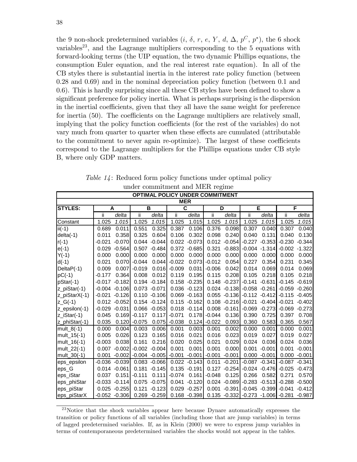the 9 non-shock predetermined variables  $(i, \delta, r, e, Y, d, \Delta, p^C, p^*)$ , the 6 shock  $variable<sup>23</sup>$ , and the Lagrange multipliers corresponding to the 5 equations with forward-looking terms (the UIP equation, the two dynamic Phillips equations, the consumption Euler equation, and the real interest rate equation). In all of the CB styles there is substantial inertia in the interest rate policy function (between 0.28 and 0.69) and in the nominal depreciation policy function (between 0.1 and  $(0.6)$ . This is hardly surprising since all these CB styles have been defined to show a significant preference for policy inertia. What is perhaps surprising is the dispersion in the inertial coefficients, given that they all have the same weight for preference for inertia  $(50)$ . The coefficients on the Lagrange multipliers are relatively small, implying that the policy function coefficients (for the rest of the variables) do not vary much from quarter to quarter when these effects are cumulated (attributable to the commitment to never again re-optimize). The largest of these coefficients correspond to the Lagrange multipliers for the Phillips equations under CB style B, where only GDP matters.

|                  |          |                 |                 |                  |            |                 | <b>OPTIMAL POLICY UNDER COMMITMENT</b> |                 |                                           |                  |          |                  |
|------------------|----------|-----------------|-----------------|------------------|------------|-----------------|----------------------------------------|-----------------|-------------------------------------------|------------------|----------|------------------|
|                  |          |                 |                 |                  | <b>MER</b> |                 |                                        |                 |                                           |                  |          |                  |
| <b>STYLES:</b>   | A        |                 | B               |                  |            | C               | D                                      |                 |                                           | E                | F        |                  |
|                  | ii       | delta           | Ϊİ              | delta            | Ϊİ         | delta           | ii                                     | delta           | ii.                                       | delta            | ii       | delta            |
| Constant         | 1.025    | 1.015           | 1.025           | 1.015            | 1.025      | 1.015           | 1.025                                  | 1.015           | 1.025                                     | 1.015            | 1.025    | 1.015            |
| $ii(-1)$         | 0.689    | 0.011           | 0.551           | 0.325            | 0.387      | 0.106           | 0.376                                  | 0.098           | 0.307                                     | 0.040            | 0.307    | 0.040            |
| $delta(-1)$      | 0.011    | 0.358           | 0.325           | 0.604            | 0.106      | 0.302           | 0.098                                  | 0.240           | 0.040                                     | 0.131            | 0.040    | 0.130            |
| $r(-1)$          | $-0.021$ | $-0.070$        | 0.044           | $-0.044$         | 0.022      | $-0.073$        | 0.012                                  | $-0.054$        | $-0.227$                                  | $-0.353$         | $-0.230$ | $-0.344$         |
| $e(-1)$          | 0.029    | $-0.564$        |                 | $0.507 - 0.484$  | 0.372      | $-0.685$        | 0.321                                  | $-0.883$        | $-0.004$                                  | $-1.314$         | $-0.002$ | $-1.322$         |
| $Y(-1)$          | 0.000    | 0.000           | 0.000           | 0.000            | 0.000      | 0.000           | 0.000                                  | 0.000           | 0.000                                     | 0.000            | 0.000    | 0.000            |
| $d(-1)$          | 0.021    | 0.070           | $-0.044$        | 0.044            | $-0.022$   | 0.073           | $-0.012$                               | 0.054           | 0.227                                     | 0.354            | 0.231    | 0.345            |
| DeltaP(-1)       | 0.009    | 0.007           | $-0.019$        | 0.016            | $-0.009$   | 0.031           | $-0.006$                               | 0.042           | 0.014                                     | 0.069            | 0.014    | 0.069            |
| $pC(-1)$         | $-0.177$ | 0.364           | 0.008           | 0.012            | 0.119      | 0.195           | 0.115                                  | 0.208           | 0.105                                     | 0.218            | 0.105    | 0.218            |
| pStar(-1)        | $-0.017$ | $-0.182$        |                 | $0.194 - 0.184$  | 0.158      | $-0.235$        |                                        | $0.148 - 0.237$ | $-0.141$                                  | $-0.631$         | $-0.145$ | $-0.619$         |
| z_piStar(-1)     |          | $-0.004 -0.106$ |                 | $0.073 - 0.071$  |            | $0.036 - 0.123$ |                                        |                 | $0.024 -0.138 -0.058 -0.261$              |                  |          | $-0.059 - 0.260$ |
| z_piStarX(-1)    | $-0.021$ | $-0.126$        |                 | $0.110 - 0.106$  | 0.069      | $-0.163$        | 0.055                                  | $-0.136$        |                                           | $-0.112 - 0.412$ | $-0.115$ | $-0.405$         |
| $Z_G(-1)$        |          | $0.012 - 0.052$ |                 | $0.154 - 0.124$  | 0.115      | $-0.162$        |                                        | $0.108 - 0.216$ | $-0.021$                                  | $-0.404$         | $-0.021$ | $-0.402$         |
| $Z$ _epsilon(-1) | -0.029   | $-0.031$        |                 | $0.066 - 0.053$  | 0.018      | $-0.114$        |                                        | $0.008 - 0.161$ | $-0.069$                                  | $-0.273$         | $-0.069$ | $-0.273$         |
| z_iStar(-1)      | 0.045    | 0.169           | $-0.117$        | 0.117            | $-0.071$   | 0.178           | $-0.044$                               | 0.136           | 0.390                                     | 0.725            | 0.397    | 0.708            |
| z_phiStar(-1)    | 0.035    | 0.120           | $-0.075$        | 0.075            | $-0.038$   |                 | $0.124$ -0.022                         | 0.093           | 0.360                                     | 0.583            | 0.365    | 0.567            |
| mult $8(-1)$     | 0.000    | 0.004           | 0.003           | 0.006            | 0.001      | 0.003           | 0.001                                  | 0.002           | 0.000                                     | 0.001            | 0.000    | 0.001            |
| mult_15(-1)      | 0.005    | 0.026           | 0.123           | 0.165            | 0.016      | 0.021           | 0.016                                  | 0.023           | 0.019                                     | 0.027            | 0.019    | 0.027            |
| mult_16 $(-1)$   | $-0.003$ | 0.038           | 0.161           | 0.216            | 0.020      | 0.025           | 0.021                                  | 0.029           | 0.024                                     | 0.036            | 0.024    | 0.036            |
| mult_22(-1)      | 0.007    | $-0.002$        | $-0.002 -0.004$ |                  | 0.001      | 0.001           | 0.001                                  | 0.000           | 0.001                                     | $-0.001$         | 0.001    | $-0.001$         |
| mult 30(-1)      | 0.001    | $-0.002$        |                 | $-0.004 - 0.005$ | $-0.001$   | $-0.001$        | $-0.001$                               | $-0.001$        |                                           | $0.000 - 0.001$  | 0.000    | $-0.001$         |
| eps epsilon      | $-0.036$ | $-0.039$        |                 | $0.083 - 0.066$  | 0.022      | $-0.143$        | 0.011                                  | $-0.201$        | $-0.087$                                  | $-0.341$         | $-0.087$ | $-0.341$         |
| eps G            | 0.014    | $-0.061$        | 0.181           | $-0.145$         | 0.135      | $-0.191$        | 0.127                                  | $-0.254$        | $-0.024$                                  | $-0.476$         | $-0.025$ | $-0.473$         |
| eps_iStar        | 0.037    | 0.151           | $-0.111$        | 0.111            | $-0.074$   | 0.161           | $-0.048$                               | 0.125           | 0.266                                     | 0.582            | 0.271    | 0.570            |
| eps_phiStar      | $-0.033$ | $-0.114$        |                 | 0.075 -0.075     | 0.041      | $-0.120$        |                                        | $0.024 - 0.089$ |                                           | $-0.283 - 0.513$ | $-0.288$ | $-0.500$         |
| eps_piStar       | 0.025    | $-0.255$        | 0.121           | $-0.123$         | 0.029      | $-0.257$        | 0.001                                  | $-0.391$        |                                           | $-0.045 - 0.399$ | $-0.041$ | $-0.412$         |
| eps_piStarX      |          | $-0.052 -0.306$ |                 | $0.269 - 0.259$  |            | $0.168 - 0.398$ |                                        |                 | $0.135 - 0.332$ $-0.273 - 1.006$ $-0.281$ |                  |          | $-0.987$         |

Table 14: Reduced form policy functions under optimal policy under commitment and MER regime

 $23$ Notice that the shock variables appear here because Dynare automatically expresses the transition or policy functions of all variables (including those that are jump variables) in terms of lagged predetermined variables. If, as in Klein (2000) we were to express jump variables in terms of contemporaneous predetermined variables the shocks would not appear in the tables.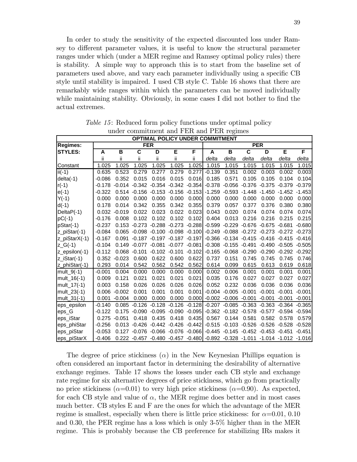In order to study the sensitivity of the expected discounted loss under Ramsey to different parameter values, it is useful to know the structural parameter ranges under which (under a MER regime and Ramsey optimal policy rules) there is stability. A simple way to approach this is to start from the baseline set of parameters used above, and vary each parameter individually using a specific CB style until stability is impaired. I used CB style C. Table 16 shows that there are remarkably wide ranges within which the parameters can be moved individually while maintaining stability. Obviously, in some cases  $I$  did not bother to find the actual extremes.

|                  |          |          | under communitient and r Ent and r Ent regnites                             |                          |                            |          | <b>OPTIMAL POLICY UNDER COMMITMENT</b>                |                                      |                         |                          |                                             |          |
|------------------|----------|----------|-----------------------------------------------------------------------------|--------------------------|----------------------------|----------|-------------------------------------------------------|--------------------------------------|-------------------------|--------------------------|---------------------------------------------|----------|
| <b>Regimes:</b>  |          |          | <b>FER</b>                                                                  |                          |                            |          |                                                       |                                      |                         | <b>PER</b>               |                                             |          |
| <b>STYLES:</b>   | A        | B        | $\overline{\mathsf{c}}$                                                     | D                        | Е                          | F        | A                                                     | $\overline{\mathbf{B}}$              | $\overline{\mathbf{c}}$ | D                        | Ε                                           | F        |
|                  | ii       | ii       | ii.                                                                         | Ϊİ                       | ii                         | ii.      | delta                                                 | delta                                | delta                   | delta                    | delta                                       | delta    |
| Constant         | 1.025    | 1.025    | 1.025                                                                       | 1.025                    | 1.025                      | 1.025    | 1.015                                                 | 1.015                                | 1.015                   | 1.015                    | 1.015                                       | 1.015    |
| $ii(-1)$         | 0.635    | 0.523    | 0.279                                                                       | 0.277                    | 0.279                      | 0.277    | $-0.139$                                              | 0.351                                | 0.002                   | 0.003                    | 0.002                                       | 0.003    |
| $delta(-1)$      | $-0.086$ | 0.352    | 0.015                                                                       | 0.016                    | 0.015                      | 0.016    | 0.185                                                 | 0.571                                | 0.105                   | 0.105                    | 0.104                                       | 0.104    |
| $r(-1)$          | $-0.178$ | $-0.014$ |                                                                             |                          | $-0.342$ $-0.354$ $-0.342$ | $-0.354$ | $-0.378$                                              | $-0.056$                             |                         | $-0.376 - 0.375$         | $-0.379$                                    | $-0.379$ |
| $e(-1)$          | $-0.322$ | 0.514    | $-0.156$                                                                    | $-0.153$                 | $-0.156$                   | $-0.153$ | $-1.259$                                              | $-0.593$                             |                         | $-1.448 - 1.450$         | $-1.452$                                    | $-1.453$ |
| $Y(-1)$          | 0.000    | 0.000    | 0.000                                                                       | 0.000                    | 0.000                      | 0.000    | 0.000                                                 | 0.000                                | 0.000                   | 0.000                    | 0.000                                       | 0.000    |
| $d(-1)$          | 0.178    | 0.014    | 0.342                                                                       | 0.355                    | 0.342                      | 0.355    | 0.379                                                 | 0.057                                | 0.377                   | 0.376                    | 0.380                                       | 0.380    |
| DeltaP(-1)       | 0.032    | $-0.019$ | 0.022                                                                       | 0.023                    | 0.022                      | 0.023    | 0.043                                                 | 0.020                                | 0.074                   | 0.074                    | 0.074                                       | 0.074    |
| $pC(-1)$         | $-0.176$ | 0.008    | 0.102                                                                       | 0.102                    | 0.102                      | 0.102    | 0.404                                                 | 0.013                                | 0.216                   | 0.216                    | 0.215                                       | 0.215    |
| pStar(-1)        | $-0.237$ | 0.153    | -0.273                                                                      | $-0.288$                 | $-0.273$                   | $-0.288$ | $-0.599$                                              | $-0.229$                             |                         | $-0.676 - 0.675 - 0.681$ |                                             | $-0.680$ |
| z_piStar(-1)     | $-0.084$ |          | $0.065 -0.098 -0.100 -0.098 -0.100$                                         |                          |                            |          |                                                       |                                      |                         |                          | $-0.249 -0.088 -0.272 -0.273 -0.272 -0.273$ |          |
| z_piStarX(-1)    | $-0.167$ | 0.091    |                                                                             | $-0.187 - 0.197$         | $-0.187$                   | $-0.197$ |                                                       | $-0.366 - 0.134$                     |                         | $-0.415 - 0.416 - 0.415$ |                                             | $-0.416$ |
| $Z_G(-1)$        | $-0.104$ | 0.149    | $-0.077$                                                                    | $-0.081$                 | $-0.077$                   | $-0.081$ |                                                       | $-0.308 - 0.155$                     | $-0.491$                |                          | $-0.490 -0.505$                             | $-0.505$ |
| $Z$ _epsilon(-1) | $-0.112$ | 0.068    | -0.101                                                                      | $-0.102 -0.101$          |                            | $-0.102$ |                                                       | $-0.165 - 0.068$                     | $-0.290$                | $-0.290$                 | $-0.292 -0.292$                             |          |
| z_iStar(-1)      | 0.352    | $-0.023$ | 0.600                                                                       | 0.622                    | 0.600                      | 0.622    | 0.737                                                 | 0.151                                | 0.745                   | 0.745                    | 0.745                                       | 0.746    |
| z_phiStar(-1)    | 0.293    | 0.014    | 0.542                                                                       | 0.562                    | 0.542                      | 0.562    | 0.614                                                 | 0.099                                | 0.615                   | 0.613                    | 0.619                                       | 0.618    |
| mult_9 $(-1)$    | $-0.001$ | 0.004    | 0.000                                                                       | 0.000                    | 0.000                      | 0.000    | 0.002                                                 | 0.006                                | 0.001                   | 0.001                    | 0.001                                       | 0.001    |
| mult_16(-1)      | 0.009    | 0.121    | 0.021                                                                       | 0.021                    | 0.021                      | 0.021    | 0.035                                                 | 0.176                                | 0.027                   | 0.027                    | 0.027                                       | 0.027    |
| mult_17 $(-1)$   | 0.003    | 0.158    | 0.026                                                                       | 0.026                    | 0.026                      | 0.026    | 0.052                                                 | 0.232                                | 0.036                   | 0.036                    | 0.036                                       | 0.036    |
| mult_23(-1)      | 0.006    | $-0.002$ | 0.001                                                                       | 0.001                    | 0.001                      | 0.001    | $-0.004$                                              | $-0.005$                             | $-0.001$                | $-0.001$                 | $-0.001$                                    | $-0.001$ |
| mult_31 $(-1)$   | 0.001    | $-0.004$ | 0.000                                                                       | 0.000                    | 0.000                      | 0.000    |                                                       | $-0.002 -0.006$                      | $-0.001$                | $-0.001$                 | $-0.001$                                    | $-0.001$ |
| eps_epsilon      | $-0.140$ | 0.085    | $-0.126$                                                                    | $-0.128$                 | $-0.126$                   | $-0.128$ | $-0.207$                                              | $-0.085$                             | $-0.363$                | $-0.363$                 | $-0.364$                                    | $-0.365$ |
| eps G            | $-0.122$ | 0.175    | $-0.090$                                                                    | $-0.095$                 | $-0.090$                   | $-0.095$ | $-0.362$                                              | $-0.182$                             | $-0.578$                | $-0.577$                 | $-0.594$                                    | $-0.594$ |
| eps_iStar        | 0.275    | $-0.051$ | 0.418                                                                       | 0.435                    | 0.418                      | 0.435    | 0.567                                                 | 0.144                                | 0.581                   | 0.582                    | 0.578                                       | 0.579    |
| eps_phiStar      | $-0.256$ | 0.013    | $-0.426$                                                                    | $-0.442 -0.426$          |                            | $-0.442$ |                                                       | $-0.515 -0.103 -0.526 -0.526 -0.528$ |                         |                          |                                             | $-0.528$ |
| eps_piStar       | $-0.053$ | 0.127    |                                                                             | $-0.076 - 0.066 - 0.076$ |                            |          | $-0.066$ $-0.445$ $-0.145$ $-0.452$ $-0.453$ $-0.451$ |                                      |                         |                          |                                             | $-0.451$ |
| eps_piStarX      | $-0.406$ |          | 0.222 -0.457 -0.480 -0.457 -0.480 -0.892 -0.328 -1.011 -1.014 -1.012 -1.016 |                          |                            |          |                                                       |                                      |                         |                          |                                             |          |

Table 15: Reduced form policy functions under optimal policy under commitment and FER and PER regimes

The degree of price stickiness  $(\alpha)$  in the New Keynesian Phillips equation is often considered an important factor in determining the desirability of alternative exchange regimes. Table 17 shows the losses under each CB style and exchange rate regime for six alternative degrees of price stickiness, which go from practically no price stickiness ( $\alpha$ =0.01) to very high price stickiness ( $\alpha$ =0.90). As expected, for each CB style and value of  $\alpha$ , the MER regime does better and in most cases much better. CB styles E and F are the ones for which the advantage of the MER regime is smallest, especially when there is little price stickiness: for  $\alpha = 0.01, 0.10$ and 0.30, the PER regime has a loss which is only 3-5% higher than in the MER regime. This is probably because the CB preference for stabilizing IRs makes it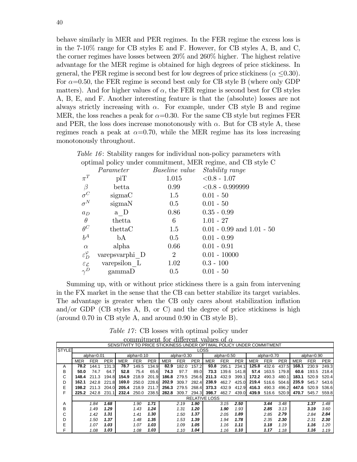behave similarly in MER and PER regimes. In the FER regime the excess loss is in the  $7-10\%$  range for CB styles E and F. However, for CB styles A, B, and C, the corner regimes have losses between  $20\%$  and  $260\%$  higher. The highest relative advantage for the MER regime is obtained for high degrees of price stickiness. In general, the PER regime is second best for low degrees of price stickiness ( $\alpha$  <0.30). For  $\alpha$ =0.50, the FER regime is second best only for CB style B (where only GDP matters). And for higher values of  $\alpha$ , the FER regime is second best for CB styles A, B, E, and F. Another interesting feature is that the (absolute) losses are not always strictly increasing with  $\alpha$ . For example, under CB style B and regime MER, the loss reaches a peak for  $\alpha$ =0.30. For the same CB style but regimes FER and PER, the loss does increase monotonously with  $\alpha$ . But for CB style A, these regimes reach a peak at  $\alpha$ =0.70, while the MER regime has its loss increasing monotonously throughout.

|                             |                |                       | <i>Table 16:</i> Stability ranges for individual non-policy parameters with |
|-----------------------------|----------------|-----------------------|-----------------------------------------------------------------------------|
|                             |                |                       | optimal policy under commitment, MER regime, and CB style C                 |
|                             | Parameter      | <i>Baseline value</i> | <i>Stability range</i>                                                      |
| $\pi^T$                     | piT            | 1.015                 | $< 0.8 - 1.07$                                                              |
| $\beta$                     | betta          | 0.99 <sub>1</sub>     | $< 0.8 - 0.9999999$                                                         |
| $\sigma^C$                  | sigmaC         | $1.5\,$               | $0.01 - 50$                                                                 |
| $\sigma^N$                  | sigmaN         | 0.5                   | $0.01 - 50$                                                                 |
| $a_D$                       | a D            | 0.86                  | $0.35 - 0.99$                                                               |
| $\theta$                    | thetta         | 6                     | $1.01 - 27$                                                                 |
| $\theta^C$                  | thettaC        | 1.5                   | $0.01 - 0.99$ and $1.01 - 50$                                               |
| $b^A$                       | ЪA             | 0.5                   | $0.01 - 0.99$                                                               |
| $\alpha$                    | alpha          | 0.66                  | $0.01 - 0.91$                                                               |
| $\varepsilon_D^{\varphi}$   | varepsvarphi D | $\overline{2}$        | $0.01 - 10000$                                                              |
| $\varepsilon_{\mathcal{L}}$ | varepsilon L   | 1.02                  | $0.3 - 100$                                                                 |
| $\gamma^D$                  | gamma D        | 0.5                   | $0.01 - 50$                                                                 |
|                             |                |                       |                                                                             |

Summing up, with or without price stickiness there is a gain from intervening in the FX market in the sense that the CB can better stabilize its target variables. The advantage is greater when the CB only cares about stabilization inflation and/or GDP (CB styles A, B, or C) and the degree of price stickiness is high (around  $0.70$  in CB style A, and around  $0.90$  in CB style B).

*Table 17:* CB losses with optimal policy under

|              |            |                |            |                                                                       |               |            |            |               |             | commitment for different values of $\alpha$ |               |            |            |            |            |            |               |            |
|--------------|------------|----------------|------------|-----------------------------------------------------------------------|---------------|------------|------------|---------------|-------------|---------------------------------------------|---------------|------------|------------|------------|------------|------------|---------------|------------|
|              |            |                |            | SENSITIVITY TO PRICE STICKINESS UNDER OPTIMAL POLICY UNDER COMMITMENT |               |            |            |               |             |                                             |               |            |            |            |            |            |               |            |
| <b>STYLE</b> |            |                |            |                                                                       |               |            |            |               | <b>LOSS</b> |                                             |               |            |            |            |            |            |               |            |
|              |            | $alpha = 0.01$ |            |                                                                       | alpha= $0.10$ |            |            | alpha= $0.30$ |             |                                             | alpha= $0.50$ |            |            | alpha=0.70 |            |            | alpha= $0.90$ |            |
|              | <b>MER</b> | <b>FER</b>     | <b>PER</b> | <b>MER</b>                                                            | <b>FER</b>    | <b>PER</b> | <b>MER</b> | <b>FER</b>    | PER         | <b>MER</b>                                  | <b>FER</b>    | <b>PER</b> | <b>MER</b> | <b>FER</b> | <b>PER</b> | <b>MER</b> | <b>FER</b>    | <b>PER</b> |
| A            | 78.2       | 144.1          | 131.3      | 78.7                                                                  | 149.5         | 134.9      | 82.9       | 182.0         | 157.2       | 93.8                                        | 295.1         | 234.1      | 125.8      | 432.6      | 437.5      | 168.1      | 230.9         | 249.3      |
| в            | 50.0       | 74.7           | 64.7       | 52.8                                                                  | 75.4          | 65.6       | 74.3       | 97.7          | 89.0        | 73.3                                        | 139.6         | 141.8      | 57.4       | 163.5      | 179.8      | 60.6       | 193.5         | 218.4      |
| С            | 148.4      | 211.3          | 194.8      | 154.9                                                                 | 218.9         | 201.9      | 186.8      | 279.5         | 256.6       | 211.3                                       | 432.9         | 399.1      | 172.2      | 490.3      | 480.1      | 183.1      | 520.9         | 520.4      |
| D            | 162.1      | 242.8          | 221.8      | 169.0                                                                 | 250.0         | 228.6      | 202.9      | 309.7         | 282.4       | 238.9                                       | 462.7         | 425.0      | 219.4      | 516.6      | 504.6      | 235.9      | 545.7         | 543.6      |
| E            | 198.2      | 211.3          | 204.0      | 205.4                                                                 | 218.9         | 211.7      | 256.3      | 279.5         | 268.4       | 373.3                                       | 432.9         | 412.9      | 416.3      | 490.3      | 496.2      | 447.6      | 520.9         | 536.6      |
| F            | 225.2      | 242.8          | 231.1      | 232.4                                                                 | 250.0         | 238.5      | 282.8      | 309.7         | 294.3       | 398.7                                       | 462.7         | 439.0      | 439.9      | 516.6      | 520.9      | 470.7      | 545.7         | 559.8      |
|              |            |                |            |                                                                       |               |            |            |               |             | <b>RELATIVE LOSS</b>                        |               |            |            |            |            |            |               |            |
| A            |            | 1.84           | 1.68       |                                                                       | 1.90          | 1.71       |            | 2.19          | 1.90        |                                             | 3.15          | 2.50       |            | 3.44       | 3.48       |            | 1.37          | 1.48       |
| B            |            | 1.49           | 1.29       |                                                                       | 1.43          | 1.24       |            | 1.31          | 1.20        |                                             | 1.90          | 1.93       |            | 2.85       | 3.13       |            | 3.19          | 3.60       |
| С            |            | 1.42           | 1.31       |                                                                       | 1.41          | 1.30       |            | 1.50          | 1.37        |                                             | 2.05          | 1.89       |            | 2.85       | 2.79       |            | 2.84          | 2.84       |
| D            |            | 1.50           | 1.37       |                                                                       | 1.48          | 1.35       |            | 1.53          | 1.39        |                                             | 1.94          | 1.78       |            | 2.35       | 2.30       |            | 2.31          | 2.30       |
| E            |            | 1.07           | 1.03       |                                                                       | 1.07          | 1.03       |            | 1.09          | 1.05        |                                             | 1.16          | 1.11       |            | 1.18       | 1.19       |            | 1.16          | 1.20       |
| F            |            | 1.08           | 1.03       |                                                                       | 1.08          | 1.03       |            | 1.10          | 1.04        |                                             | 1.16          | 1.10       |            | 1.17       | 1.18       |            | 1.16          | 1.19       |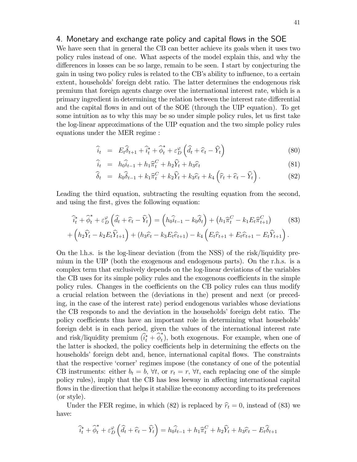## 4. Monetary and exchange rate policy and capital flows in the SOE

We have seen that in general the CB can better achieve its goals when it uses two policy rules instead of one. What aspects of the model explain this, and why the differences in losses can be so large, remain to be seen. I start by conjecturing the gain in using two policy rules is related to the CB's ability to influence, to a certain extent, households foreign debt ratio. The latter determines the endogenous risk premium that foreign agents charge over the international interest rate, which is a primary ingredient in determining the relation between the interest rate differential and the capital flows in and out of the SOE (through the UIP equation). To get some intuition as to why this may be so under simple policy rules, let us first take the log-linear approximations of the UIP equation and the two simple policy rules equations under the MER regime :

$$
\widehat{i}_t = E_t \widehat{\delta}_{t+1} + \widehat{i}_t^* + \widehat{\phi}_t^* + \varepsilon_D^{\varphi} \left( \widehat{d}_t + \widehat{e}_t - \widehat{Y}_t \right)
$$
\n(80)

$$
\widehat{i}_t = h_0 \widehat{i}_{t-1} + h_1 \widehat{\pi}_t^C + h_2 \widehat{Y}_t + h_3 \widehat{e}_t \tag{81}
$$

$$
\widehat{\delta}_t = k_0 \widehat{\delta}_{t-1} + k_1 \widehat{\pi}_t^C + k_2 \widehat{Y}_t + k_3 \widehat{e}_t + k_4 \left( \widehat{r}_t + \widehat{e}_t - \widehat{Y}_t \right). \tag{82}
$$

Leading the third equation, subtracting the resulting equation from the second, and using the first, gives the following equation:

$$
\hat{i}_{t}^{*} + \hat{\phi}_{t}^{*} + \varepsilon_{D}^{\varphi} \left( \hat{d}_{t} + \hat{e}_{t} - \hat{Y}_{t} \right) = \left( h_{0} \hat{i}_{t-1} - k_{0} \hat{\delta}_{t} \right) + \left( h_{1} \hat{\pi}_{t}^{C} - k_{1} E_{t} \hat{\pi}_{t+1}^{C} \right) \tag{83}
$$
\n
$$
+ \left( h_{2} \hat{Y}_{t} - k_{2} E_{t} \hat{Y}_{t+1} \right) + \left( h_{3} \hat{e}_{t} - k_{3} E_{t} \hat{e}_{t+1} \right) - k_{4} \left( E_{t} \hat{r}_{t+1} + E_{t} \hat{e}_{t+1} - E_{t} \hat{Y}_{t+1} \right).
$$

On the l.h.s. is the log-linear deviation (from the NSS) of the risk/liquidity premium in the UIP (both the exogenous and endogenous parts). On the r.h.s. is a complex term that exclusively depends on the log-linear deviations of the variables the CB uses for its simple policy rules and the exogenous coefficients in the simple policy rules. Changes in the coefficients on the CB policy rules can thus modify a crucial relation between the (deviations in the) present and next (or preceding, in the case of the interest rate) period endogenous variables whose deviations the CB responds to and the deviation in the households' foreign debt ratio. The policy coefficients thus have an important role in determining what households<sup>?</sup> foreign debt is in each period, given the values of the international interest rate and risk/liquidity premium  $(\hat{i}_t^* + \hat{\phi}_t^*)$  $t<sub>t</sub>$ ), both exogenous. For example, when one of the latter is shocked, the policy coefficients help in determining the effects on the households foreign debt and, hence, international capital flows. The constraints that the respective 'corner' regimes impose (the constancy of one of the potential CB instruments: either  $b_t = b$ ,  $\forall t$ , or  $r_t = r$ ,  $\forall t$ , each replacing one of the simple policy rules), imply that the CB has less leeway in affecting international capital flows in the direction that helps it stabilize the economy according to its preferences (or style).

Under the FER regime, in which (82) is replaced by  $\hat{r}_t = 0$ , instead of (83) we have:

$$
\widehat{i_t^*} + \widehat{\phi}_t^* + \varepsilon_D^{\varphi} \left( \widehat{d}_t + \widehat{e}_t - \widehat{Y}_t \right) = h_0 \widehat{i}_{t-1} + h_1 \widehat{\pi}_t^C + h_2 \widehat{Y}_t + h_3 \widehat{e}_t - E_t \widehat{\delta}_{t+1}
$$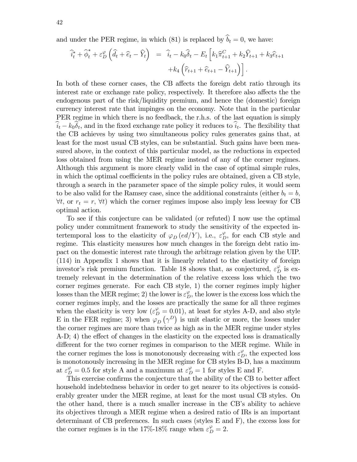and under the PER regime, in which (81) is replaced by  $\hat{b}_t = 0$ , we have:

$$
\widehat{i}_t^* + \widehat{\phi}_t^* + \varepsilon_D^{\varphi} \left( \widehat{d}_t + \widehat{e}_t - \widehat{Y}_t \right) = \widehat{i}_t - k_0 \widehat{\delta}_t - E_t \left[ k_1 \widehat{\pi}_{t+1}^C + k_2 \widehat{Y}_{t+1} + k_3 \widehat{e}_{t+1} + k_4 \left( \widehat{r}_{t+1} + \widehat{e}_{t+1} - \widehat{Y}_{t+1} \right) \right].
$$

In both of these corner cases, the CB affects the foreign debt ratio through its interest rate or exchange rate policy, respectively. It therefore also affects the the endogenous part of the risk/liquidity premium, and hence the (domestic) foreign currency interest rate that impinges on the economy. Note that in the particular PER regime in which there is no feedback, the r.h.s. of the last equation is simply  $i_t - k_0 \delta_t$ , and in the fixed exchange rate policy it reduces to  $i_t$ . The flexibility that the CB achieves by using two simultaneous policy rules generates gains that, at least for the most usual CB styles, can be substantial. Such gains have been measured above, in the context of this particular model, as the reductions in expected loss obtained from using the MER regime instead of any of the corner regimes. Although this argument is more clearly valid in the case of optimal simple rules, in which the optimal coefficients in the policy rules are obtained, given a CB style, through a search in the parameter space of the simple policy rules, it would seem to be also valid for the Ramsey case, since the additional constraints (either  $b_t = b$ ,  $\forall t$ , or  $r_t = r$ ,  $\forall t$ ) which the corner regimes impose also imply less leeway for CB optimal action.

To see if this conjecture can be validated (or refuted) I now use the optimal policy under commitment framework to study the sensitivity of the expected intertemporal loss to the elasticity of  $\varphi_D (ed/Y)$ , i.e.,  $\varepsilon_D^{\varphi}$ , for each CB style and regime. This elasticity measures how much changes in the foreign debt ratio impact on the domestic interest rate through the arbitrage relation given by the UIP. (114) in Appendix 1 shows that it is linearly related to the elasticity of foreign investor's risk premium function. Table 18 shows that, as conjectured,  $\varepsilon_D^{\varphi}$  is extremely relevant in the determination of the relative excess loss which the two corner regimes generate. For each CB style, 1) the corner regimes imply higher losses than the MER regime; 2) the lower is  $\varepsilon_D^{\varphi}$ , the lower is the excess loss which the corner regimes imply, and the losses are practically the same for all three regimes when the elasticity is very low  $(\varepsilon_D^{\varphi} = 0.01)$ , at least for styles A-D, and also style E in the FER regime; 3) when  $\varphi_D(\gamma^D)$  is unit elastic or more, the losses under the corner regimes are more than twice as high as in the MER regime under styles  $A-D$ ; 4) the effect of changes in the elasticity on the expected loss is dramatically different for the two corner regimes in comparison to the MER regime. While in the corner regimes the loss is monotonously decreasing with  $\varepsilon_D^{\varphi}$ , the expected loss is monotonously increasing in the MER regime for CB styles B-D, has a maximum at  $\varepsilon_D^{\varphi} = 0.5$  for style A and a maximum at  $\varepsilon_D^{\varphi} = 1$  for styles E and F.

This exercise confirms the conjecture that the ability of the CB to better affect household indebtedness behavior in order to get nearer to its objectives is considerably greater under the MER regime, at least for the most usual CB styles. On the other hand, there is a much smaller increase in the CB's ability to achieve its objectives through a MER regime when a desired ratio of IRs is an important determinant of CB preferences. In such cases (styles E and F), the excess loss for the corner regimes is in the 17%-18% range when  $\varepsilon_D^{\varphi} = 2$ .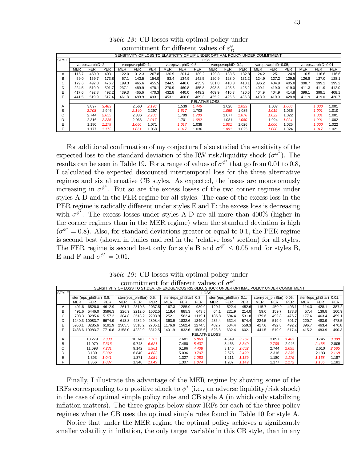|              |            |                  |            |            |                  |            |                                                                                |                    |             |                      | $\prime$           |            |            |                     |            |            |                     |            |
|--------------|------------|------------------|------------|------------|------------------|------------|--------------------------------------------------------------------------------|--------------------|-------------|----------------------|--------------------|------------|------------|---------------------|------------|------------|---------------------|------------|
|              |            |                  |            |            |                  |            | SENSITIVITY OF LOSS TO ELASTICITY OF UIP UNDER OPTIMAL POLICY UNDER COMMITMENT |                    |             |                      |                    |            |            |                     |            |            |                     |            |
| <b>STYLE</b> |            |                  |            |            |                  |            |                                                                                |                    | <b>LOSS</b> |                      |                    |            |            |                     |            |            |                     |            |
|              |            | varepsvarphiD=2; |            |            | varepsvarphiD=1; |            |                                                                                | varepsvarphiD=0.5; |             |                      | varepsvarphiD=0.1; |            |            | varepsvarphiD=0.05: |            |            | varepsvarphiD=0.01; |            |
|              | <b>MER</b> | <b>FER</b>       | <b>PER</b> | <b>MER</b> | <b>FER</b>       | <b>PER</b> | MER                                                                            | <b>FER</b>         | <b>PER</b>  | <b>MER</b>           | <b>FER</b>         | <b>PER</b> | <b>MER</b> | <b>FER</b>          | <b>PER</b> | <b>MER</b> | <b>FER</b>          | <b>PER</b> |
| A            | 115.7      | 450.9            | 403.1      | 122.0      | 312.3            | 267.8      | 130.9                                                                          | 201.4              | 189.2       | 129.8                | 133.5              | 132.8      | 124.2      | 125.1               | 124.9      | 116.5      | 116.6               | 116.6      |
| в            | 59.0       | 159.7            | 173.8      | 67.1       | 143.5            | 154.0      | 83.4                                                                           | 134.9              | 142.5       | 120.9                | 128.0              | 131.2      | 124.9      | 127.2               | 129.5      | 126.8      | 127.0               | 128.1      |
| U            | 179.6      | 492.8            | 476.7      | 199.3      | 465.6            | 455.5      | 244.5                                                                          | 440.0              | 435.9       | 381.0                | 410.3              | 410.1      | 396.2      | 404.9               | 405.0      | 398.7      | 399.1               | 399.2      |
|              | 224.5      | 519.9            | 501.7      | 237.1      | 489.9            | 478.1      | 270.9                                                                          | 460.8              | 455.8       | 393.8                | 425.6              | 425.2      | 409.1      | 419.0               | 419.0      | 411.3      | 411.9               | 412.0      |
| E            | 417.6      | 492.8            | 492.2      | 439.3      | 465.6            | 470.3      | 432.8                                                                          | 440.0              | 449.2       | 409.9                | 410.3              | 420.6      | 404.9      | 404.9               | 414.8      | 399.1      | 399.1               | 408.1      |
|              | 441.5      | 519.9            | 517.4      | 461.8      | 489.9            | 493.1      | 453.1                                                                          | 460.8              | 469.3       | 425.2                | 425.6              | 435.8      | 418.9      | 419.0               | 428.8      | 411.9      | 419.0               | 420.7      |
|              |            |                  |            |            |                  |            |                                                                                |                    |             | <b>RELATIVE LOSS</b> |                    |            |            |                     |            |            |                     |            |
| A            |            | 3.897            | 3.483      |            | 2.560            | 2.196      |                                                                                | 1.539              | 1.446       |                      | 1.028              | 1.023      |            | 1.007               | 1.006      |            | 1.000               | 1.001      |
| в            |            | 2.708            | 2.946      |            | 2.140            | 2.297      |                                                                                | 1.617              | 1.708       |                      | 1.059              | 1.085      |            | 1.019               | 1.036      |            | 1.001               | 1.010      |
| ⌒            |            | 2.744            | 2.655      |            | 2.336            | 2.286      |                                                                                | 1.799              | 1.783       |                      | 1.077              | 1.076      |            | 1.022               | 1.022      |            | 1.001               | 1.001      |
|              |            | 2.316            | 2.235      |            | 2.066            | 2.017      |                                                                                | 1.701              | 1.682       |                      | 1.081              | 1.080      |            | 1.024               | 1.024      |            | 1.001               | 1.002      |
| E            |            | .180             | 1.179      |            | 1.060            | 1.071      |                                                                                | 1.017              | .038        |                      | 1.001              | 1.026      |            | 1.000               | 1.025      |            | 1.000               | 1.022      |
|              |            | 1.177            | 1.172      |            | 1.061            | .068       |                                                                                | 1.017              | .036        |                      | 1.001              | 1.025      |            | 1.000               | 1.024      |            | 1.017               | 1.021      |

Table 18: CB losses with optimal policy under commitment for different values of  $\varepsilon_D^{\varphi}$ 

For additional confirmation of my conjecture I also studied the sensitivity of the expected loss to the standard deviation of the RW risk/liquidity shock  $(\sigma^{\phi^*})$ . The results can be seen in Table 19. For a range of values of  $\sigma^{\phi^*}$  that go from 0.01 to 0.8, I calculated the expected discounted intertemporal loss for the three alternative regimes and six alternative CB styles. As expected, the losses are monotonously increasing in  $\sigma^{\phi^*}$ . But so are the excess losses of the two corner regimes under styles A-D and in the FER regime for all styles. The case of the excess loss in the PER regime is radically different under styles  $E$  and  $F$ : the excess loss is decreasing with  $\sigma^{\phi^*}$ . The excess losses under styles A-D are all more than 400% (higher in the corner regimes than in the MER regime) when the standard deviation is high  $(\sigma^{\phi^*}=0.8)$ . Also, for standard deviations greater or equal to 0.1, the PER regime is second best (shown in italics and red in the 'relative loss' section) for all styles. The FER regime is second best only for style B and  $\sigma^{\phi^*} \leq 0.05$  and for styles B, E and F and  $\sigma^{\phi^*} = 0.01$ .

|              |            |                         |            |            |                         |            |            |                         |            |                      |                         |            | SENSITIVITY OF LOSS TO ST.DEV. OF EXOGENOUS RISK/LIQ. SHOCK UNDER OPTIMAL POLICY UNDER COMMITMENT |                          |            |                          |            |            |
|--------------|------------|-------------------------|------------|------------|-------------------------|------------|------------|-------------------------|------------|----------------------|-------------------------|------------|---------------------------------------------------------------------------------------------------|--------------------------|------------|--------------------------|------------|------------|
| <b>STYLE</b> |            |                         |            |            |                         |            |            |                         |            | LOSS                 |                         |            |                                                                                                   |                          |            |                          |            |            |
|              |            | sterr(eps phiStar)=0.8: |            |            | sterr(eps phiStar)=0.5: |            |            | sterr(eps phiStar)=0.3; |            |                      | sterr(eps phiStar)=0.1; |            |                                                                                                   | sterr(eps phiStar)=0.05; |            | sterr(eps phiStar)=0.01; |            |            |
|              | <b>MER</b> | <b>FER</b>              | <b>PER</b> | <b>MER</b> | <b>FER</b>              | <b>PER</b> | <b>MER</b> | <b>FER</b>              | <b>PER</b> | <b>MER</b>           | <b>FER</b>              | <b>PER</b> | <b>MER</b>                                                                                        | <b>FER</b>               | <b>PER</b> | <b>MER</b>               | <b>FER</b> | <b>PER</b> |
| A            | 491.6      | 6528.0                  | 4612.9     | 261.7      | 2810.3                  | 2037.5     | 167.3      | 1285.0                  | 980.9      | 120.1                | 522.4                   | 452.6      | 115.7                                                                                             | 450.9                    | 403.1      | 114.3                    | 428.1      | 387.2      |
| в            | 491.6      | 5446.0                  | 3596.3     | 226.9      | 2212.0                  | 1502.5     | 118.4      | 885.3                   | 643.5      | 64.1                 | 221.9                   | 214.0      | 59.0                                                                                              | 159.7                    | 173.8      | 57.4                     | 139.8      | 160.9      |
| $\sim$<br>◡  | 708.3      | 8285.6                  | 5157.2     | 384.8      | 3518.2                  | 2293.9     | 252.1      | 1562.4                  | 1119.1     | 185.8                | 584.4                   | 531.8      | 179.6                                                                                             | 492.8                    | 476.7      | 177.6                    | 463.4      | 459.1      |
| D            |            | 1240.3 10083.7          | 6674.9     | 618.8      | 4232.9                  | 2898.4     | 363.9      | 1832.6                  | 1349.0     | 236.4                | 632.4                   | 574.4      | 224.5                                                                                             | 519.9                    | 501.7      | 220.7                    | 483.9      | 478.5      |
| E            | 5950.1     | 8285.6                  | 6191.9     | 2565.5     | 3518.2                  | 2705.1     | 1176.9     | 1562.4                  | 1274.5     | 482.7                | 584.4                   | 559.3      | 417.6                                                                                             | 492.8                    | 492.2      | 396.7                    | 463.4      | 470.8      |
|              |            | 7438.6 10083.7          | 7716.81    | 3158.0     | 4232.9                  | 3312.5     | 1401.9     | 1832.6                  | 1505.6     | 523.8                | 632.4                   | 602.1      | 441.5                                                                                             | 519.9                    | 517.4      | 415.2                    | 483.9      | 490.3      |
|              |            |                         |            |            |                         |            |            |                         |            | <b>RELATIVE LOSS</b> |                         |            |                                                                                                   |                          |            |                          |            |            |
| A            |            | 13.279                  | 9.383      |            | 10.740                  | 7.787      |            | 7.681                   | 5.863      |                      | 4.349                   | 3.767      |                                                                                                   | 3.897                    | 3.483      |                          | 3.745      | 3.388      |
| в            |            | 11.079                  | 7.316      |            | 9.748                   | 6.621      |            | 7.480                   | 5.437      |                      | 3.463                   | 3.340      |                                                                                                   | 2.708                    | 2.946      |                          | 2.438      | 2.805      |
| ⌒<br>U       |            | 11.698                  | 7.281      |            | 9.142                   | 5.961      |            | 6.196                   | 4.438      |                      | 3.146                   | 2.862      |                                                                                                   | 2.744                    | 2.655      |                          | 2.610      | 2.585      |
| D            |            | 8.130                   | 5.382      |            | 6.840                   | 4.683      |            | 5.036                   | 3.707      |                      | 2.675                   | 2.429      |                                                                                                   | 2.316                    | 2.235      |                          | 2.193      | 2.168      |
|              |            | 1.393                   | 1.041      |            | 1.371                   | 1.054      |            | 1.327                   | 1.083      |                      | 1.211                   | 1.159      |                                                                                                   | 1.180                    | 1.179      |                          | 1.168      | 1.187      |
|              |            | 1.356                   | 1.037      |            | 1.340                   | 1.049      |            | .307                    | 1.074      |                      | 1.207                   | 1.149      |                                                                                                   | 1.177                    | 1.172      |                          | 1.165      | 1.181      |

Table 19: CB losses with optimal policy under commitment for different values of  $\sigma^{\phi^*}$ 

Finally, I illustrate the advantage of the MER regime by showing some of the IRFs corresponding to a positive shock to  $\phi^*$  (i.e., an adverse liquidity/risk shock) in the case of optimal simple policy rules and CB style A (in which only stabilizing inflation matters). The three graphs below show IRFs for each of the three policy regimes when the CB uses the optimal simple rules found in Table 10 for style A.

Notice that under the MER regime the optimal policy achieves a significantly smaller volatility in inflation, the only target variable in this CB style, than in any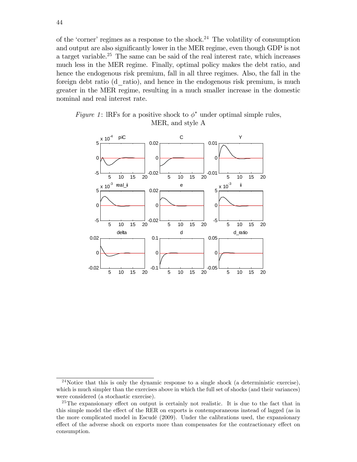of the 'corner' regimes as a response to the shock.<sup>24</sup> The volatility of consumption and output are also significantly lower in the MER regime, even though GDP is not a target variable.<sup>25</sup> The same can be said of the real interest rate, which increases much less in the MER regime. Finally, optimal policy makes the debt ratio, and hence the endogenous risk premium, fall in all three regimes. Also, the fall in the foreign debt ratio (d\_ratio), and hence in the endogenous risk premium, is much greater in the MER regime, resulting in a much smaller increase in the domestic nominal and real interest rate.





<sup>&</sup>lt;sup>24</sup>Notice that this is only the dynamic response to a single shock (a deterministic exercise), which is much simpler than the exercises above in which the full set of shocks (and their variances) were considered (a stochastic exercise).

<sup>&</sup>lt;sup>25</sup>The expansionary effect on output is certainly not realistic. It is due to the fact that in this simple model the effect of the RER on exports is contemporaneous instead of lagged (as in the more complicated model in Escudé (2009). Under the calibrations used, the expansionary effect of the adverse shock on exports more than compensates for the contractionary effect on consumption.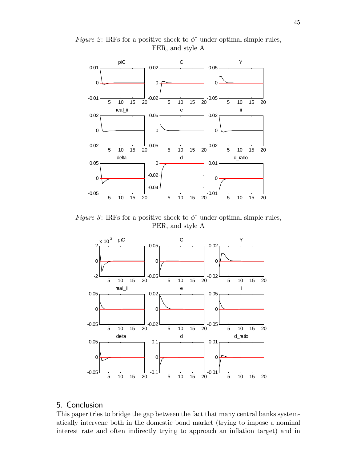

Figure 2: IRFs for a positive shock to  $\phi^*$  under optimal simple rules, FER, and style A

Figure 3: IRFs for a positive shock to  $\phi^*$  under optimal simple rules, PER, and style A



# 5. Conclusion

This paper tries to bridge the gap between the fact that many central banks systematically intervene both in the domestic bond market (trying to impose a nominal interest rate and often indirectly trying to approach an inflation target) and in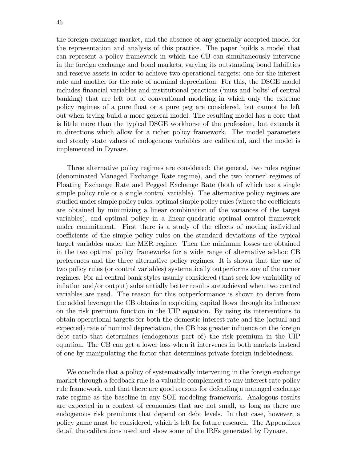the foreign exchange market, and the absence of any generally accepted model for the representation and analysis of this practice. The paper builds a model that can represent a policy framework in which the CB can simultaneously intervene in the foreign exchange and bond markets, varying its outstanding bond liabilities and reserve assets in order to achieve two operational targets: one for the interest rate and another for the rate of nominal depreciation. For this, the DSGE model includes financial variables and institutional practices ('nuts and bolts' of central banking) that are left out of conventional modeling in which only the extreme policy regimes of a pure float or a pure peg are considered, but cannot be left out when trying build a more general model. The resulting model has a core that is little more than the typical DSGE workhorse of the profession, but extends it in directions which allow for a richer policy framework. The model parameters and steady state values of endogenous variables are calibrated, and the model is implemented in Dynare.

Three alternative policy regimes are considered: the general, two rules regime (denominated Managed Exchange Rate regime), and the two 'corner' regimes of Floating Exchange Rate and Pegged Exchange Rate (both of which use a single simple policy rule or a single control variable). The alternative policy regimes are studied under simple policy rules, optimal simple policy rules (where the coefficients are obtained by minimizing a linear combination of the variances of the target variables), and optimal policy in a linear-quadratic optimal control framework under commitment. First there is a study of the effects of moving individual coefficients of the simple policy rules on the standard deviations of the typical target variables under the MER regime. Then the minimum losses are obtained in the two optimal policy frameworks for a wide range of alternative ad-hoc CB preferences and the three alternative policy regimes. It is shown that the use of two policy rules (or control variables) systematically outperforms any of the corner regimes. For all central bank styles usually considered (that seek low variability of inflation and/or output) substantially better results are achieved when two control variables are used. The reason for this outperformance is shown to derive from the added leverage the CB obtains in exploiting capital flows through its influence on the risk premium function in the UIP equation. By using its interventions to obtain operational targets for both the domestic interest rate and the (actual and expected) rate of nominal depreciation, the CB has greater influence on the foreign debt ratio that determines (endogenous part of) the risk premium in the UIP equation. The CB can get a lower loss when it intervenes in both markets instead of one by manipulating the factor that determines private foreign indebtedness.

We conclude that a policy of systematically intervening in the foreign exchange market through a feedback rule is a valuable complement to any interest rate policy rule framework, and that there are good reasons for defending a managed exchange rate regime as the baseline in any SOE modeling framework. Analogous results are expected in a context of economies that are not small, as long as there are endogenous risk premiums that depend on debt levels. In that case, however, a policy game must be considered, which is left for future research. The Appendixes detail the calibrations used and show some of the IRFs generated by Dynare.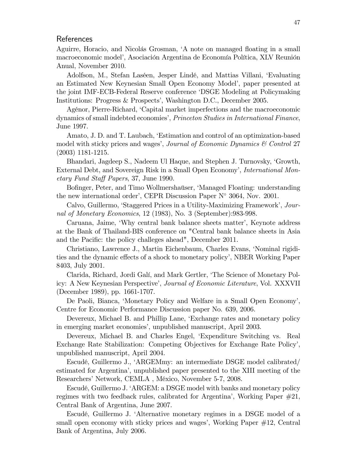### References

Aguirre, Horacio, and Nicolás Grosman, 'A note on managed floating in a small macroeconomic model<sup>'</sup>, Asociación Argentina de Economía Política, XLV Reunión Anual, November 2010.

Adolfson, M., Stefan Laséen, Jesper Lindé, and Mattias Villani, 'Evaluating an Estimated New Keynesian Small Open Economy Model', paper presented at the joint IMF-ECB-Federal Reserve conference ëDSGE Modeling at Policymaking Institutions: Progress & Prospects', Washington D.C., December 2005.

AgÈnor, Pierre-Richard, ëCapital market imperfections and the macroeconomic dynamics of small indebted economies', Princeton Studies in International Finance, June 1997.

Amato, J. D. and T. Laubach, ëEstimation and control of an optimization-based model with sticky prices and wages', Journal of Economic Dynamics  $\mathcal C$  Control 27 (2003) 1181-1215.

Bhandari, Jagdeep S., Nadeem Ul Haque, and Stephen J. Turnovsky, 'Growth, External Debt, and Sovereign Risk in a Small Open Economy', *International Mon*etary Fund Staff Papers, 37, June 1990.

Bofinger, Peter, and Timo Wollmershaüser, 'Managed Floating: understanding the new international order', CEPR Discussion Paper  $N^{\circ}$  3064, Nov. 2001.

Calvo, Guillermo, 'Staggered Prices in a Utility-Maximizing Framework', Journal of Monetary Economics, 12 (1983), No. 3 (September):983-998.

Caruana, Jaime, 'Why central bank balance sheets matter', Keynote address at the Bank of Thailand-BIS conference on "Central bank balance sheets in Asia and the Pacific: the policy challeges ahead", December 2011.

Christiano, Lawrence J., Martin Eichenbaum, Charles Evans, 'Nominal rigidities and the dynamic effects of a shock to monetary policy<sup>'</sup>, NBER Working Paper 8403, July 2001.

Clarida, Richard, Jordi GalÌ, and Mark Gertler, ëThe Science of Monetary Policy: A New Keynesian Perspective', *Journal of Economic Literature*, Vol. XXXVII (December 1989), pp. 1661-1707.

De Paoli, Bianca, ëMonetary Policy and Welfare in a Small Open Economyí, Centre for Economic Performance Discussion paper No. 639, 2006.

Devereux, Michael B. and Phillip Lane, ëExchange rates and monetary policy in emerging market economies', unpublished manuscript, April 2003.

Devereux, Michael B. and Charles Engel, ëExpenditure Switching vs. Real Exchange Rate Stabilization: Competing Objectives for Exchange Rate Policy', unpublished manuscript, April 2004.

Escudé, Guillermo J., 'ARGEMmy: an intermediate DSGE model calibrated/ estimated for Argentinaí, unpublished paper presented to the XIII meeting of the Researchers' Network, CEMLA, México, November 5-7, 2008.

Escudé, Guillermo J. 'ARGEM: a DSGE model with banks and monetary policy regimes with two feedback rules, calibrated for Argentinaí, Working Paper #21, Central Bank of Argentina, June 2007.

Escudé, Guillermo J. 'Alternative monetary regimes in a DSGE model of a small open economy with sticky prices and wages', Working Paper  $\#12$ , Central Bank of Argentina, July 2006.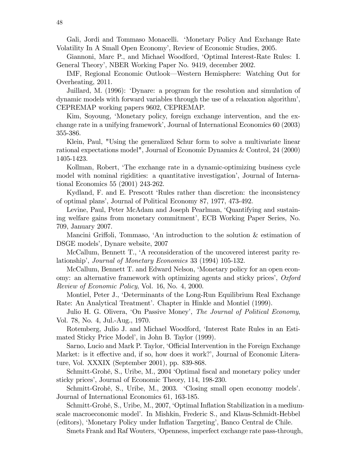Gali, Jordi and Tommaso Monacelli. ëMonetary Policy And Exchange Rate Volatility In A Small Open Economyí, Review of Economic Studies, 2005.

Giannoni, Marc P., and Michael Woodford, ëOptimal Interest-Rate Rules: I. General Theoryí, NBER Working Paper No. 9419, december 2002.

IMF, Regional Economic Outlook—Western Hemisphere: Watching Out for Overheating, 2011.

Juillard, M. (1996): ëDynare: a program for the resolution and simulation of dynamic models with forward variables through the use of a relaxation algorithmí, CEPREMAP working papers 9602, CEPREMAP.

Kim, Soyoung, 'Monetary policy, foreign exchange intervention, and the exchange rate in a unifying framework', Journal of International Economics 60 (2003) 355-386.

Klein, Paul, "Using the generalized Schur form to solve a multivariate linear rational expectations model", Journal of Economic Dynamics & Control, 24 (2000) 1405-1423.

Kollman, Robert, The exchange rate in a dynamic-optimizing business cycle model with nominal rigidities: a quantitative investigation', Journal of International Economics 55 (2001) 243-262.

Kydland, F. and E. Prescott 'Rules rather than discretion: the inconsistency of optimal plansí, Journal of Political Economy 87, 1977, 473-492.

Levine, Paul, Peter McAdam and Joseph Pearlman, 'Quantifying and sustaining welfare gains from monetary commitment', ECB Working Paper Series, No. 709, January 2007.

Mancini Griffoli, Tommaso, 'An introduction to the solution  $&$  estimation of DSGE models', Dynare website, 2007

McCallum, Bennett T., 'A reconsideration of the uncovered interest parity relationship', Journal of Monetary Economics 33 (1994) 105-132.

McCallum, Bennett T. and Edward Nelson, 'Monetary policy for an open economy: an alternative framework with optimizing agents and sticky prices',  $Oxford$ Review of Economic Policy, Vol. 16, No. 4, 2000.

Montiel, Peter J., ëDeterminants of the Long-Run Equilibrium Real Exchange Rate: An Analytical Treatment'. Chapter in Hinkle and Montiel (1999).

Julio H. G. Olivera, 'On Passive Money', The Journal of Political Economy, Vol. 78, No. 4, Jul.-Aug., 1970.

Rotemberg, Julio J. and Michael Woodford, 'Interest Rate Rules in an Estimated Sticky Price Model', in John B. Taylor (1999).

Sarno, Lucio and Mark P. Taylor, 'Official Intervention in the Foreign Exchange Market: is it effective and, if so, how does it work?', Journal of Economic Literature, Vol. XXXIX (September 2001), pp. 839-868.

Schmitt-Grohé, S., Uribe, M., 2004 'Optimal fiscal and monetary policy under sticky prices', Journal of Economic Theory, 114, 198-230.

Schmitt-Grohé, S., Uribe, M., 2003. 'Closing small open economy models'. Journal of International Economics 61, 163-185.

Schmitt-Grohé, S., Uribe, M., 2007, 'Optimal Inflation Stabilization in a mediumscale macroeconomic modelí. In Mishkin, Frederic S., and Klaus-Schmidt-Hebbel (editors), ëMonetary Policy under Ináation Targetingí, Banco Central de Chile.

Smets Frank and Raf Wouters, ëOpenness, imperfect exchange rate pass-through,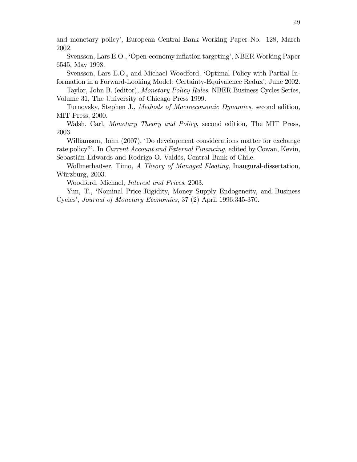and monetary policy', European Central Bank Working Paper No. 128, March 2002.

Svensson, Lars E.O., 'Open-economy inflation targeting', NBER Working Paper 6545, May 1998.

Svensson, Lars E.O., and Michael Woodford, 'Optimal Policy with Partial Information in a Forward-Looking Model: Certainty-Equivalence Redux', June 2002.

Taylor, John B. (editor), *Monetary Policy Rules*, NBER Business Cycles Series, Volume 31, The University of Chicago Press 1999.

Turnovsky, Stephen J., Methods of Macroeconomic Dynamics, second edition, MIT Press, 2000.

Walsh, Carl, *Monetary Theory and Policy*, second edition, The MIT Press, 2003.

Williamson, John (2007), 'Do development considerations matter for exchange rate policy?'. In Current Account and External Financing, edited by Cowan, Kevin, Sebastián Edwards and Rodrigo O. Valdés, Central Bank of Chile.

Wollmerhauser, Timo, A Theory of Managed Floating, Inaugural-dissertation, Würzburg, 2003.

Woodford, Michael, *Interest and Prices*, 2003.

Yun, T., 'Nominal Price Rigidity, Money Supply Endogeneity, and Business Cycles', Journal of Monetary Economics, 37 (2) April 1996:345-370.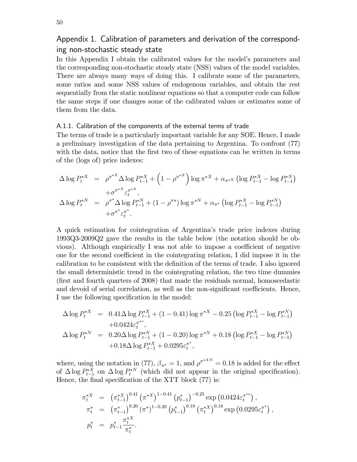## Appendix 1. Calibration of parameters and derivation of the corresponding non-stochastic steady state

In this Appendix I obtain the calibrated values for the model's parameters and the corresponding non-stochastic steady state (NSS) values of the model variables. There are always many ways of doing this. I calibrate some of the parameters, some ratios and some NSS values of endogenous variables, and obtain the rest sequentially from the static nonlinear equations so that a computer code can follow the same steps if one changes some of the calibrated values or estimates some of them from the data.

#### A.1.1. Calibration of the components of the external terms of trade

The terms of trade is a particularly important variable for any SOE. Hence, I made a preliminary investigation of the data pertaining to Argentina. To confront (77) with the data, notice that the first two of these equations can be written in terms of the (logs of) price indexes:

$$
\Delta \log P_t^{*X} = \rho^{\pi^{*X}} \Delta \log P_{t-1}^{*X} + \left(1 - \rho^{\pi^{*X}}\right) \log \pi^{*X} + \alpha_{\pi^{*X}} \left(\log P_{t-1}^{*X} - \log P_{t-1}^{*X}\right)
$$
  
+ 
$$
\sigma^{\pi^{*X}} \varepsilon_t^{\pi^{*X}},
$$
  

$$
\Delta \log P_t^{*N} = \rho^{\pi^*} \Delta \log P_{t-1}^{*N} + \left(1 - \rho^{\pi^*}\right) \log \pi^{*N} + \alpha_{\pi^*} \left(\log P_{t-1}^{*X} - \log P_{t-1}^{*N}\right)
$$
  
+ 
$$
\sigma^{\pi^*} \varepsilon_t^{\pi^*}.
$$

A quick estimation for cointegration of Argentinaís trade price indexes during 1993Q3-2009Q2 gave the results in the table below (the notation should be obvious). Although empirically I was not able to impose a coefficient of negative one for the second coefficient in the cointegrating relation, I did impose it in the calibration to be consistent with the definition of the terms of trade. I also ignored the small deterministic trend in the cointegrating relation, the two time dummies (Örst and fourth quarters of 2008) that made the residuals normal, homoscedastic and devoid of serial correlation, as well as the non-significant coefficients. Hence, I use the following specification in the model:

$$
\Delta \log P_t^{*X} = 0.41 \Delta \log P_{t-1}^{*X} + (1 - 0.41) \log \pi^{*X} - 0.25 \left( \log P_{t-1}^{*X} - \log P_{t-1}^{*X} \right) \n+ 0.0424 \varepsilon_t^{\pi^{**}},
$$
\n
$$
\Delta \log P_t^{*X} = 0.20 \Delta \log P_{t-1}^{*X} + (1 - 0.20) \log \pi^{*X} + 0.18 \left( \log P_{t-1}^{*X} - \log P_{t-1}^{*X} \right) \n+ 0.18 \Delta \log P_{t-1}^{*X} + 0.0295 \varepsilon_t^{\pi^{*}},
$$

where, using the notation in (77),  $\beta_{\pi^*} = 1$ , and  $\rho^{\pi^{*XN}} = 0.18$  is added for the effect of  $\Delta \log P_{t-1}^{*X}$  on  $\Delta \log P_t^{*N}$  (which did not appear in the original specification). Hence, the final specification of the XTT block  $(77)$  is:

$$
\pi_t^{*X} = (\pi_{t-1}^{*X})^{0.41} (\pi^{*X})^{1-0.41} (p_{t-1}^*)^{-0.25} \exp(0.0424 \varepsilon_t^{\pi^{**}}), \n\pi_t^* = (\pi_{t-1}^*)^{0.20} (\pi^*)^{1-0.20} (p_{t-1}^*)^{0.18} (\pi_t^{*X})^{0.18} \exp(0.0295 \varepsilon_t^{\pi^*}), \np_t^* = p_{t-1}^* \frac{\pi_t^{*X}}{\pi_t^*}.
$$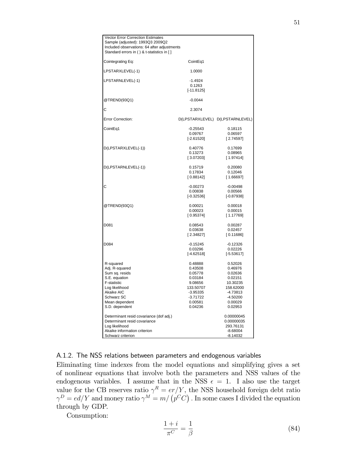| <b>Vector Error Correction Estimates</b><br>Sample (adjusted): 1993Q3 2009Q2<br>Included observations: 64 after adjustments<br>Standard errors in () & t-statistics in [] |                                                                                                                    |                                                                                                                     |
|---------------------------------------------------------------------------------------------------------------------------------------------------------------------------|--------------------------------------------------------------------------------------------------------------------|---------------------------------------------------------------------------------------------------------------------|
| Cointegrating Eq:                                                                                                                                                         | CointEq1                                                                                                           |                                                                                                                     |
| LPSTARXLEVEL(-1)                                                                                                                                                          | 1.0000                                                                                                             |                                                                                                                     |
| LPSTARNLEVEL(-1)                                                                                                                                                          | $-1.4924$<br>0.1263<br>$[-11.8125]$                                                                                |                                                                                                                     |
| @TREND(93Q1)                                                                                                                                                              | $-0.0044$                                                                                                          |                                                                                                                     |
| С                                                                                                                                                                         | 2.3074                                                                                                             |                                                                                                                     |
| Error Correction:                                                                                                                                                         |                                                                                                                    | D(LPSTARXLEVEL) D(LPSTARNLEVEL)                                                                                     |
| CointEq1                                                                                                                                                                  | $-0.25543$<br>0.09767<br>$[-2.61520]$                                                                              | 0.18115<br>0.06597<br>[2.74597]                                                                                     |
| D(LPSTARXLEVEL(-1))                                                                                                                                                       | 0.40776<br>0.13273<br>[3.07203]                                                                                    | 0.17699<br>0.08965<br>[1.97414]                                                                                     |
| D(LPSTARNLEVEL(-1))                                                                                                                                                       | 0.15719<br>0.17834<br>[0.88142]                                                                                    | 0.20080<br>0.12046<br>[1.66697]                                                                                     |
| С                                                                                                                                                                         | $-0.00273$<br>0.00838<br>$[-0.32536]$                                                                              | $-0.00498$<br>0.00566<br>$[-0.87938]$                                                                               |
| @TREND(93Q1)                                                                                                                                                              | 0.00021<br>0.00023<br>[0.95374]                                                                                    | 0.00018<br>0.00015<br>[1.17769]                                                                                     |
| D081                                                                                                                                                                      | 0.08543<br>0.03638<br>[2.34827]                                                                                    | 0.00287<br>0.02457<br>[0.11686]                                                                                     |
| D084                                                                                                                                                                      | $-0.15245$<br>0.03296<br>$[-4.62518]$                                                                              | $-0.12326$<br>0.02226<br>$[-5.53617]$                                                                               |
| R-squared<br>Adj. R-squared<br>Sum sq. resids<br>S.E. equation<br>F-statistic<br>Log likelihood<br>Akaike AIC<br>Schwarz SC<br>Mean dependent<br>S.D. dependent           | 0.48888<br>0.43508<br>0.05778<br>0.03184<br>9.08656<br>133.50707<br>$-3.95335$<br>$-3.71722$<br>0.00581<br>0.04236 | 0.52026<br>0.46976<br>0.02636<br>0.02151<br>10.30235<br>158.62000<br>$-4.73813$<br>$-4.50200$<br>0.00029<br>0.02953 |
| Determinant resid covariance (dof adj.)<br>Determinant resid covariance<br>Log likelihood<br>Akaike information criterion<br>Schwarz criterion                            |                                                                                                                    | 0.00000045<br>0.00000035<br>293.76131<br>$-8.68004$<br>$-8.14032$                                                   |

A.1.2. The NSS relations between parameters and endogenous variables

Eliminating time indexes from the model equations and simplifying gives a set of nonlinear equations that involve both the parameters and NSS values of the endogenous variables. I assume that in the NSS  $\epsilon = 1$ . I also use the target value for the CB reserves ratio  $\gamma^R = er/Y$ , the NSS household foreign debt ratio  $\gamma^D = ed/Y$  and money ratio  $\gamma^M = m/\left(p^C C\right)$  . In some cases I divided the equation through by GDP.

Consumption:

$$
\frac{1+i}{\pi^C} = \frac{1}{\beta} \tag{84}
$$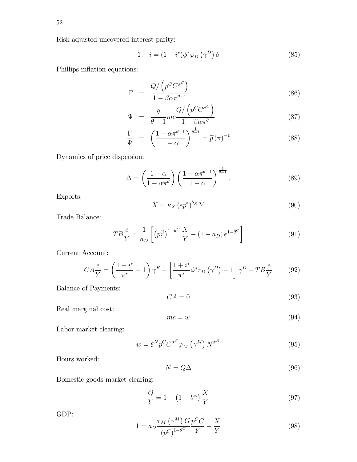$$
1 + i = (1 + i^*)\phi^*\varphi_D(\gamma^D)\delta \tag{85}
$$

Phillips inflation equations:

$$
\Gamma = \frac{Q/\left(p^C C^{\sigma^C}\right)}{1 - \beta \alpha \pi^{\theta - 1}}
$$
\n(86)

$$
\Psi = \frac{\theta}{\theta - 1} mc \frac{Q}{1 - \beta \alpha \pi^{\theta}} \tag{87}
$$

$$
\frac{\Gamma}{\Psi} = \left(\frac{1 - \alpha \pi^{\theta - 1}}{1 - \alpha}\right)^{\frac{1}{\theta - 1}} = \widetilde{p}(\pi)^{-1}
$$
\n(88)

Dynamics of price dispersion:

$$
\Delta = \left(\frac{1-\alpha}{1-\alpha\pi^{\theta}}\right) \left(\frac{1-\alpha\pi^{\theta-1}}{1-\alpha}\right)^{\frac{\theta}{\theta-1}}.\tag{89}
$$

Exports:

$$
X = \kappa_X \left( e p^* \right)^{b_X} Y \tag{90}
$$

Trade Balance:

$$
TB\frac{e}{Y} = \frac{1}{a_D} \left[ \left( p_t^C \right)^{1-\theta^C} \frac{X}{Y} - (1 - a_D) e^{1-\theta^C} \right]
$$
 (91)

Current Account:

$$
CA\frac{e}{Y} = \left(\frac{1+i^*}{\pi^*} - 1\right)\gamma^R - \left[\frac{1+i^*}{\pi^*}\phi^*\tau_D\left(\gamma^D\right) - 1\right]\gamma^D + TB\frac{e}{Y}
$$
(92)

Balance of Payments:

$$
CA = 0 \tag{93}
$$

Real marginal cost:

$$
mc = w \tag{94}
$$

Labor market clearing:

$$
w = \xi^N p^C C^{\sigma^C} \varphi_M \left( \gamma^M \right) N^{\sigma^N} \tag{95}
$$

Hours worked:

$$
N = Q\Delta \tag{96}
$$

Domestic goods market clearing:

$$
\frac{Q}{Y} = 1 - (1 - b^A) \frac{X}{Y}
$$
\n(97)

GDP:

$$
1 = a_D \frac{\tau_M \left(\gamma^M\right) G}{\left(p^C\right)^{1-\theta^C}} \frac{p^C C}{Y} + \frac{X}{Y}
$$
\n
$$
(98)
$$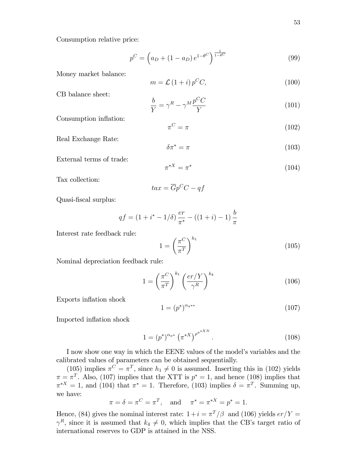Consumption relative price:

$$
p^{C} = \left(a_{D} + (1 - a_{D})e^{1 - \theta^{C}}\right)^{\frac{1}{1 - \theta^{C}}}
$$
\n(99)

Money market balance:

$$
m = \mathcal{L} \left( 1 + i \right) p^C C, \tag{100}
$$

CB balance sheet:

$$
\frac{b}{Y} = \gamma^R - \gamma^M \frac{p^C C}{Y} \tag{101}
$$

Consumption inflation:

$$
\pi^C = \pi \tag{102}
$$

Real Exchange Rate:

$$
\delta \pi^* = \pi \tag{103}
$$

External terms of trade:

$$
\pi^{*X} = \pi^* \tag{104}
$$

Tax collection:

$$
tax = \overline{G}p^CC - qf
$$

Quasi-Öscal surplus:

$$
qf = (1 + i^* - 1/\delta) \frac{er}{\pi^*} - ((1 + i) - 1) \frac{b}{\pi}
$$

Interest rate feedback rule:

$$
1 = \left(\frac{\pi^C}{\pi^T}\right)^{h_1} \tag{105}
$$

Nominal depreciation feedback rule:

$$
1 = \left(\frac{\pi^C}{\pi^T}\right)^{k_1} \left(\frac{er/Y}{\gamma^R}\right)^{k_4}
$$
 (106)

Exports inflation shock

$$
1 = \left(p^*\right)^{\alpha_{\pi^{**}}} \tag{107}
$$

Imported inflation shock

$$
1 = (p^*)^{\alpha_{\pi^*}} (\pi^{*X})^{\rho^{\pi^{*XN}}}.
$$
\n(108)

I now show one way in which the EENE values of the model's variables and the calibrated values of parameters can be obtained sequentially.

(105) implies  $\pi^C = \pi^T$ , since  $h_1 \neq 0$  is assumed. Inserting this in (102) yields  $\pi = \pi^T$ . Also, (107) implies that the XTT is  $p^* = 1$ , and hence (108) implies that  $\pi^{*X} = 1$ , and (104) that  $\pi^* = 1$ . Therefore, (103) implies  $\delta = \pi^T$ . Summing up, we have:

$$
\pi = \delta = \pi^C = \pi^T
$$
, and  $\pi^* = \pi^{*X} = p^* = 1$ .

Hence, (84) gives the nominal interest rate:  $1+i = \pi^T/\beta$  and (106) yields  $er/Y =$  $\gamma^R$ , since it is assumed that  $k_4 \neq 0$ , which implies that the CB's target ratio of international reserves to GDP is attained in the NSS.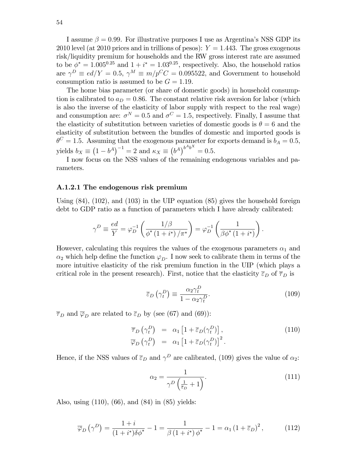I assume  $\beta = 0.99$ . For illustrative purposes I use as Argentina's NSS GDP its 2010 level (at 2010 prices and in trillions of pesos):  $Y = 1.443$ . The gross exogenous risk/liquidity premium for households and the RW gross interest rate are assumed to be  $\phi^* = 1.005^{0.25}$  and  $1 + i^* = 1.03^{0.25}$ , respectively. Also, the household ratios are  $\gamma^D \equiv ed/Y = 0.5$ ,  $\gamma^M \equiv m/p^C C = 0.095522$ , and Government to household consumption ratio is assumed to be  $G = 1.19$ .

The home bias parameter (or share of domestic goods) in household consumption is calibrated to  $a_D = 0.86$ . The constant relative risk aversion for labor (which is also the inverse of the elasticity of labor supply with respect to the real wage) and consumption are:  $\sigma^N = 0.5$  and  $\sigma^C = 1.5$ , respectively. Finally, I assume that the elasticity of substitution between varieties of domestic goods is  $\theta = 6$  and the elasticity of substitution between the bundles of domestic and imported goods is  $\theta^C = 1.5$ . Assuming that the exogenous parameter for exports demand is  $b_A = 0.5$ , yields  $b_X \equiv (1 - b^A)^{-1} = 2$  and  $\kappa_X \equiv (b^A)^{b^A b^X} = 0.5$ .

I now focus on the NSS values of the remaining endogenous variables and parameters.

#### A.1.2.1 The endogenous risk premium

Using  $(84)$ ,  $(102)$ , and  $(103)$  in the UIP equation  $(85)$  gives the household foreign debt to GDP ratio as a function of parameters which I have already calibrated:

$$
\gamma^D \equiv \frac{ed}{Y} = \varphi_D^{-1} \left( \frac{1/\beta}{\phi^* \left(1 + i^* \right) / \pi^*} \right) = \varphi_D^{-1} \left( \frac{1}{\beta \phi^* \left(1 + i^* \right)} \right)
$$

However, calculating this requires the values of the exogenous parameters  $\alpha_1$  and  $\alpha_2$  which help define the function  $\varphi_D$ . I now seek to calibrate them in terms of the more intuitive elasticity of the risk premium function in the UIP (which plays a critical role in the present research). First, notice that the elasticity  $\overline{\varepsilon}_D$  of  $\overline{\tau}_D$  is

$$
\overline{\varepsilon}_D\left(\gamma_t^D\right) \equiv \frac{\alpha_2 \gamma_t^D}{1 - \alpha_2 \gamma_t^D}.\tag{109}
$$

:

 $\overline{\tau}_D$  and  $\overline{\varphi}_D$  are related to  $\overline{\varepsilon}_D$  by (see (67) and (69)):

$$
\overline{\tau}_D \left( \gamma_t^D \right) = \alpha_1 \left[ 1 + \overline{\varepsilon}_D (\gamma_t^D) \right],
$$
\n
$$
\overline{\varphi}_D \left( \gamma_t^D \right) = \alpha_1 \left[ 1 + \overline{\varepsilon}_D (\gamma_t^D) \right]^2.
$$
\n(110)

Hence, if the NSS values of  $\bar{\varepsilon}_D$  and  $\gamma^D$  are calibrated, (109) gives the value of  $\alpha_2$ :

$$
\alpha_2 = \frac{1}{\gamma^D \left(\frac{1}{\bar{\varepsilon}_D} + 1\right)}.\tag{111}
$$

Also, using (110), (66), and (84) in (85) yields:

$$
\overline{\varphi}_D\left(\gamma^D\right) = \frac{1+i}{(1+i^*)\delta\phi^*} - 1 = \frac{1}{\beta\left(1+i^*\right)\phi^*} - 1 = \alpha_1\left(1+\overline{\varepsilon}_D\right)^2,\tag{112}
$$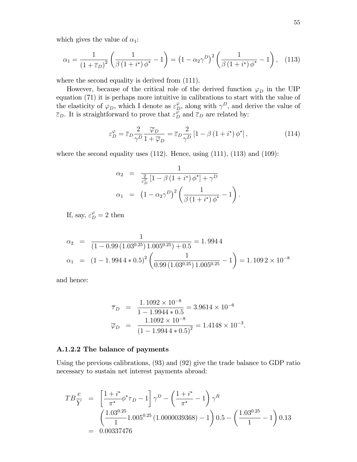which gives the value of  $\alpha_1$ :

$$
\alpha_1 = \frac{1}{(1+\bar{\varepsilon}_D)^2} \left( \frac{1}{\beta (1+i^*) \phi^*} - 1 \right) = (1 - \alpha_2 \gamma^D)^2 \left( \frac{1}{\beta (1+i^*) \phi^*} - 1 \right), \quad (113)
$$

where the second equality is derived from  $(111)$ .

However, because of the critical role of the derived function  $\varphi_D$  in the UIP equation (71) it is perhaps more intuitive in calibrations to start with the value of the elasticity of  $\varphi_D$ , which I denote as  $\varepsilon_D^{\varphi}$ , along with  $\gamma^D$ , and derive the value of  $\overline{\varepsilon}_D$ . It is straightforward to prove that  $\varepsilon_D^{\varphi}$  and  $\overline{\varepsilon}_D$  are related by:

$$
\varepsilon_D^{\varphi} = \overline{\varepsilon}_D \frac{2}{\gamma^D} \frac{\overline{\varphi}_D}{1 + \overline{\varphi}_D} = \overline{\varepsilon}_D \frac{2}{\gamma^D} \left[ 1 - \beta \left( 1 + i^* \right) \phi^* \right],\tag{114}
$$

where the second equality uses  $(112)$ . Hence, using  $(111)$ ,  $(113)$  and  $(109)$ :

$$
\alpha_2 = \frac{1}{\frac{2}{\varepsilon_D^{\varphi}} \left[1 - \beta \left(1 + i^*\right) \phi^*\right] + \gamma^D}
$$
  

$$
\alpha_1 = \left(1 - \alpha_2 \gamma^D\right)^2 \left(\frac{1}{\beta \left(1 + i^*\right) \phi^*} - 1\right).
$$

If, say,  $\varepsilon_D^{\varphi} = 2$  then

$$
\alpha_2 = \frac{1}{(1 - 0.99 (1.03^{0.25}) 1.005^{0.25}) + 0.5} = 1.9944
$$
  

$$
\alpha_1 = (1 - 1.9944 * 0.5)^2 \left(\frac{1}{0.99 (1.03^{0.25}) 1.005^{0.25}} - 1\right) = 1.1092 \times 10^{-8}
$$

and hence:

$$
\overline{\tau}_D = \frac{1.1092 \times 10^{-8}}{1 - 1.9944 \times 0.5} = 3.9614 \times 10^{-6}
$$

$$
\overline{\varphi}_D = \frac{1.1092 \times 10^{-8}}{(1 - 1.9944 \times 0.5)^2} = 1.4148 \times 10^{-3}.
$$

#### A.1.2.2 The balance of payments

Using the previous calibrations, (93) and (92) give the trade balance to GDP ratio necessary to sustain net interest payments abroad:

$$
TB\frac{e}{Y} = \left[\frac{1+i^*}{\pi^*} \phi^* \tau_D - 1\right] \gamma^D - \left(\frac{1+i^*}{\pi^*} - 1\right) \gamma^R
$$
  

$$
= \left(\frac{1.03^{0.25}}{1} 1.005^{0.25} (1.0000039368) - 1\right) 0.5 - \left(\frac{1.03^{0.25}}{1} - 1\right) 0.13
$$
  

$$
= 0.00337476
$$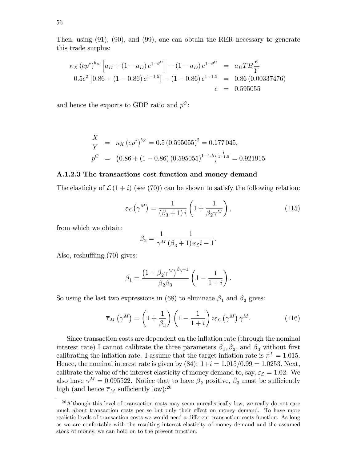Then, using (91), (90), and (99), one can obtain the RER necessary to generate this trade surplus:

$$
\kappa_X (ep^*)^{b_X} \left[ a_D + (1 - a_D) e^{1 - \theta^C} \right] - (1 - a_D) e^{1 - \theta^C} = a_D T B \frac{e}{Y}
$$
  
0.5 $e^2$  [0.86 + (1 - 0.86)  $e^{1 - 1.5}$ ] - (1 - 0.86)  $e^{1 - 1.5}$  = 0.86 (0.00337476)  
 $e = 0.595055$ 

and hence the exports to GDP ratio and  $p^C$ :

$$
\frac{X}{Y} = \kappa_X (ep^*)^{b_X} = 0.5 (0.595055)^2 = 0.177045,
$$
  
\n
$$
p^C = (0.86 + (1 - 0.86) (0.595055)^{1 - 1.5})^{\frac{1}{1 - 1.5}} = 0.921915
$$

#### A.1.2.3 The transactions cost function and money demand

The elasticity of  $\mathcal{L}(1+i)$  (see (70)) can be shown to satisfy the following relation:

$$
\varepsilon_{\mathcal{L}}\left(\gamma^{M}\right) = \frac{1}{\left(\beta_{3}+1\right)i}\left(1+\frac{1}{\beta_{2}\gamma^{M}}\right),\tag{115}
$$

from which we obtain:

$$
\beta_2 = \frac{1}{\gamma^M} \frac{1}{(\beta_3 + 1) \,\varepsilon_{\mathcal{L}} i - 1}.
$$

Also, reshuffling  $(70)$  gives:

$$
\beta_1 = \frac{\left(1+\beta_2\gamma^M\right)^{\beta_3+1}}{\beta_2\beta_3}\left(1-\frac{1}{1+i}\right).
$$

So using the last two expressions in (68) to eliminate  $\beta_1$  and  $\beta_2$  gives:

$$
\overline{\tau}_M\left(\gamma^M\right) = \left(1 + \frac{1}{\beta_3}\right)\left(1 - \frac{1}{1+i}\right)i\varepsilon_{\mathcal{L}}\left(\gamma^M\right)\gamma^M.
$$
\n(116)

Since transaction costs are dependent on the ináation rate (through the nominal interest rate) I cannot calibrate the three parameters  $\beta_1, \beta_2$ , and  $\beta_3$  without first calibrating the inflation rate. I assume that the target inflation rate is  $\pi^T = 1.015$ . Hence, the nominal interest rate is given by  $(84): 1+i = 1.015/0.99 = 1.0253$ . Next, calibrate the value of the interest elasticity of money demand to, say,  $\varepsilon_{\mathcal{L}} = 1.02$ . We also have  $\gamma^M = 0.095522$ . Notice that to have  $\beta_2$  positive,  $\beta_3$  must be sufficiently high (and hence  $\overline{\tau}_M$  sufficiently low):<sup>26</sup>

 $26$ Although this level of transaction costs may seem unrealistically low, we really do not care much about transaction costs per se but only their effect on money demand. To have more realistic levels of transaction costs we would need a different transaction costs function. As long as we are confortable with the resulting interest elasticity of money demand and the assumed stock of money, we can hold on to the present function.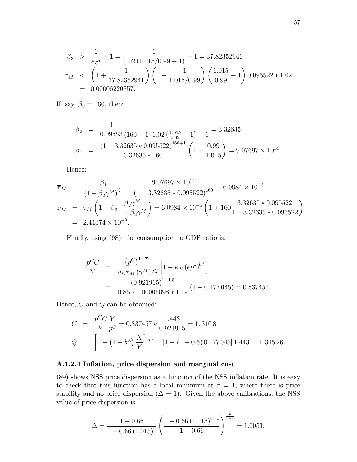$$
\beta_3 > \frac{1}{\varepsilon_{\mathcal{L}}i} - 1 = \frac{1}{1.02 (1.015/0.99 - 1)} - 1 = 37.82352941
$$
  
\n
$$
\overline{\tau}_M < \left(1 + \frac{1}{37.82352941}\right) \left(1 - \frac{1}{1.015/0.99}\right) \left(\frac{1.015}{0.99} - 1\right) 0.095522 * 1.02
$$
  
\n= 0.00006220357.

If, say,  $\beta_3 = 160$ , then:

$$
\beta_2 = \frac{1}{0.09553} \frac{1}{(160+1) 1.02 \left(\frac{1.015}{0.99} - 1\right) - 1} = 3.32635
$$
\n
$$
\beta_1 = \frac{(1 + 3.32635 * 0.095522)^{160+1}}{3.32635 * 160} \left(1 - \frac{0.99}{1.015}\right) = 9.07697 \times 10^{14}.
$$

Hence:

$$
\overline{\tau}_M = \frac{\beta_1}{(1 + \beta_2 \gamma^M)^{\beta_3}} = \frac{9.07697 \times 10^{14}}{(1 + 3.32635 \times 0.095522)^{160}} = 6.0984 \times 10^{-5}
$$
  
\n
$$
\overline{\varphi}_M = \overline{\tau}_M \left( 1 + \beta_3 \frac{\beta_2 \gamma^M}{1 + \beta_2 \gamma^M} \right) = 6.0984 \times 10^{-5} \left( 1 + 160 \frac{3.32635 \times 0.095522}{1 + 3.32635 \times 0.095522} \right)
$$
  
\n= 2.41374 × 10<sup>-3</sup>.

Finally, using (98), the consumption to GDP ratio is:

$$
\frac{p^{C}C}{Y} = \frac{(p^{C})^{1-\theta^{C}}}{a_{D}\tau_{M}(\gamma^{M})G} \left[1 - \kappa_{X} (ep^{*})^{b^{X}}\right]
$$

$$
= \frac{(0.921915)^{1-1.5}}{0.86 * 1.00006098 * 1.19} (1 - 0.177045) = 0.837457.
$$

Hence,  $C$  and  $Q$  can be obtained:

$$
C = \frac{p^C C}{Y} \frac{Y}{p^C} = 0.837457 * \frac{1.443}{0.921915} = 1.3108
$$
  
\n
$$
Q = \left[1 - (1 - b^A) \frac{X}{Y}\right] Y = \left[1 - (1 - 0.5) 0.177 045\right] 1.443 = 1.315 26.
$$

### A.1.2.4 Inflation, price dispersion and marginal cost

 $(89)$  shows NSS price dispersion as a function of the NSS inflation rate. It is easy to check that this function has a local minimum at  $\pi = 1$ , where there is price stability and no price dispersion  $(\Delta = 1)$ . Given the above calibrations, the NSS value of price dispersion is:

$$
\Delta = \frac{1 - 0.66}{1 - 0.66 \left( 1.015 \right)^6} \left( \frac{1 - 0.66 \left( 1.015 \right)^{6-1}}{1 - 0.66} \right)^{\frac{6}{6-1}} = 1.0051.
$$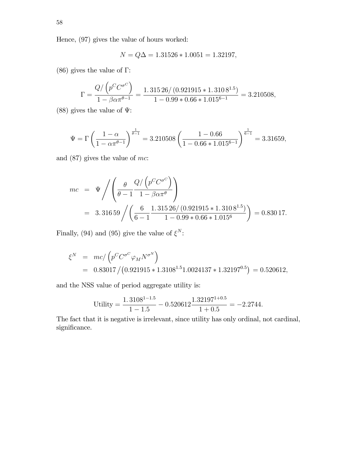Hence, (97) gives the value of hours worked:

$$
N = Q\Delta = 1.31526 * 1.0051 = 1.32197,
$$

(86) gives the value of  $\Gamma$ :

$$
\Gamma = \frac{Q/\left(p^C C^{\sigma^C}\right)}{1 - \beta \alpha \pi^{\theta - 1}} = \frac{1.31526/(0.921915 * 1.3108^{1.5})}{1 - 0.99 * 0.66 * 1.015^{6 - 1}} = 3.210508,
$$

(88) gives the value of  $\Psi$ :

$$
\Psi = \Gamma \left( \frac{1 - \alpha}{1 - \alpha \pi^{\theta - 1}} \right)^{\frac{1}{\theta - 1}} = 3.210508 \left( \frac{1 - 0.66}{1 - 0.66 \times 1.015^{6 - 1}} \right)^{\frac{1}{6 - 1}} = 3.31659,
$$

and (87) gives the value of mc:

$$
mc = \Psi / \left( \frac{\theta}{\theta - 1} \frac{Q / (p^C C^{\sigma^C})}{1 - \beta \alpha \pi^{\theta}} \right)
$$
  
= 3.31659 /  $\left( \frac{6}{6 - 1} \frac{1.31526 / (0.921915 * 1.3108^{1.5})}{1 - 0.99 * 0.66 * 1.015^6} \right)$  = 0.83017.

Finally, (94) and (95) give the value of  $\xi^N$ :

$$
\xi^N = mc / (p^C C^{\sigma^C} \varphi_M N^{\sigma^N})
$$
  
= 0.83017 / (0.921915 \* 1.3108<sup>1.5</sup>1.0024137 \* 1.32197<sup>0.5</sup>) = 0.520612,

and the NSS value of period aggregate utility is:

Utility = 
$$
\frac{1.3108^{1-1.5}}{1-1.5} - 0.520612 \frac{1.32197^{1+0.5}}{1+0.5} = -2.2744.
$$

The fact that it is negative is irrelevant, since utility has only ordinal, not cardinal, significance.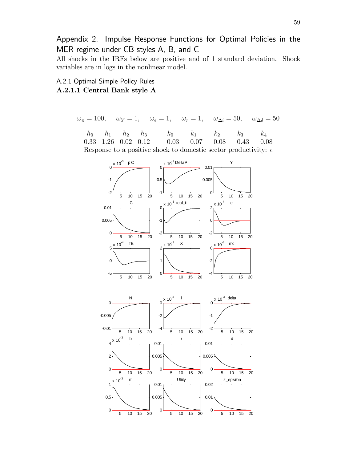Appendix 2. Impulse Response Functions for Optimal Policies in the MER regime under CB styles A, B, and C

All shocks in the IRFs below are positive and of 1 standard deviation. Shock variables are in logs in the nonlinear model.

A.2.1 Optimal Simple Policy Rules A.2.1.1 Central Bank style A

$$
\omega_{\pi} = 100
$$
,  $\omega_{Y} = 1$ ,  $\omega_{e} = 1$ ,  $\omega_{r} = 1$ ,  $\omega_{\Delta i} = 50$ ,  $\omega_{\Delta \delta} = 50$ 

 $h_0$   $h_1$   $h_2$   $h_3$   $k_0$   $k_1$   $k_2$   $k_3$   $k_4$  $0.33$  1.26  $0.02$   $0.12$   $-0.03$   $-0.07$   $-0.08$   $-0.43$   $-0.08$ Response to a positive shock to domestic sector productivity:  $\epsilon$ 

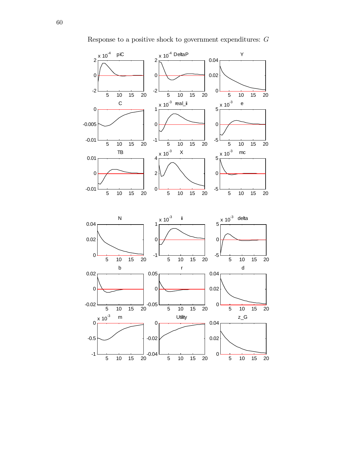

Response to a positive shock to government expenditures:  $G$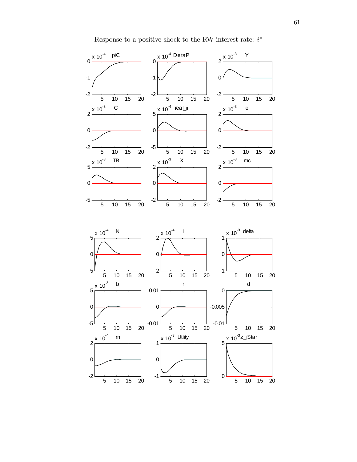

Response to a positive shock to the RW interest rate:  $i^*$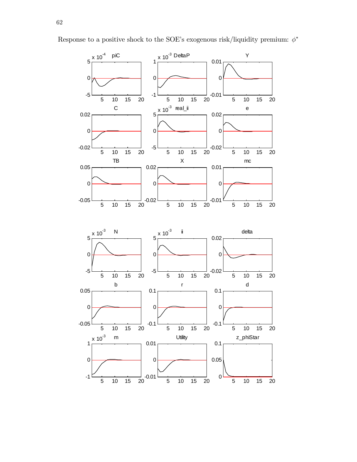

Response to a positive shock to the SOE's exogenous risk/liquidity premium:  $\phi^*$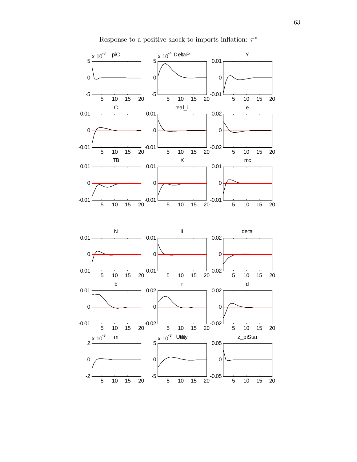

Response to a positive shock to imports inflation:  $\pi^*$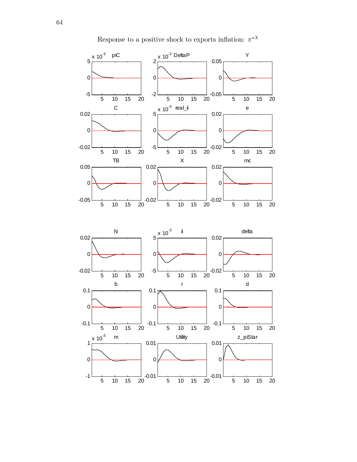

Response to a positive shock to exports inflation:  $\pi^{*X}$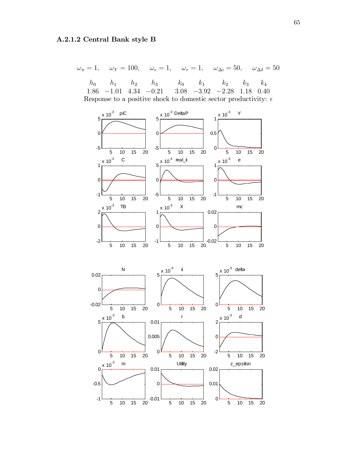## A.2.1.2 Central Bank style B

 $\omega_{\pi} = 1, \quad \omega_{Y} = 100, \quad \omega_{e} = 1, \quad \omega_{r} = 1, \quad \omega_{\Delta i} = 50, \quad \omega_{\Delta \delta} = 50$ 

|  | $h_0$ $h_1$ $h_2$ $h_3$ $k_0$ $k_1$ $k_2$ $k_3$ $k_4$                    |  |  |  |
|--|--------------------------------------------------------------------------|--|--|--|
|  | $1.86$ $-1.01$ $4.34$ $-0.21$ $3.08$ $-3.92$ $-2.28$ $1.18$ 0.40         |  |  |  |
|  | Response to a positive shock to domestic sector productivity: $\epsilon$ |  |  |  |

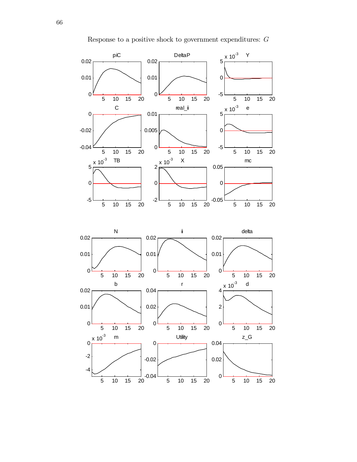

Response to a positive shock to government expenditures:  ${\cal G}$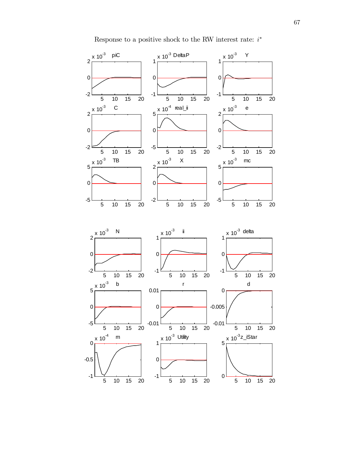

Response to a positive shock to the RW interest rate:  $i^*$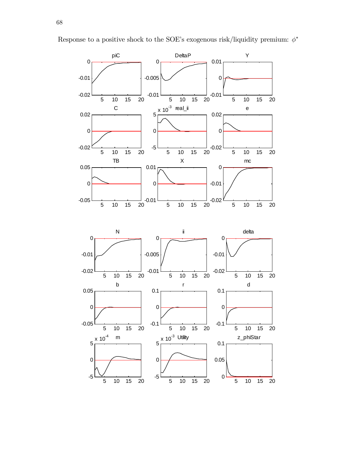

Response to a positive shock to the SOE's exogenous risk/liquidity premium:  $\phi^*$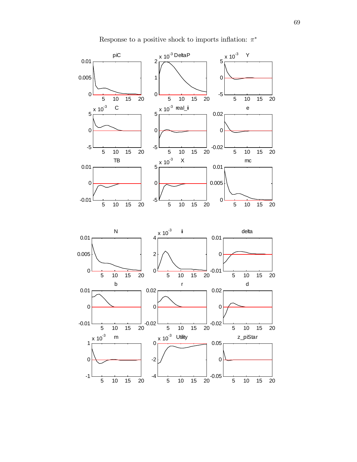

Response to a positive shock to imports inflation:  $\pi^*$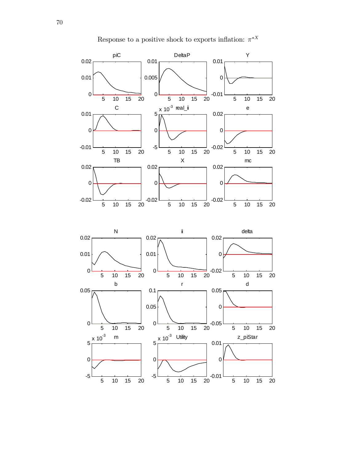

Response to a positive shock to exports inflation:  $\pi^{*X}$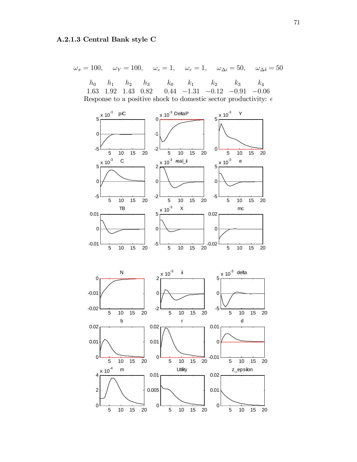$$
\omega_{\pi} = 100
$$
,  $\omega_{Y} = 100$ ,  $\omega_{e} = 1$ ,  $\omega_{r} = 1$ ,  $\omega_{\Delta i} = 50$ ,  $\omega_{\Delta \delta} = 50$ 

 $h_0$   $h_1$   $h_2$   $h_3$   $k_0$   $k_1$   $k_2$   $k_3$   $k_4$ 1.63 1.92 1.43 0.82 0.44  $-1.31$   $-0.12$   $-0.91$   $-0.06$ Response to a positive shock to domestic sector productivity:  $\epsilon$ 

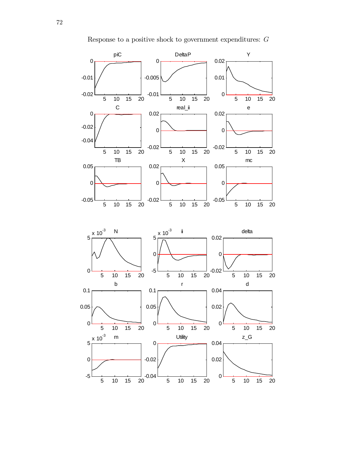

Response to a positive shock to government expenditures:  ${\cal G}$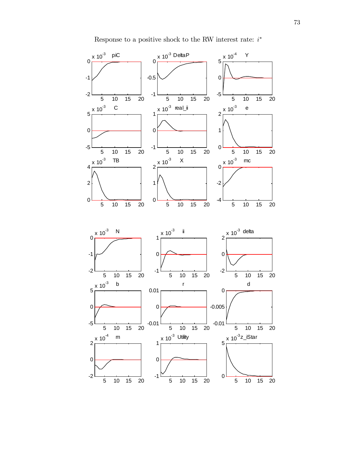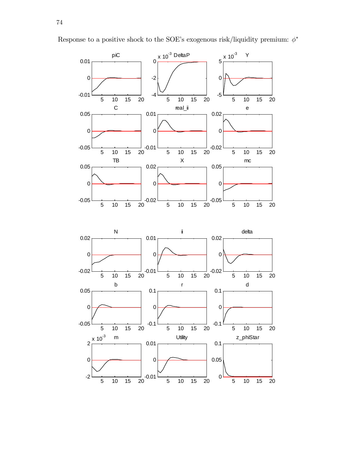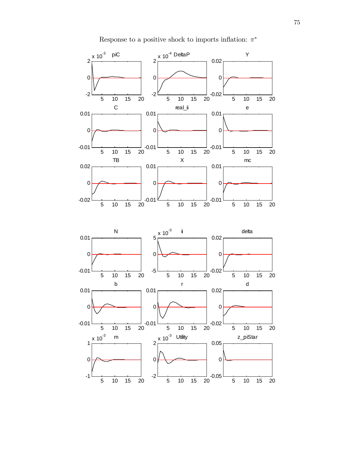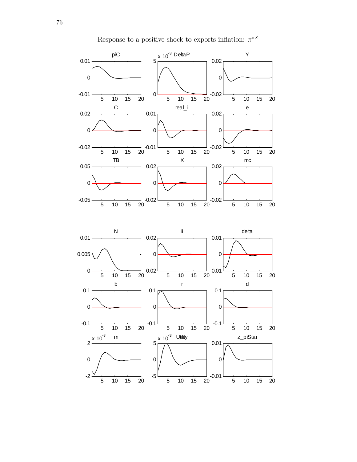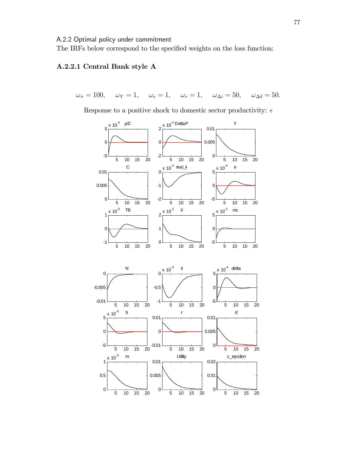A.2.2 Optimal policy under commitment

The IRFs below correspond to the specified weights on the loss function:

## A.2.2.1 Central Bank style A

 $\omega_{\pi} = 100, \quad \omega_{Y} = 1, \quad \omega_{e} = 1, \quad \omega_{r} = 1, \quad \omega_{\Delta i} = 50, \quad \omega_{\Delta \delta} = 50.$ 

Response to a positive shock to domestic sector productivity:  $\epsilon$ 

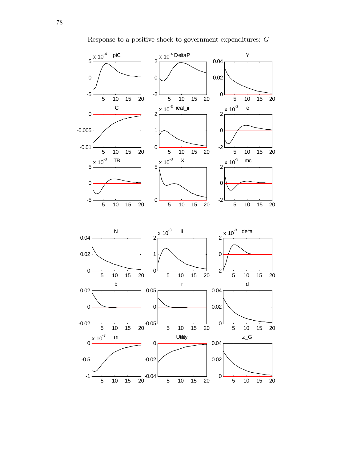

Response to a positive shock to government expenditures: G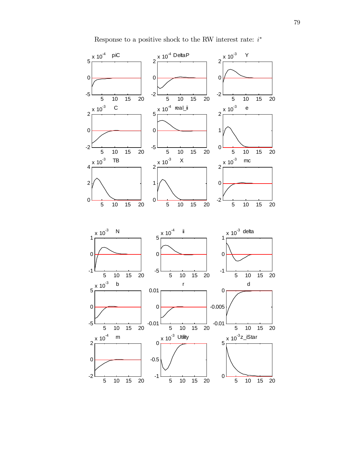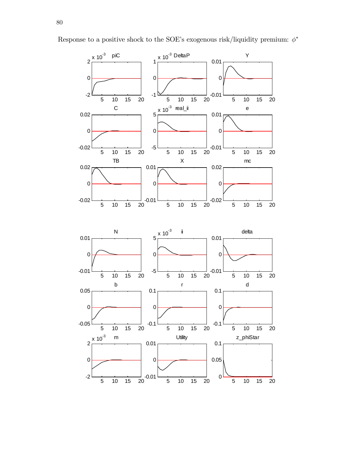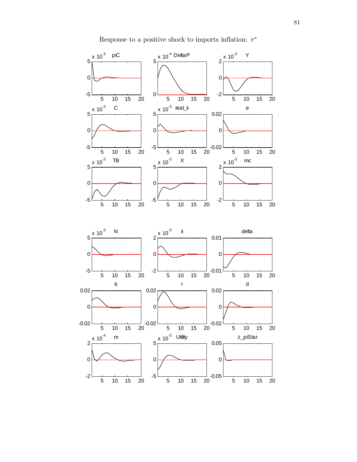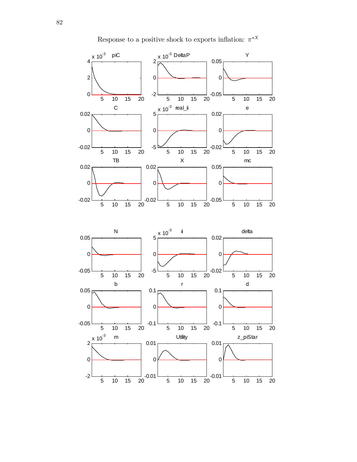

Response to a positive shock to exports inflation:  $\pi^{*X}$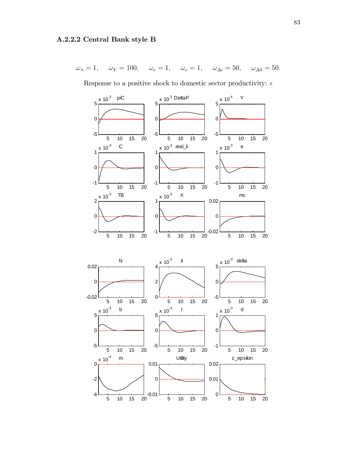$\omega_{\pi} = 1, \quad \omega_{Y} = 100, \quad \omega_{e} = 1, \quad \omega_{r} = 1, \quad \omega_{\Delta i} = 50, \quad \omega_{\Delta \delta} = 50.$ 

Response to a positive shock to domestic sector productivity:  $\epsilon$ 

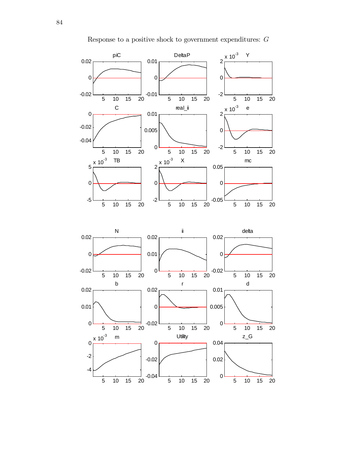

Response to a positive shock to government expenditures:  $G$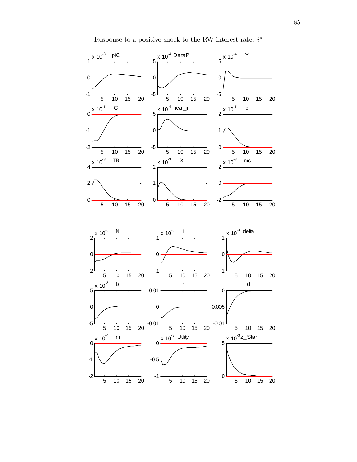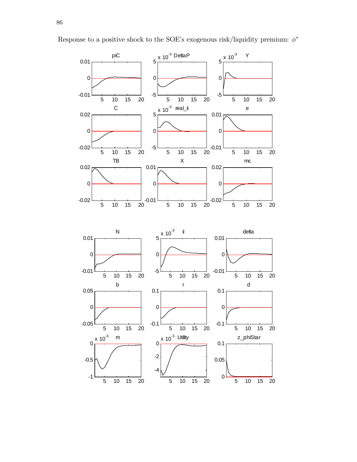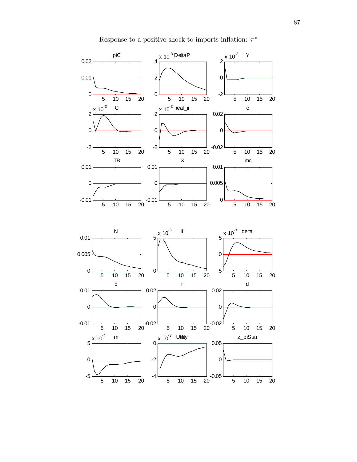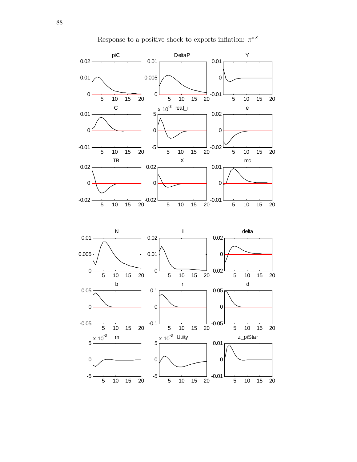

Response to a positive shock to exports inflation:  $\pi^{*X}$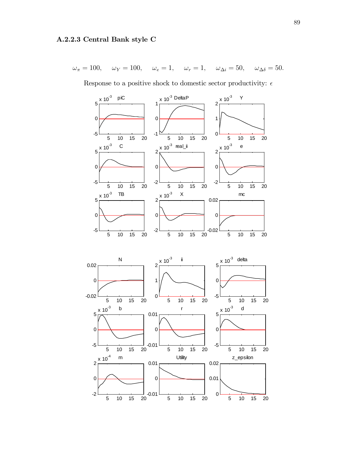$$
\omega_{\pi} = 100, \quad \omega_{Y} = 100, \quad \omega_{e} = 1, \quad \omega_{r} = 1, \quad \omega_{\Delta i} = 50, \quad \omega_{\Delta \delta} = 50.
$$

Response to a positive shock to domestic sector productivity:  $\epsilon$ 

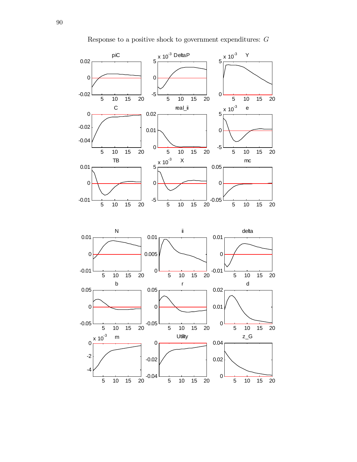

Response to a positive shock to government expenditures: G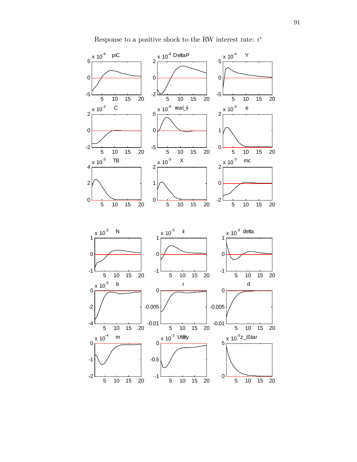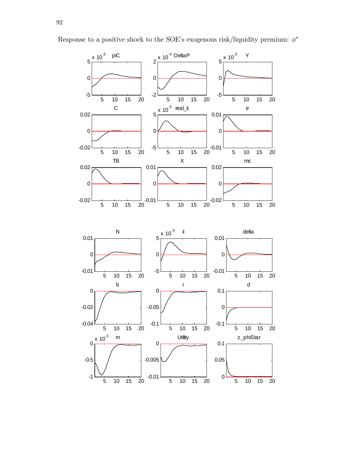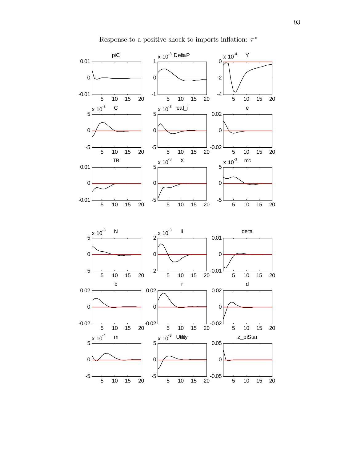